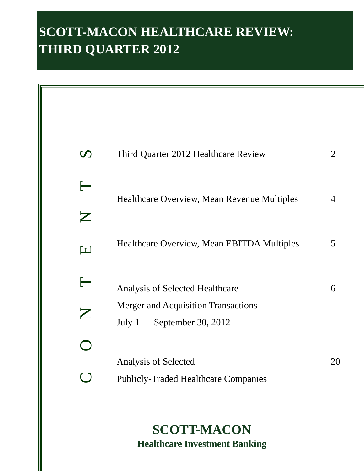# **SCOTT-MACON HEALTHCARE REVIEW: THIRD QUARTER 2012**

| $\boldsymbol{\mathcal{D}}$       | Third Quarter 2012 Healthcare Review                                      | 2  |
|----------------------------------|---------------------------------------------------------------------------|----|
| $\longleftarrow$<br>$\mathbf{Z}$ | Healthcare Overview, Mean Revenue Multiples                               | 4  |
| $\blacksquare$                   | Healthcare Overview, Mean EBITDA Multiples                                | 5  |
| $\longleftarrow$                 | <b>Analysis of Selected Healthcare</b>                                    | 6  |
| $\mathsf{Z}$                     | <b>Merger and Acquisition Transactions</b><br>July 1 — September 30, 2012 |    |
|                                  |                                                                           |    |
|                                  | Analysis of Selected<br><b>Publicly-Traded Healthcare Companies</b>       | 20 |

**SCOTT-MACON Healthcare Investment Banking**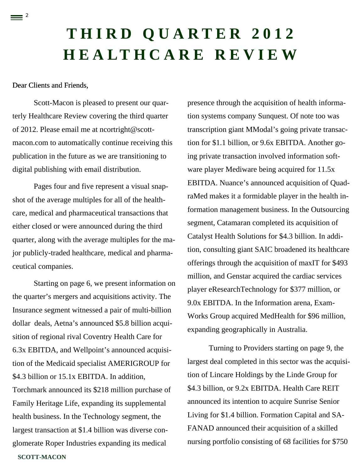# **THIRD QUARTER 2012 HEALTHCARE REVIEW**

## Dear Clients and Friends,

 $\equiv$  <sup>2</sup>

Scott-Macon is pleased to present our quarterly Healthcare Review covering the third quarter of 2012. Please email me at ncortright@scottmacon.com to automatically continue receiving this publication in the future as we are transitioning to digital publishing with email distribution.

Pages four and five represent a visual snapshot of the average multiples for all of the healthcare, medical and pharmaceutical transactions that either closed or were announced during the third quarter, along with the average multiples for the major publicly-traded healthcare, medical and pharmaceutical companies.

**SCOTT-MACON**  Starting on page 6, we present information on the quarter's mergers and acquisitions activity. The Insurance segment witnessed a pair of multi-billion dollar deals, Aetna's announced \$5.8 billion acquisition of regional rival Coventry Health Care for 6.3x EBITDA, and Wellpoint's announced acquisition of the Medicaid specialist AMERIGROUP for \$4.3 billion or 15.1x EBITDA. In addition. Torchmark announced its \$218 million purchase of Family Heritage Life, expanding its supplemental health business. In the Technology segment, the largest transaction at \$1.4 billion was diverse conglomerate Roper Industries expanding its medical

presence through the acquisition of health information systems company Sunquest. Of note too was transcription giant MModal's going private transaction for \$1.1 billion, or 9.6x EBITDA. Another going private transaction involved information software player Mediware being acquired for 11.5x EBITDA. Nuance's announced acquisition of QuadraMed makes it a formidable player in the health information management business. In the Outsourcing segment, Catamaran completed its acquisition of Catalyst Health Solutions for \$4.3 billion. In addition, consulting giant SAIC broadened its healthcare offerings through the acquisition of maxIT for \$493 million, and Genstar acquired the cardiac services player eResearchTechnology for \$377 million, or 9.0x EBITDA. In the Information arena, Exam-Works Group acquired MedHealth for \$96 million, expanding geographically in Australia.

Turning to Providers starting on page 9, the largest deal completed in this sector was the acquisition of Lincare Holdings by the Linde Group for \$4.3 billion, or 9.2x EBITDA. Health Care REIT announced its intention to acquire Sunrise Senior Living for \$1.4 billion. Formation Capital and SA-FANAD announced their acquisition of a skilled nursing portfolio consisting of 68 facilities for \$750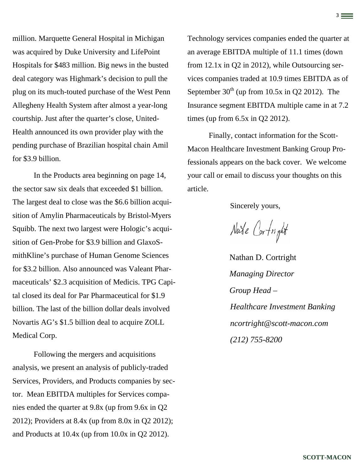million. Marquette General Hospital in Michigan was acquired by Duke University and LifePoint Hospitals for \$483 million. Big news in the busted deal category was Highmark's decision to pull the plug on its much-touted purchase of the West Penn Allegheny Health System after almost a year-long courtship. Just after the quarter's close, United-Health announced its own provider play with the pending purchase of Brazilian hospital chain Amil for \$3.9 billion.

In the Products area beginning on page 14, the sector saw six deals that exceeded \$1 billion. The largest deal to close was the \$6.6 billion acquisition of Amylin Pharmaceuticals by Bristol-Myers Squibb. The next two largest were Hologic's acquisition of Gen-Probe for \$3.9 billion and GlaxoSmithKline's purchase of Human Genome Sciences for \$3.2 billion. Also announced was Valeant Pharmaceuticals' \$2.3 acquisition of Medicis. TPG Capital closed its deal for Par Pharmaceutical for \$1.9 billion. The last of the billion dollar deals involved Novartis AG's \$1.5 billion deal to acquire ZOLL Medical Corp.

Following the mergers and acquisitions analysis, we present an analysis of publicly-traded Services, Providers, and Products companies by sector. Mean EBITDA multiples for Services companies ended the quarter at 9.8x (up from 9.6x in Q2 2012); Providers at 8.4x (up from 8.0x in Q2 2012); and Products at 10.4x (up from 10.0x in Q2 2012).

Technology services companies ended the quarter at an average EBITDA multiple of 11.1 times (down from 12.1x in Q2 in 2012), while Outsourcing services companies traded at 10.9 times EBITDA as of September  $30<sup>th</sup>$  (up from 10.5x in Q2 2012). The Insurance segment EBITDA multiple came in at 7.2 times (up from 6.5x in Q2 2012).

3

Finally, contact information for the Scott-Macon Healthcare Investment Banking Group Professionals appears on the back cover. We welcome your call or email to discuss your thoughts on this article.

Sincerely yours,

Nate Cortright

Nathan D. Cortright *Managing Director Group Head – Healthcare Investment Banking ncortright@scott-macon.com (212) 755-8200*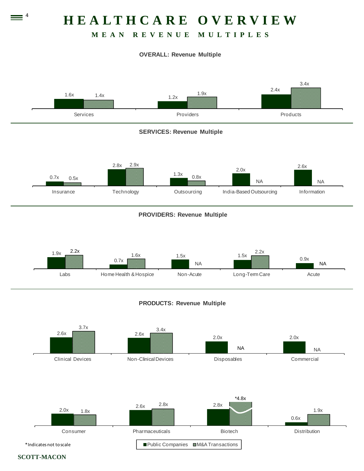# **HEALTHCARE OVERVIEW**

## **MEAN REVENUE MULTIPLES**

### **OVERALL: Revenue Multiple**



\*Indicates not toscale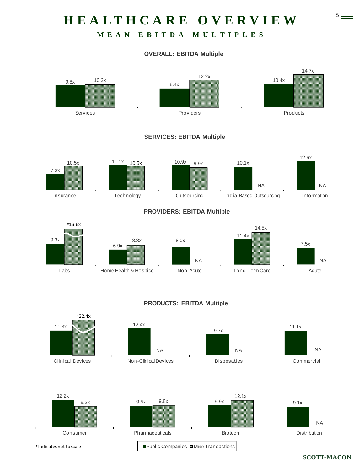# 5 **HEALTHCARE OVERVIEW**

## **MEAN EBITDA MULTIPLES**

## **OVERALL: EBITDA Multiple**



### **SERVICES: EBITDA Multiple**



### **PROVIDERS: EBITDA Multiple**



## **PRODUCTS: EBITDA Multiple**

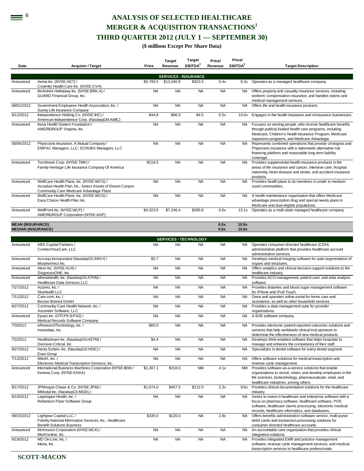# **ANALYSIS OF SELECTED HEALTHCARE MERGER & ACQUISITION TRANSACTIONS<sup>1</sup> THIRD QUARTER 2012 (JULY 1 — SEPTEMBER 30)**

#### **(\$ millions Except Per Share Data)**

|                           |                                                                                                                          |           | <b>Target</b> | Target<br>EBITDA <sup>2</sup> | Price/<br>Revenue | Price/<br>EBITDA <sup>2</sup> |                                                                                                                                                                                                                                       |
|---------------------------|--------------------------------------------------------------------------------------------------------------------------|-----------|---------------|-------------------------------|-------------------|-------------------------------|---------------------------------------------------------------------------------------------------------------------------------------------------------------------------------------------------------------------------------------|
| Date                      | <b>Acquirer / Target</b>                                                                                                 | Price     | Revenue       |                               |                   |                               | <b>Target Description</b>                                                                                                                                                                                                             |
|                           |                                                                                                                          |           |               | <b>SERVICES - INSURANCE</b>   |                   |                               |                                                                                                                                                                                                                                       |
| Announced                 | Aetna Inc. (NYSE:AET) /<br>Coventry Health Care Inc. (NYSE:CVH)                                                          | \$5,795.5 | \$13,340.8    | \$923.3                       | 0.4x              | 6.3x                          | Operates as a managed healthcare company.                                                                                                                                                                                             |
| Announced                 | Berkshire Hathaway Inc. (NYSE:BRK.A) /<br>GUARD Financial Group, Inc.                                                    | <b>NA</b> | <b>NA</b>     | <b>NA</b>                     | <b>NA</b>         | NA.                           | Offers property and casualty insurance services, including<br>workers' compensation insurance, and handles claims and<br>medical management services.                                                                                 |
| 08/01/2012                | Government Employees Health Association, Inc. /                                                                          | <b>NA</b> | <b>NA</b>     | <b>NA</b>                     | <b>NA</b>         | <b>NA</b>                     | Offers life and health insurance products.                                                                                                                                                                                            |
| 8/12/2012                 | Surety Life Insurance Company<br>Independence Holding Co. (NYSE:IHC) /<br>American Independence Corp. (NasdaqGM:AMIC)    | \$44.8    | \$86.5        | \$4.5                         | 0.5x              | 10.0x                         | Engages in the health insurance and reinsurance businesses.                                                                                                                                                                           |
| Announced                 | Inova Health System Foundation /<br>AMERIGROUP Virginia, Inc.                                                            | <b>NA</b> | <b>NA</b>     | <b>NA</b>                     | <b>NA</b>         | <b>NA</b>                     | Focuses on serving people, who receive healthcare benefits<br>through publicly funded health care programs, including<br>Medicaid, Children's Health Insurance Program, Medicaid<br>expansion programs, and Medicare Advantage.       |
| 08/06/2012                | Physicians Insurance, A Mutual Company /<br>EMPAC Managers, LLC; SCRUBS Managers, LLC                                    | <b>NA</b> | <b>NA</b>     | <b>NA</b>                     | <b>NA</b>         | <b>NA</b>                     | Represents combined operations that provide Urologists and<br>Physicians insurance with a nationwide alternative risk<br>financing platform and reasonable long term liability<br>coverage.                                           |
| Announced                 | Torchmark Corp. (NYSE:TMK) /<br>Family Heritage Life Insurance Company Of America                                        | \$218.5   | <b>NA</b>     | <b>NA</b>                     | <b>NA</b>         | <b>NA</b>                     | Provides supplemental health insurance products in the<br>areas of life insurance and cancer, intensive care, hospital<br>indemnity, heart disease and stroke, and accident insurance<br>products.                                    |
| Announced                 | WellCare Health Plans, Inc. (NYSE:WCG) /<br>Arcadian Health Plan, Inc., Select Assets of Desert Canyon                   | <b>NA</b> | <b>NA</b>     | <b>NA</b>                     | <b>NA</b>         | <b>NA</b>                     | Provides health plans to its members in small- to medium-<br>sized communities.                                                                                                                                                       |
| Announced                 | Community Care Medicare Advantage Plans<br>WellCare Health Plans, Inc. (NYSE:WCG) /<br>Easy Choice Health Plan, Inc.     | <b>NA</b> | <b>NA</b>     | <b>NA</b>                     | <b>NA</b>         | NA.                           | A health maintenance organization that offers Medicare<br>advantage prescription drug and special needs plans to<br>Medicare and dual eligible populations.                                                                           |
| Announced                 | WellPoint Inc. (NYSE:WLP) /<br>AMERIGROUP Corporation (NYSE:AGP)                                                         | \$4,323.5 | \$7,246.4     | \$285.8                       | 0.6x              | 15.1x                         | Operates as a multi-state managed healthcare company.                                                                                                                                                                                 |
| <b>MEAN (INSURANCE)</b>   |                                                                                                                          |           |               |                               | 0.5x              | 10.5x                         |                                                                                                                                                                                                                                       |
| <b>MEDIAN (INSURANCE)</b> |                                                                                                                          |           |               |                               | 0.5x              | 10.0x                         |                                                                                                                                                                                                                                       |
|                           |                                                                                                                          |           |               | <b>SERVICES - TECHNOLOGY</b>  |                   |                               |                                                                                                                                                                                                                                       |
| Announced                 | ABS Capital Partners /<br>ConnectYourCare, LLC                                                                           | <b>NA</b> | <b>NA</b>     | <b>NA</b>                     | <b>NA</b>         | NA.                           | Operates consumer-directed healthcare (CDH)<br>administrative platform that provides healthcare account                                                                                                                               |
| Announced                 | Accuray Incorporated (NasdaqGS:ARAY) /<br>Morphormics Inc.                                                               | \$5.7     | <b>NA</b>     | <b>NA</b>                     | <b>NA</b>         | NA                            | administration services.<br>Develops medical imaging software for auto-segmentation of<br>organs and structures.                                                                                                                      |
| Announced                 | Alere Inc. (NYSE:ALR) /<br>DiagnosisONE, Inc.                                                                            | <b>NA</b> | <b>NA</b>     | <b>NA</b>                     | <b>NA</b>         | NA                            | Offers analytics and clinical decision support solutions to the<br>healthcare industry.                                                                                                                                               |
| Announced                 | athenahealth, Inc. (NasdaqGS:ATHN) /<br>Healthcare Data Services LLC                                                     | <b>NA</b> | <b>NA</b>     | <b>NA</b>                     | <b>NA</b>         | <b>NA</b>                     | Provides ACO management, patient care, and data analysis<br>software.                                                                                                                                                                 |
| 7/27/2012                 | Azumio, Inc. /<br>SkyHealth LLC                                                                                          | <b>NA</b> | <b>NA</b>     | <b>NA</b>                     | <b>NA</b>         | NA                            | Provides diabetes and blood sugar management software<br>for iPhone and iPod Touch.                                                                                                                                                   |
| 7/11/2012                 | Care.com, Inc. /<br>Besser Betreut GmbH                                                                                  | <b>NA</b> | <b>NA</b>     | <b>NA</b>                     | <b>NA</b>         | <b>NA</b>                     | Owns and operates online portal for home care and<br>assistance, as well as other household services.                                                                                                                                 |
| 8/27/2012                 | Community Care Health Network, Inc. /<br>Ascender Software, LLC                                                          | <b>NA</b> | <b>NA</b>     | <b>NA</b>                     | <b>NA</b>         | <b>NA</b>                     | Provides a data management suite for provider<br>organizations.                                                                                                                                                                       |
| Announced                 | Epazz Inc. (OTCPK:EPAZ) /                                                                                                | <b>NA</b> | <b>NA</b>     | <b>NA</b>                     | <b>NA</b>         | <b>NA</b>                     | A B2B software company.                                                                                                                                                                                                               |
| 7/3/2012                  | Medical Records Software Company<br>eResearchTechnology, Inc. /<br>invivodata, inc.                                      | \$65.0    | <b>NA</b>     | <b>NA</b>                     | <b>NA</b>         | <b>NA</b>                     | Provides electronic patient reported outcomes solutions and<br>services that help worldwide clinical trial sponsors to                                                                                                                |
| 7/2/2012                  | Healthstream Inc. (NasdaqGS:HSTM) /                                                                                      | \$4.4     | <b>NA</b>     | <b>NA</b>                     | <b>NA</b>         | <b>NA</b>                     | determine the effectiveness of new medical products.<br>Develops Web-enabled software that helps hospitals to                                                                                                                         |
| 9/27/2012                 | Decision Critical, Inc.<br>Henry Schein, Inc. (NasdaqGS:HSIC) /                                                          | <b>NA</b> | <b>NA</b>     | <b>NA</b>                     | <b>NA</b>         | NA.                           | manage and enhance the competency of their staff.<br>Specializes in dental software for every dental segment.                                                                                                                         |
| 7/12/2012                 | Exan Group<br>iMedX, Inc. /                                                                                              | <b>NA</b> | <b>NA</b>     | <b>NA</b>                     | <b>NA</b>         | NA                            | Offers software solutions for medical transcription and                                                                                                                                                                               |
| Announced                 | Electronic Medical Transcription Services, Inc.<br>International Business Machines Corporation (NYSE:IBM) /              | \$1,307.1 | \$318.0       | <b>NM</b>                     | 4.1x              | <b>NM</b>                     | revenue cycle management.<br>Provides software-as-a-service solutions that enable                                                                                                                                                     |
|                           | Kenexa Corp. (NYSE:KNXA)                                                                                                 |           |               |                               |                   |                               | organizations to recruit, retain, and develop employees in the<br>life sciences, biotechnology, pharmaceuticals, retail, and<br>healthcare industries, among others.                                                                  |
| 8/17/2012                 | JPMorgan Chase & Co. (NYSE:JPM) /<br>MModal Inc. (NasdaqGS:MODL)                                                         | \$1,074.0 | \$457.5       | \$112.0                       | 2.3x              | 9.6x                          | Provides clinical documentation solutions for the healthcare<br>industry.                                                                                                                                                             |
| 9/10/2012                 | Lagniappe Health, Inc. /<br>Robertson Piper Software Group                                                               | <b>NA</b> | <b>NA</b>     | <b>NA</b>                     | <b>NA</b>         | <b>NA</b>                     | Seeks to invest in healthcare and enterprise software with a<br>focus on pharmacy software, healthcare software, POS<br>software, healthcare claims processing, electronic medical<br>records, healthcare informatics, and databases. |
| 08/15/2012                | Lightyear Capital LLC /<br>Fidelity National Information Services, Inc., Healthcare<br><b>Benefit Solutions Business</b> | \$335.0   | \$120.0       | <b>NA</b>                     | 2.8x              | <b>NA</b>                     | Offers benefits administration software service, multi-purse<br>debit cards and transaction processing solutions for<br>consumer directed healthcare accounts.                                                                        |
| Announced                 | McKesson Corporation (NYSE:MCK) /<br>MedVentive, Inc.                                                                    | <b>NA</b> | <b>NA</b>     | <b>NA</b>                     | <b>NA</b>         | <b>NA</b>                     | An accountable care organization that provides clinical<br>integration solutions.                                                                                                                                                     |
| 9/19/2012                 | MD On-Line, Inc. /<br>Intivia, Inc.                                                                                      | <b>NA</b> | <b>NA</b>     | <b>NA</b>                     | <b>NA</b>         | NA                            | Provides integrated EMR and practice management<br>software, revenue cycle management services, and medical<br>transcription services to healthcare professionals.                                                                    |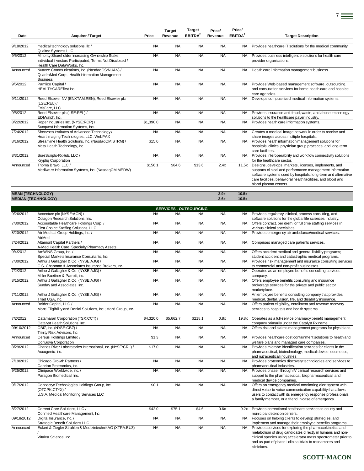|                          |                                                                                                                                             |           | <b>Target</b> | <b>Target</b>       | Price/    | Price/              |                                                                                                                                                                                                                                                                             |
|--------------------------|---------------------------------------------------------------------------------------------------------------------------------------------|-----------|---------------|---------------------|-----------|---------------------|-----------------------------------------------------------------------------------------------------------------------------------------------------------------------------------------------------------------------------------------------------------------------------|
| Date                     | <b>Acquirer / Target</b>                                                                                                                    | Price     | Revenue       | EBITDA <sup>2</sup> | Revenue   | EBITDA <sup>2</sup> | <b>Target Description</b>                                                                                                                                                                                                                                                   |
| 9/18/2012                | medical technology solutions, llc /<br>Qualtec Systems LLC                                                                                  | <b>NA</b> | <b>NA</b>     | <b>NA</b>           | <b>NA</b> | <b>NA</b>           | Provides healthcare IT solutions for the medical community.                                                                                                                                                                                                                 |
| 9/5/2012                 | Minority Shareholder Increasing Ownership Stake,<br>Individual Investors Participated, Terms Not Disclosed /<br>Health Care DataWorks, Inc. | <b>NA</b> | <b>NA</b>     | <b>NA</b>           | <b>NA</b> | <b>NA</b>           | Provides business intelligence solutions for health care<br>provider organizations.                                                                                                                                                                                         |
| Announced                | Nuance Communications, Inc. (NasdaqGS:NUAN) /<br>QuadraMed Corp., Health Information Management<br><b>Business</b>                          | <b>NA</b> | <b>NA</b>     | <b>NA</b>           | <b>NA</b> | <b>NA</b>           | Health care information management business.                                                                                                                                                                                                                                |
| 9/5/2012                 | Pamlico Capital /<br><b>HEALTHCAREfirst Inc.</b>                                                                                            | <b>NA</b> | <b>NA</b>     | <b>NA</b>           | <b>NA</b> | NA.                 | Provides Web-based management software, outsourcing,<br>and consultation services for home health care and hospice<br>care agencies.                                                                                                                                        |
| 9/11/2012                | Reed Elsevier NV (ENXTAM:REN), Reed Elsevier plc<br>(LSE:REL) /<br>ExitCare, LLC                                                            | <b>NA</b> | <b>NA</b>     | <b>NA</b>           | <b>NA</b> | <b>NA</b>           | Develops computerized medical information systems.                                                                                                                                                                                                                          |
| 9/5/2012                 | Reed Elsevier plc (LSE:REL) /<br>EDIWatch, Inc.                                                                                             | <b>NA</b> | <b>NA</b>     | <b>NA</b>           | <b>NA</b> | <b>NA</b>           | Provides insurance anti-fraud, waste, and abuse technology<br>solutions to the healthcare payer industry.                                                                                                                                                                   |
| 8/22/2012                | Roper Industries Inc. (NYSE:ROP) /<br>Sunquest Information Systems, Inc.                                                                    | \$1,390.0 | <b>NA</b>     | <b>NA</b>           | <b>NA</b> | <b>NA</b>           | Provides health care information systems.                                                                                                                                                                                                                                   |
| 7/24/2012                | Shenzhen Institutes of Advanced Technology /<br>Heart Imaging Technologies, LLC, WebPAX                                                     | <b>NA</b> | <b>NA</b>     | <b>NA</b>           | <b>NA</b> | <b>NA</b>           | Creates a medical image network in order to receive and<br>share images across multiple hospitals.                                                                                                                                                                          |
| 8/16/2012                | Streamline Health Solutions, Inc. (NasdaqCM:STRM) /<br>Meta Health Technology, Inc.                                                         | \$15.0    | <b>NA</b>     | <b>NA</b>           | <b>NA</b> | <b>NA</b>           | Provides health information management solutions for<br>hospitals, clinics, physician group practices, and long-term<br>care facilities.                                                                                                                                    |
| 8/31/2012                | SureScripts-RxHub, LLC /<br><b>Kryptig Corporation</b>                                                                                      | <b>NA</b> | <b>NA</b>     | <b>NA</b>           | <b>NA</b> | <b>NA</b>           | Provides interoperability and workflow connectivity solutions<br>for the healthcare sector.                                                                                                                                                                                 |
| Announced                | Thoma Bravo, LLC /<br>Mediware Information Systems, Inc. (NasdaqCM:MEDW)                                                                    | \$156.1   | \$64.6        | \$13.6              | 2.4x      | 11.5x               | Designs, develops, markets, licenses, implements, and<br>supports clinical and performance management information<br>software systems used by hospitals, long-term and alternative<br>care facilities, behavioral health facilities, and blood and<br>blood plasma centers. |
| <b>MEAN (TECHNOLOGY)</b> |                                                                                                                                             |           |               |                     | 2.9x      | 10.5x               |                                                                                                                                                                                                                                                                             |

**SERVICES - OUTSOURCING**

7

| 9/26/2012  | Accenture plc (NYSE:ACN) /                                      | <b>NA</b> | <b>NA</b> | <b>NA</b> | <b>NA</b> | <b>NA</b> | Provides regulatory, clinical, process consulting, and       |
|------------|-----------------------------------------------------------------|-----------|-----------|-----------|-----------|-----------|--------------------------------------------------------------|
|            | Octagon Research Solutions, Inc.                                |           |           |           |           |           | software solutions for the global life sciences industry.    |
| 7/30/2012  | Accountable Healthcare Holdings Corp./                          | <b>NA</b> | <b>NA</b> | <b>NA</b> | <b>NA</b> | <b>NA</b> | Offers contract, per diem, or full time staffing services in |
|            | First Choice Staffing Solutions, LLC                            |           |           |           |           |           | various clinical specialties.                                |
| 8/20/2012  | Air Medical Group Holdings, Inc. /                              | <b>NA</b> | <b>NA</b> | <b>NA</b> | <b>NA</b> | <b>NA</b> | Provides emergency air ambulance/medical services.           |
|            | AirMed                                                          |           |           |           |           |           |                                                              |
| 7/24/2012  | Altamont Capital Partners /                                     | <b>NA</b> | <b>NA</b> | <b>NA</b> | <b>NA</b> | NA.       | Comprises managed care patients services.                    |
|            | A-Med Health Care, Specialty Pharmacy Assets                    |           |           |           |           |           |                                                              |
| 9/4/2012   | AmWINS Group, Inc. /                                            | <b>NA</b> | <b>NA</b> | <b>NA</b> | <b>NA</b> | <b>NA</b> | Offers accident medical and general liability programs;      |
|            | Special Markets Insurance Consultants, Inc.                     |           |           |           |           |           | student accident and catastrophic medical programs.          |
| 7/30/2012  | Arthur J Gallagher & Co. (NYSE:AJG) /                           | <b>NA</b> | <b>NA</b> | <b>NA</b> | <b>NA</b> | <b>NA</b> | Provides risk management and insurance consulting services   |
|            | G.S. Chapman & Associates Insurance Brokers, Inc.               |           |           |           |           |           | to commercial and non-profit businesses.                     |
| 7/2/2012   | Arthur J Gallagher & Co. (NYSE:AJG) /                           | <b>NA</b> | <b>NA</b> | <b>NA</b> | <b>NA</b> | <b>NA</b> | Operates as an employee benefits consulting services         |
|            | Miller Buettner & Parrott, Inc.                                 |           |           |           |           |           | company.                                                     |
| 8/15/2012  | Arthur J Gallagher & Co. (NYSE:AJG) /                           | <b>NA</b> | <b>NA</b> | <b>NA</b> | <b>NA</b> | <b>NA</b> | Offers employee benefits consulting and insurance            |
|            | Sunday and Associates, Inc.                                     |           |           |           |           |           | brokerage services for the private and public sector         |
|            |                                                                 |           |           |           |           |           | marketplace.                                                 |
| 7/11/2012  | Arthur J Gallagher & Co. (NYSE:AJG) /                           | <b>NA</b> | <b>NA</b> | <b>NA</b> | <b>NA</b> | <b>NA</b> | An employee benefits consulting company that provides        |
|            | Triad USA, Inc.                                                 |           |           |           |           |           | medical, dental, vision, life, and disability insurance.     |
| Announced  | Bolder Capital, LLC /                                           | <b>NA</b> | <b>NA</b> | <b>NA</b> | <b>NA</b> | <b>NA</b> | Offers patient eligibility, enrollment and revenue recovery  |
|            | Monti Eligibility and Denial Solutions, Inc.; Monti Group, Inc. |           |           |           |           |           | services to hospitals and health systems.                    |
| 7/2/2012   | Catamaran Corporation (TSX:CCT) /                               | \$4,320.0 | \$5,662.7 | \$218.1   | 0.8x      | 19.8x     | Operates as a full-service pharmacy benefit management       |
|            | Catalyst Health Solutions, Inc.                                 |           |           |           |           |           | company primarily under the Catalyst Rx name.                |
| 09/10/2012 | CBIZ, Inc. (NYSE:CBZ) /                                         | <b>NA</b> | <b>NA</b> | <b>NA</b> | <b>NA</b> | <b>NA</b> | Offers risk and claims management programs for physicians.   |
|            | Trinity Risk Advisors, Inc.                                     |           |           |           |           |           |                                                              |
| Announced  | Cereus Holdings Limited /                                       | \$1.3     | <b>NA</b> | <b>NA</b> | <b>NA</b> | <b>NA</b> | Provides healthcare cost containment solutions to health and |
|            | ConSova Corporation                                             |           |           |           |           |           | welfare plans and managed care companies.                    |
| 8/29/2012  | Charles River Laboratories International Inc. (NYSE:CRL) /      | \$170     | <b>NA</b> | <b>NA</b> | <b>NA</b> | <b>NA</b> | Provides microbe identification services for clients in the  |

**MEDIAN (TECHNOLOGY) 2.6x 10.5x**

8/29/2012 Charles River Laboratories International, Inc. (NYSE:CRL) / Accugenix, Inc.  $\frac{1}{2}$ . pharmaceutical, biotechnology, medical device, cosmetics, and nutraceutical industries. 7/19/2012 Chicago Growth Partners / Caprion Proteomics, Inc. NA NA NA NA NA NA Provides proteomics discovery technologies and services to pharmaceutical industries. 9/25/2012 Clinipace Worldwide, Inc. / Paragon Biomedical, Inc. NA NA NA NA NA Provides phase I through IV clinical research services and support to the pharmaceutical, biopharmaceutical, and medical device companies. 9/17/2012 Connectyx Technologies Holdings Group, Inc. (OTCPK:CTYX) / U.S.A. Medical Monitoring Services LLC \$0.1 NA NA NA NA NA Offers an emergency medical monitoring alert system with direct voice-to-voice communication capability that allows users to contact with its emergency response professionals, a family member, or a friend in case of emergency. 8/27/2012 Correct Care Solutions, LLC / Conmed Healthcare Management, Inc \$42.0 \$75.1 \$4.6 0.6x 9.2x Provides correctional healthcare services to county and municipal detention centers. 09/18/2012 Digital Insurance, Inc. / Strategic Benefit Solutions LLC NA NA NA NA NA NA Focuses on helping clients to develop strategies, and implement and manage their employee benefits programs. Announced Eckert & Ziegler Strahlen & MedizintechnikAG (XTRA:EUZ) / Vitalea Science, Inc. NA NA NA NA NA NA Provides services for exploring the pharmacokinetics and metabolism of drug candidates directly in humans and nonclinical species using accelerator mass spectrometer prior to

**SCOTT-MACON** 

and as part of phase I clinical trials to researchers and

clinicians.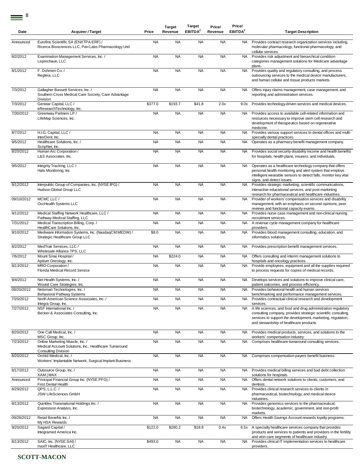| Date       | <b>Acquirer / Target</b>                                                                                                | Price     | <b>Target</b><br>Revenue | Target<br>EBITDA <sup>2</sup> | Price/<br>Revenue | Price/<br>EBITDA <sup>2</sup> | <b>Target Description</b>                                                                                                                                                                                                              |
|------------|-------------------------------------------------------------------------------------------------------------------------|-----------|--------------------------|-------------------------------|-------------------|-------------------------------|----------------------------------------------------------------------------------------------------------------------------------------------------------------------------------------------------------------------------------------|
| Announced  | Eurofins Scientific SA (ENXTPA:ERF) /<br>Ricerca Biosciences LLC, Pan Labs Pharmacology Unit                            | <b>NA</b> | <b>NA</b>                | <b>NA</b>                     | <b>NA</b>         | NA.                           | Provides contract research organization services including,<br>molecular pharmacology, functional pharmacology, and<br>cellular services.                                                                                              |
| 8/2/2012   | Examination Management Services, Inc. /<br>Leprechaun, LLC                                                              | <b>NA</b> | <b>NA</b>                | <b>NA</b>                     | <b>NA</b>         | <b>NA</b>                     | Provides risk adjustment and hierarchical condition<br>categories management solutions for Medicare advantage<br>plans.                                                                                                                |
| 8/1/2012   | F. Dohmen Co./<br>Reglera, LLC                                                                                          | <b>NA</b> | <b>NA</b>                | <b>NA</b>                     | <b>NA</b>         | <b>NA</b>                     | Provides quality and regulatory consulting, and process<br>outsourcing services to the medical device manufacturers,<br>and human cellular and tissue products markets.                                                                |
| 7/3/2012   | Gallagher Bassett Services, Inc. /<br>Southern Cross Medical Care Society, Care Advantage<br>Division                   | <b>NA</b> | <b>NA</b>                | <b>NA</b>                     | <b>NA</b>         | <b>NA</b>                     | Offers injury claims management, case management, and<br>reporting and administration services.                                                                                                                                        |
| 7/3/2012   | Genstar Capital, LLC /<br>eResearchTechnology, Inc.                                                                     | \$377.0   | \$193.7                  | \$41.8                        | 2.0x              | 9.0x                          | Provides technology-driven services and medical devices.                                                                                                                                                                               |
| 7/30/2012  | Greenway Partners LP /<br>LifeMap Sciences, Inc.                                                                        | <b>NA</b> | <b>NA</b>                | <b>NA</b>                     | <b>NA</b>         | <b>NA</b>                     | Provides access to available cell-related information and<br>resources necessary to improve stem cell research and<br>development of therapeutics based on regenerative<br>medicine.                                                   |
| 8/7/2012   | H.I.G. Capital, LLC /<br>InterDent, Inc.                                                                                | <b>NA</b> | <b>NA</b>                | <b>NA</b>                     | <b>NA</b>         | <b>NA</b>                     | Provides various support services to dental offices and multi-<br>specialty dental practices.                                                                                                                                          |
| 9/5/2012   | Healthcare Solutions, Inc. /<br>ScripNet, Inc.                                                                          | <b>NA</b> | <b>NA</b>                | <b>NA</b>                     | <b>NA</b>         | <b>NA</b>                     | Operates as a pharmacy benefit management company.                                                                                                                                                                                     |
| 8/20/2012  | Human Arc Corporation /<br>L&S Associates, Inc.                                                                         | <b>NA</b> | <b>NA</b>                | <b>NA</b>                     | <b>NA</b>         | <b>NA</b>                     | Provides social security disability income and health benefits<br>for hospitals, health plans, insurers, and individuals.                                                                                                              |
| 9/5/2012   | Integrity Tracking, LLC /<br>Halo Monitoring, Inc.                                                                      | <b>NA</b> | <b>NA</b>                | <b>NA</b>                     | <b>NA</b>         | NA                            | Operates as a healthcare technology company that offers<br>personal health monitoring and alert system that employs<br>intelligent wearable sensors to detect falls, monitor key vital<br>signs, and detect issues.                    |
| 9/12/2012  | Interpublic Group of Companies, Inc. (NYSE:IPG) /<br>Hudson Global Group LLC                                            | <b>NA</b> | <b>NA</b>                | <b>NA</b>                     | <b>NA</b>         | <b>NA</b>                     | Provides strategic marketing, scientific communications,<br>interactive educational services, and post marketing<br>research for pharmaceutical and healthcare industries.                                                             |
| 09/10/2012 | MCMC LLC /<br>OccHealth Systems LLC                                                                                     | <b>NA</b> | <b>NA</b>                | <b>NA</b>                     | <b>NA</b>         | <b>NA</b>                     | Provider of workers' compensation services and disability<br>management, with an emphasis on second opinions, peer<br>reviews and functional capacity exams.                                                                           |
| 9/12/2012  | Medical Staffing Network Healthcare, LLC /<br>Pathway Medical Staffing, LLC                                             | <b>NA</b> | <b>NA</b>                | <b>NA</b>                     | <b>NA</b>         | <b>NA</b>                     | Provides nurse case management and non-clinical nursing<br>recruitment services.                                                                                                                                                       |
| 7/31/2012  | Medical Transcription Billing, Corp./<br>HealthCare Solutions, Inc.                                                     | <b>NA</b> | <b>NA</b>                | <b>NA</b>                     | <b>NA</b>         | <b>NA</b>                     | A revenue cycle management company for healthcare<br>providers.                                                                                                                                                                        |
| 9/10/2012  | Mediware Information Systems, Inc. (NasdaqCM:MEDW) /<br>Strategic Healthcare Group LLC                                  | \$8.0     | <b>NA</b>                | <b>NA</b>                     | <b>NA</b>         | NA                            | Provides blood management consulting, education, and<br>informatics solutions.                                                                                                                                                         |
| 8/2/2012   | MedTrak Services, LLC /<br>Wholesale Alliance TPS, LLC                                                                  | <b>NA</b> | <b>NA</b>                | <b>NA</b>                     | <b>NA</b>         | <b>NA</b>                     | Provides prescription benefit management services.                                                                                                                                                                                     |
| 7/6/2012   | Mount Sinai Hospital /<br>Aptium Oncology, Inc.                                                                         | <b>NA</b> | \$224.0                  | <b>NA</b>                     | <b>NA</b>         | NA.                           | Offers consulting and interim management solutions to<br>hospitals and oncology practices.                                                                                                                                             |
| 9/13/2012  | MRO Corporation /<br>Florida Medical Record Service                                                                     | <b>NA</b> | <b>NA</b>                | <b>NA</b>                     | <b>NA</b>         | <b>NA</b>                     | Provide employees, equipment and all the supplies required<br>to process requests for copies of medical records.                                                                                                                       |
| 9/4/2012   | Net Health Systems, Inc. /<br>Wound Care Strategies, Inc.                                                               | <b>NA</b> | <b>NA</b>                | <b>NA</b>                     | <b>NA</b>         | NA                            | Develops services and solutions to improve clinical care,<br>patient outcomes, and process efficiency.                                                                                                                                 |
| 08/20/2012 | Netsmart Technologies, Inc. /<br><b>Behavioral Pathway Systems</b>                                                      | <b>NA</b> | <b>NA</b>                | <b>NA</b>                     | <b>NA</b>         | NA                            | Provides behavioral health and human services<br>benchmarking and performance management services.                                                                                                                                     |
| 7/20/2012  | North American Science Associates, Inc. /<br>Integra Group, Inc.                                                        | <b>NA</b> | <b>NA</b>                | <b>NA</b>                     | <b>NA</b>         | NA                            | Provides contractual clinical research and development<br>services.                                                                                                                                                                    |
| 7/27/2012  | NSF International Inc. /<br>Becker & Associates Consulting, Inc.                                                        | <b>NA</b> | <b>NA</b>                | <b>NA</b>                     | <b>NA</b>         | <b>NA</b>                     | A life sciences, and food and drug administration regulatory<br>consulting company, provides strategic scientific consulting<br>services to support the development, marketing, regulation,<br>and stewardship of healthcare products. |
| 8/20/2012  | One Call Medical, Inc. /<br>MSC Group, Inc.                                                                             | <b>NA</b> | <b>NA</b>                | <b>NA</b>                     | <b>NA</b>         | NA.                           | Provides medical products, services, and solutions to the<br>workers' compensation industry.                                                                                                                                           |
| 7/23/2012  | Online Marketing Muscle, Inc. /<br>Medical Account Solutions, Inc., Healthcare Turnaround<br><b>Consulting Division</b> | <b>NA</b> | <b>NA</b>                | <b>NA</b>                     | <b>NA</b>         | NA                            | Comprises healthcare turnaround consulting services.                                                                                                                                                                                   |
| 8/20/2012  | Orchid Medical, Inc. /<br>Workers' Implantable Network, Surgical Implant Business                                       | <b>NA</b> | <b>NA</b>                | <b>NA</b>                     | <b>NA</b>         | NA                            | Comprises compensation payers benefit business.                                                                                                                                                                                        |
| 8/17/2012  | Outsource Group, Inc. /<br>XAM   MAX                                                                                    | <b>NA</b> | <b>NA</b>                | <b>NA</b>                     | <b>NA</b>         | NA .                          | Provides medical billing services and bad debt collection<br>solutions for hospitals.                                                                                                                                                  |
| Announced  | Principal Financial Group Inc. (NYSE:PFG) /<br>First Dental Health                                                      | <b>NA</b> | <b>NA</b>                | <b>NA</b>                     | <b>NA</b>         | <b>NA</b>                     | Offers dental network solutions to clients, customers, and<br>dentists.                                                                                                                                                                |
| 8/29/2012  | QPS, L.L.C./<br>JSW LifeSciences GmbH                                                                                   | <b>NA</b> | <b>NA</b>                | <b>NA</b>                     | <b>NA</b>         | <b>NA</b>                     | Provides clinical research services to clients in<br>pharmaceutical, biotechnology, and medical device<br>industries.                                                                                                                  |
| 8/13/2012  | Quintiles Transnational Holdings Inc. /<br>Expression Analysis, Inc.                                                    | <b>NA</b> | <b>NA</b>                | <b>NA</b>                     | <b>NA</b>         | <b>NA</b>                     | Provides genomics services to the pharmaceutical,<br>biotechnology, academic, government, and non-profit<br>markets.                                                                                                                   |
| 09/26/2012 | Retail Benefits Inc. /<br>My HSA Rewards                                                                                | <b>NA</b> | <b>NA</b>                | <b>NA</b>                     | <b>NA</b>         | <b>NA</b>                     | Offers Health Savings Account rewards loyalty programs.                                                                                                                                                                                |
| 9/20/2012  | Sagard Capital /<br>Integramed America Inc.                                                                             | \$122.0   | \$280.2                  | \$18.8                        | 0.4x              | 6.5x                          | A specialty healthcare services company that provides<br>products and services to patients and providers in the fertility<br>and vein care segments of healthcare industry.                                                            |
| 8/13/2012  | SAIC, Inc. (NYSE:SAI) /<br>maxIT Healthcare, LLC                                                                        | \$493.0   | <b>NA</b>                | <b>NA</b>                     | <b>NA</b>         | <b>NA</b>                     | Provides clinical IT implementation services to healthcare<br>providers.                                                                                                                                                               |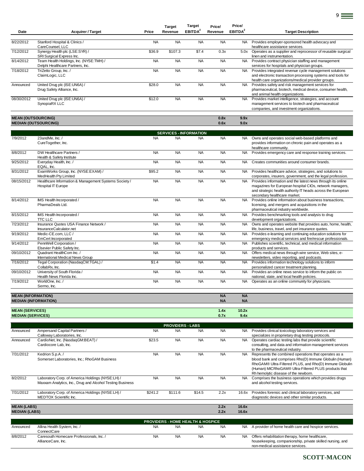| Date       | <b>Acquirer / Target</b>                                                    | Price     | <b>Target</b><br>Revenue | <b>Target</b><br>EBITDA <sup>2</sup> | Price/<br>Revenue | Price/<br>EBITDA <sup>2</sup> | <b>Target Description</b>                                                                                                                                                   |
|------------|-----------------------------------------------------------------------------|-----------|--------------------------|--------------------------------------|-------------------|-------------------------------|-----------------------------------------------------------------------------------------------------------------------------------------------------------------------------|
| 8/22/2012  | Stanford Hospital & Clinics /<br>CareCounsel, LLC                           | <b>NA</b> | <b>NA</b>                | <b>NA</b>                            | <b>NA</b>         | <b>NA</b>                     | Provides employer-sponsored health advocacy and<br>healthcare assistance services.                                                                                          |
| 7/12/2012  | Synergy Health plc (LSE:SYR) /<br>SRI Surgical Express Inc.                 | \$36.9    | \$107.3                  | \$7.4                                | 0.3x              | 5.0x                          | Operates as a supplier and reprocessor of reusable surgical<br>linen and instrumentation.                                                                                   |
| 8/14/2012  | Team Health Holdings, Inc. (NYSE:TMH) /<br>Delphi Healthcare Partners, Inc. | <b>NA</b> | <b>NA</b>                | <b>NA</b>                            | <b>NA</b>         | NA.                           | Provides contract physician staffing and management<br>services for hospitals and physician groups.                                                                         |
| 7/18/2012  | TriZetto Group, Inc./<br>ClaimLogic, LLC                                    | <b>NA</b> | <b>NA</b>                | <b>NA</b>                            | <b>NA</b>         | NA.                           | Provides integrated revenue cycle management solutions<br>and electronic transaction processing systems and tools for<br>health care organizations/medical provider groups. |
| Announced  | United Drug plc (ISE:UN6A) /<br>Drug Safety Alliance, Inc.                  | \$28.0    | <b>NA</b>                | <b>NA</b>                            | <b>NA</b>         | NA.                           | Provides safety and risk management services for<br>pharmaceutical, biotech, medical device, consumer health,<br>and animal health organizations.                           |
| 08/30/2012 | United Drug plc (ISE:UN6A) /<br>SynopiaRX LLC                               | \$12.0    | <b>NA</b>                | <b>NA</b>                            | <b>NA</b>         | NA.                           | Provides market intelligence, strategies, and account<br>management services to biotech and pharmaceutical<br>companies, and investment organizations.                      |

9

**MEAN (OUTSOURCING) 0.8x 9.9x MEDIAN (OUTSOURCING) 0.6x 9.0x**

|                           |                                                                                    |           | <b>SERVICES - INFORMATION</b> |           |           |           |                                                                                                                                                                                                                       |
|---------------------------|------------------------------------------------------------------------------------|-----------|-------------------------------|-----------|-----------|-----------|-----------------------------------------------------------------------------------------------------------------------------------------------------------------------------------------------------------------------|
| 7/9/2012                  | 23andMe, Inc./<br>CureTogether, Inc.                                               | <b>NA</b> | <b>NA</b>                     | <b>NA</b> | <b>NA</b> | <b>NA</b> | Owns and operates social web-based platforms and<br>provides information on chronic pain and operates as a<br>healthcare community.                                                                                   |
| 8/8/2012                  | DW Healthcare Partners /<br>Health & Safety Institute                              | <b>NA</b> | <b>NA</b>                     | <b>NA</b> | <b>NA</b> | <b>NA</b> | Provides emergency care and response training services.                                                                                                                                                               |
| 9/25/2012                 | Everyday Health, Inc. /<br>EQAL, Inc.                                              | <b>NA</b> | <b>NA</b>                     | <b>NA</b> | <b>NA</b> | <b>NA</b> | Creates communities around consumer brands.                                                                                                                                                                           |
| 8/31/2012                 | ExamWorks Group, Inc. (NYSE:EXAM) /<br>MedHealth Pty Limited                       | \$95.2    | <b>NA</b>                     | <b>NA</b> | <b>NA</b> | <b>NA</b> | Provides healthcare advice, strategies, and solutions to<br>corporates, insurers, government, and the legal profession.                                                                                               |
| 08/15/2012                | Healthcare Information & Management Systems Society /<br><b>Hospital IT Europe</b> | <b>NA</b> | <b>NA</b>                     | <b>NA</b> | <b>NA</b> | <b>NA</b> | Provides information and the latest news through its online<br>magazines for European hospital CIOs, network managers,<br>and strategic health authority IT heads across the European<br>secondary healthcare market. |
| 8/14/2012                 | IMS Health Incorporated /<br>PharmaDeals Ltd.                                      | <b>NA</b> | <b>NA</b>                     | <b>NA</b> | <b>NA</b> | <b>NA</b> | Provides online information about business transactions,<br>licensing, and mergers and acquisitions in the<br>pharmaceutical industry worldwide.                                                                      |
| 8/15/2012                 | IMS Health Incorporated /<br><b>TTC LLC</b>                                        | <b>NA</b> | <b>NA</b>                     | <b>NA</b> | <b>NA</b> | <b>NA</b> | Provides benchmarking tools and analysis to drug<br>development organizations.                                                                                                                                        |
| 7/23/2012                 | Insurance Quotes USA Finance Network /<br>InsuranceCalculator.net                  | <b>NA</b> | <b>NA</b>                     | <b>NA</b> | <b>NA</b> | <b>NA</b> | Owns and operates website that provides auto, home, health,<br>life, business, travel, and pet insurance quotes.                                                                                                      |
| 9/19/2012                 | Medic-CE.com, LLC /<br><b>EmCert Incorporated</b>                                  | <b>NA</b> | <b>NA</b>                     | <b>NA</b> | <b>NA</b> | <b>NA</b> | Provides e-learning and continuing education solutions for<br>emergency medical services and fire/rescue professionals.                                                                                               |
| 9/14/2012                 | PennWell Corporation /<br>Elsevier Public Safety Inc.                              | <b>NA</b> | <b>NA</b>                     | <b>NA</b> | <b>NA</b> | <b>NA</b> | Publishes scientific, technical, and medical information<br>products and services.                                                                                                                                    |
| 09/10/2012                | Quadrant HealthCom Inc. /<br>International Medical News Group                      | <b>NA</b> | <b>NA</b>                     | <b>NA</b> | <b>NA</b> | <b>NA</b> | Offers medical news through wire service, Web sites, e-<br>newsletters, video reporting, and podcasts.                                                                                                                |
| 7/16/2012                 | Tegal Corporation (NasdaqCM:TGAL) /<br>CollabRx. Inc.                              | \$1.4     | <b>NA</b>                     | <b>NA</b> | <b>NA</b> | <b>NA</b> | Provides information technology solutions to inform<br>personalized cancer treatment planning.                                                                                                                        |
| 09/10/2012                | University of South Florida /<br>Health News Florida Inc.                          | <b>NA</b> | <b>NA</b>                     | <b>NA</b> | <b>NA</b> | <b>NA</b> | Provides an online news service to inform the public on<br>national, state, and local health policies.                                                                                                                |
| 7/19/2012                 | WorldOne, Inc./<br>Sermo, Inc.                                                     | <b>NA</b> | <b>NA</b>                     | <b>NA</b> | <b>NA</b> | <b>NA</b> | Operates as an online community for physicians.                                                                                                                                                                       |
| <b>MEAN (INFORMATION)</b> |                                                                                    |           |                               |           | <b>NA</b> | <b>NA</b> |                                                                                                                                                                                                                       |

**MEDIAN (INFORMATION) NA NA**

**MEAN (SERVICES) 1.4x 10.2x**

Announced Ampersand Capital Partners / Calloway Laboratories, Inc. NA NA NA NA NA NA Provides clinical toxicology laboratory services and specializes in proprietary drug testing protocols. Announced CardioNet, Inc. (NasdaqGM:BEAT) / Cardiocore Lab, Inc. \$23.5 NA NA NA NA NA Operates cardiac testing labs that provide scientific consulting, and data and information management services to the pharmaceutical industry. 7/31/2012 Kedrion S.p.A. / Somerset Laboratories, Inc.; RhoGAM Business NA NA NA NA NA Represents the combined operations that operates as a blood bank and comprises Rho(D) Immune Globulin (Human) RhoGAM® Ultra-Filtered PLUS, and Rho(D) Immune Globulin (Human) MICRhoGAM® Ultra-Filtered PLUS products that Rh hemolytic disease of the newborn. 8/2/2012 Laboratory Corp. of America Holdings (NYSE:LH) / Maxxam Analytics, Inc., Drug and Alcohol Testing Business NA NA NA NA NA Comprises the business operations which provides drugs and alcohol testing services. 7/31/2012 Laboratory Corp. of America Holdings (NYSE:LH) / MEDTOX Scientific Inc. \$241.2 \$111.6 \$14.5 2.2x 16.6x Provides forensic and clinical laboratory services, and diagnostic devices and other similar products. **MEAN (LABS) 2.2x 16.6x MEDIAN (LABS) 2.2x 16.6x** Announced Allina Health System, Inc. / **ConnectCare** NA NA NA NA NA NA A provider of home health care and hospice services. 8/8/2012 Caresouth Homecare Professionals, Inc. / AllianceCare, Inc. NA NA NA NA NA NA Offers rehabilitation therapy, home healthcare, housekeeping, companionship, private skilled nursing, and **PROVIDERS - LABS PROVIDERS - HOME HEALTH & HOSPICE**

**MEDIAN (SERVICES) 0.7x 9.4x**

non-medical assistance services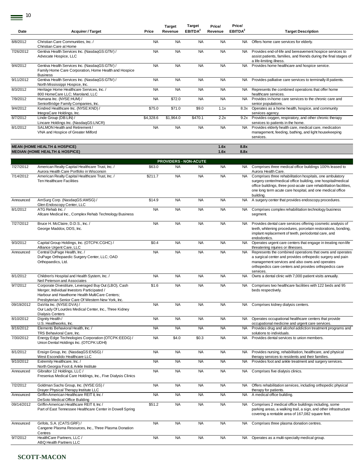$\equiv$ <sup>10</sup>

| Date       | <b>Acquirer / Target</b>                                                                                                                                                                                     | Price     | <b>Target</b><br>Revenue     | <b>Target</b><br>EBITDA <sup>2</sup> | Price/<br>Revenue | Price/<br>EBITDA <sup>2</sup> | <b>Target Description</b>                                                                                                                                                                                                                                                |
|------------|--------------------------------------------------------------------------------------------------------------------------------------------------------------------------------------------------------------|-----------|------------------------------|--------------------------------------|-------------------|-------------------------------|--------------------------------------------------------------------------------------------------------------------------------------------------------------------------------------------------------------------------------------------------------------------------|
| 8/8/2012   | Christian Care Communities, Inc. /                                                                                                                                                                           | <b>NA</b> | <b>NA</b>                    | <b>NA</b>                            | <b>NA</b>         | NA.                           | Offers home care services for elderly.                                                                                                                                                                                                                                   |
| 7/26/2012  | Christian Care at Home<br>Gentiva Health Services Inc. (NasdaqGS:GTIV) /<br>Advocate Hospice, LLC                                                                                                            | <b>NA</b> | <b>NA</b>                    | <b>NA</b>                            | <b>NA</b>         | <b>NA</b>                     | Provides end-of-life and bereavement hospice services to<br>assist patients, families, and friends during the final stages of                                                                                                                                            |
| 9/4/2012   | Gentiva Health Services Inc. (NasdaqGS:GTIV) /<br>Family Home Care Corporation, Home Health and Hospice                                                                                                      | <b>NA</b> | <b>NA</b>                    | <b>NA</b>                            | <b>NA</b>         | <b>NA</b>                     | a life-limiting illness.<br>Provides home healthcare and hospice service.                                                                                                                                                                                                |
| 9/11/2012  | <b>Business</b><br>Gentiva Health Services Inc. (NasdaqGS:GTIV) /<br>North Mississippi Hospice, Inc.                                                                                                         | <b>NA</b> | <b>NA</b>                    | <b>NA</b>                            | <b>NA</b>         | NA                            | Provides palliative care services to terminally ill patients.                                                                                                                                                                                                            |
| 8/3/2012   | Heritage Home Healthcare Services, Inc. /<br>800 HomeCare LLC; Maroland, LLC                                                                                                                                 | <b>NA</b> | <b>NA</b>                    | <b>NA</b>                            | <b>NA</b>         | NA                            | Represents the combined operations that offer home<br>healthcare services.                                                                                                                                                                                               |
| 7/9/2012   | Humana Inc. (NYSE:HUM) /<br>SeniorBridge Family Companies, Inc.                                                                                                                                              | <b>NA</b> | \$72.0                       | <b>NA</b>                            | <b>NA</b>         | NA.                           | Provides in-home care services to the chronic care and<br>senior populations.                                                                                                                                                                                            |
| 9/4/2012   | Kindred Healthcare Inc. (NYSE:KND) /<br>IntegraCare Holdings, Inc.                                                                                                                                           | \$75.0    | \$71.0                       | \$9.0                                | 1.1x              | 8.3x                          | Operates as a home health, hospice, and community<br>services agency.                                                                                                                                                                                                    |
| 8/7/2012   | Linde Group (DB:LIN) /<br>Lincare Holdings Inc. (NasdaqGS:LNCR)                                                                                                                                              | \$4,328.6 | \$1,964.0                    | \$470.1                              | 2.2x              | 9.2x                          | Provides oxygen, respiratory, and other chronic therapy<br>services to patients in the home.                                                                                                                                                                             |
| 8/1/2012   | SALMON Health and Retirement /<br>VNA and Hospice of Greater Milford                                                                                                                                         | <b>NA</b> | <b>NA</b>                    | <b>NA</b>                            | <b>NA</b>         | <b>NA</b>                     | Provides elderly health care, medical care, medication<br>management, feeding, bathing, and light housekeeping<br>services.                                                                                                                                              |
|            | <b>MEAN (HOME HEALTH &amp; HOSPICE)</b><br><b>MEDIAN (HOME HEALTH &amp; HOSPICE)</b>                                                                                                                         |           |                              |                                      | 1.6x<br>1.6x      | 8.8x<br>8.8x                  |                                                                                                                                                                                                                                                                          |
|            |                                                                                                                                                                                                              |           | <b>PROVIDERS - NON-ACUTE</b> |                                      |                   |                               |                                                                                                                                                                                                                                                                          |
| 7/27/2012  | American Realty Capital Healthcare Trust, Inc. /<br>Aurora Health Care Portfolio in Wisconsin                                                                                                                | \$63.0    | <b>NA</b>                    | <b>NA</b>                            | <b>NA</b>         |                               | NA Comprises three medical office buildings 100% leased to<br>Aurora Health Care.                                                                                                                                                                                        |
| 7/14/2012  | American Realty Capital Healthcare Trust, Inc. /<br><b>Ten Healthcare Facilities</b>                                                                                                                         | \$211.7   | <b>NA</b>                    | <b>NA</b>                            | <b>NA</b>         | <b>NA</b>                     | Comprises three rehabilitation hospitals, one ambulatory<br>surgery center/medical office building, one hospital/medical<br>office buildings, three post-acute care rehabilitation facilities,<br>one long term acute care hospital, and one medical office<br>building. |
| Announced  | AmSurg Corp. (NasdaqGS:AMSG) /<br>Glen Endoscopy Center, LLC                                                                                                                                                 | \$14.9    | <b>NA</b>                    | <b>NA</b>                            | <b>NA</b>         | NA                            | A surgery center that provides endoscopy procedures.                                                                                                                                                                                                                     |
| 8/1/2012   | ATG Rehab Inc. /<br>Allcare Medical Inc., Complex Rehab Technology Business                                                                                                                                  | <b>NA</b> | <b>NA</b>                    | <b>NA</b>                            | <b>NA</b>         | NA                            | Comprises complex rehabilitation technology business<br>segment.                                                                                                                                                                                                         |
| 7/27/2012  | Bruce H. McClaire, D.D.S., Inc. /<br>George Maddox, DDS, Inc.                                                                                                                                                | <b>NA</b> | <b>NA</b>                    | <b>NA</b>                            | <b>NA</b>         | NA                            | Provides dental care services offering cosmetic analysis of<br>teeth, whitening procedures, porcelain restorations, bonding,<br>implant replacement of teeth, periodontal care, and<br>endodontics.                                                                      |
| 9/3/2012   | Capital Group Holdings, Inc. (OTCPK:CGHC) /<br>Alliance Urgent Care, LLC                                                                                                                                     | \$0.4     | <b>NA</b>                    | <b>NA</b>                            | <b>NA</b>         | NA.                           | Operates urgent care centers that engage in treating non-life<br>threatening injuries or illnesses.                                                                                                                                                                      |
| Announced  | Central DuPage Health, Inc. /<br>DuPage Orthopaedic Surgery Center, LLC; OAD<br>Orthopaedics, Ltd.                                                                                                           | <b>NA</b> | <b>NA</b>                    | <b>NA</b>                            | <b>NA</b>         | <b>NA</b>                     | Represents the combined operations that owns and operates<br>a surgical center and provides orthopedic surgery and pain<br>management services and also owns and operates<br>orthopedics care centers and provides orthopedics care<br>services.                         |
| 8/1/2012   | Children's Hospital and Health System, Inc. /<br>Neil Peterson and Associates                                                                                                                                | <b>NA</b> | <b>NA</b>                    | <b>NA</b>                            | <b>NA</b>         | <b>NA</b>                     | Owns a dental clinic with 7,000 patient visits annually.                                                                                                                                                                                                                 |
| 9/7/2012   | Corporate Divestiture, Leveraged Buy Out (LBO), Cash<br>Merger, Individual Investors Participated /<br>Harbour and Hawthorne Health MultiCare Centers;<br>Presbyterian Senior Care Of Western New York, Inc. | \$1.6     | <b>NA</b>                    | <b>NA</b>                            | <b>NA</b>         | NA.                           | Comprises two healthcare facilities with 122 beds and 95<br>beds respectively.                                                                                                                                                                                           |
| 09/19/2012 | DaVita Inc. (NYSE:DVA) /<br>Our Lady Of Lourdes Medical Center, Inc., Three Kidney<br>Dialysis Centers                                                                                                       | <b>NA</b> | <b>NA</b>                    | <b>NA</b>                            | <b>NA</b>         | NA                            | Comprises kidney dialysis centers.                                                                                                                                                                                                                                       |
| 8/10/2012  | Dignity Health /<br>U.S. Healthworks, Inc.                                                                                                                                                                   | <b>NA</b> | <b>NA</b>                    | <b>NA</b>                            | <b>NA</b>         | <b>NA</b>                     | Operates occupational healthcare centers that provide<br>occupational medicine and urgent care services.                                                                                                                                                                 |
| 8/16/2012  | Elements Behavioral Health, Inc. /<br>TRS Behavioral Care, Inc.                                                                                                                                              | <b>NA</b> | <b>NA</b>                    | <b>NA</b>                            | <b>NA</b>         | NA.                           | Provides drug and alcohol addiction treatment programs and<br>solutions to individuals.                                                                                                                                                                                  |
| 7/30/2012  | Energy Edge Technologies Corporation (OTCPK:EEDG) /<br>Union Dental Holdings Inc. (OTCPK:UDHI)                                                                                                               | <b>NA</b> | \$4.0                        | \$0.3                                | <b>NA</b>         | <b>NA</b>                     | Provides dental services to union members.                                                                                                                                                                                                                               |
| 8/1/2012   | Ensign Group, Inc. (NasdaqGS:ENSG) /<br>West Escondido Healthcare LLC                                                                                                                                        | <b>NA</b> | <b>NA</b>                    | <b>NA</b>                            | <b>NA</b>         | <b>NA</b>                     | Provides nursing, rehabilitation, healthcare, and physical<br>therapy services to residents and their families.                                                                                                                                                          |
| 9/10/2012  | Extremity Healthcare, Inc. /<br>North Georgia Foot & Ankle Institute                                                                                                                                         | <b>NA</b> | <b>NA</b>                    | <b>NA</b>                            | <b>NA</b>         | NA.                           | Provides foot and ankle treatment and surgery services.                                                                                                                                                                                                                  |
| Announced  | Gibraltor 12 Holdings, LLC /<br>Fresenius Medical Care Holdings, Inc., Five Dialysis Clinics                                                                                                                 | <b>NA</b> | <b>NA</b>                    | <b>NA</b>                            | <b>NA</b>         | NA                            | Comprises five dialysis clinics.                                                                                                                                                                                                                                         |
| 7/2/2012   | Goldman Sachs Group, Inc. (NYSE:GS) /<br>Drayer Physical Therapy Institute LLC                                                                                                                               | <b>NA</b> | <b>NA</b>                    | <b>NA</b>                            | <b>NA</b>         | NA                            | Offers rehabilitation services, including orthopedic physical<br>therapy for patients.                                                                                                                                                                                   |
| Announced  | Griffin-American Healthcare REIT II, Inc /<br>DeSoto Medical Office Building                                                                                                                                 | <b>NA</b> | <b>NA</b>                    | <b>NA</b>                            | <b>NA</b>         | NA                            | A medical office building.                                                                                                                                                                                                                                               |
| 09/14/2012 | Griffin-American Healthcare REIT II, Inc /<br>Part of East Tennessee Healthcare Center in Dowell Spring                                                                                                      | \$51.2    | <b>NA</b>                    | <b>NA</b>                            | <b>NA</b>         | NA                            | Comprises 2 medical office buildings including, some<br>parking areas, a walking trail, a sign, and other infrastructure<br>covering a rentable area of 167,082 square feet.                                                                                             |
| Announced  | Grifols, S.A. (CATS:GRF) /<br>Cangene Plasma Resources, Inc., Three Plasma Donation<br>Centres                                                                                                               | <b>NA</b> | <b>NA</b>                    | <b>NA</b>                            | <b>NA</b>         | NA                            | Comprises three plasma donation centres.                                                                                                                                                                                                                                 |
| 9/7/2012   | HealthCare Partners, LLC /<br>ABQ Health Partners LLC                                                                                                                                                        | <b>NA</b> | <b>NA</b>                    | <b>NA</b>                            | <b>NA</b>         |                               | NA Operates as a multi-specialty medical group.                                                                                                                                                                                                                          |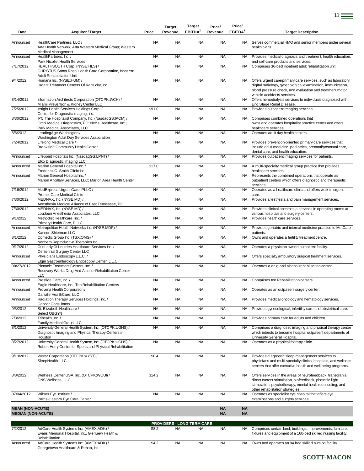| Date                      | <b>Acquirer / Target</b>                                                                                                                     | Price     | Target<br>Revenue | Target<br>EBITDA <sup>2</sup>           | Price/<br>Revenue | Price/<br>EBITDA <sup>2</sup> | <b>Target Description</b>                                                                                                                                                                                               |
|---------------------------|----------------------------------------------------------------------------------------------------------------------------------------------|-----------|-------------------|-----------------------------------------|-------------------|-------------------------------|-------------------------------------------------------------------------------------------------------------------------------------------------------------------------------------------------------------------------|
| Announced                 | HealthCare Partners, LLC /<br>Arta Health Network; Arta Western Medical Group; Western<br><b>Medical Management</b>                          | <b>NA</b> | <b>NA</b>         | <b>NA</b>                               | <b>NA</b>         | <b>NA</b>                     | Serves commercial HMO and senior members under several<br>health plans.                                                                                                                                                 |
| Announced                 | HealthPartners, Inc. /<br>Park Nicollet Health Services                                                                                      | <b>NA</b> | <b>NA</b>         | <b>NA</b>                               | <b>NA</b>         | <b>NA</b>                     | Provides medical diagnosis and treatment, health education,<br>and self-care products and services.                                                                                                                     |
| 7/17/2012                 | HEALTHSOUTH Corp. (NYSE:HLS) /<br>CHRISTUS Santa Rosa Health Care Corporation, Inpatient<br><b>Adult Rehabilitation Unit</b>                 | <b>NA</b> | <b>NA</b>         | <b>NA</b>                               | <b>NA</b>         | <b>NA</b>                     | Comprises 36-bed inpatient adult rehabilitation unit.                                                                                                                                                                   |
| 9/4/2012                  | Humana Inc. (NYSE:HUM) /<br>Urgent Treatment Centers Of Kentucky, Inc.                                                                       | <b>NA</b> | <b>NA</b>         | <b>NA</b>                               | <b>NA</b>         | <b>NA</b>                     | Offers urgent care/primary care services, such as laboratory,<br>digital radiology, gynecological examination, immunization,<br>blood pressure check, and evaluation and treatment motor<br>vehicle accidents services. |
| 8/14/2012                 | Information Architects Corporation (OTCPK:IACH) /<br>Miami Prevention & Kidney Center LLC                                                    | <b>NA</b> | <b>NA</b>         | <b>NA</b>                               | <b>NA</b>         | <b>NA</b>                     | Offers hemodialysis services to individuals diagnosed with<br>End Stage Renal Disease.                                                                                                                                  |
| 7/25/2012                 | Insight Health Services Holdings Corp./<br>Center for Diagnostic Imaging, Inc.                                                               | \$91.0    | <b>NA</b>         | <b>NA</b>                               | <b>NA</b>         | <b>NA</b>                     | Provides outpatient imaging services.                                                                                                                                                                                   |
| 8/30/2012                 | IPC The Hospitalist Company, Inc. (NasdaqGS:IPCM) /<br>Omni Medical Diagnostics, PC; Nexis Healthcare, Inc.;<br>Park Medical Associates, LLC | <b>NA</b> | <b>NA</b>         | <b>NA</b>                               | <b>NA</b>         | <b>NA</b>                     | Comprises combined operations that<br>owns and operates hospitalist practice center and offers<br>healthcare services.                                                                                                  |
| 8/6/2012                  | LeadingAge Washington /<br>Washington Adult Day Services Association                                                                         | <b>NA</b> | <b>NA</b>         | <b>NA</b>                               | <b>NA</b>         | <b>NA</b>                     | Operates adult day health centers.                                                                                                                                                                                      |
| 7/24/2012                 | Lifelong Medical Care /<br><b>Brookside Community Health Center</b>                                                                          | <b>NA</b> | <b>NA</b>         | <b>NA</b>                               | <b>NA</b>         | <b>NA</b>                     | Provides prevention-oriented primary care services that<br>include adult medicine, pediatrics, prenatal/postnatal care,<br>dental care, and health education.                                                           |
| Announced                 | Lifepoint Hospitals Inc. (NasdaqGS:LPNT) /<br>Elko Diagnostic Imaging LLC                                                                    | <b>NA</b> | <b>NA</b>         | <b>NA</b>                               | <b>NA</b>         | <b>NA</b>                     | Provides outpatient imaging services for patients.                                                                                                                                                                      |
| Announced                 | Marion General Hospital Inc. /<br>Frederick C. Smith Clinic Inc.                                                                             | \$17.0    | <b>NA</b>         | <b>NA</b>                               | <b>NA</b>         | <b>NA</b>                     | A multi-specialty medical group practice that provides<br>healthcare services.                                                                                                                                          |
| Announced                 | Marion General Hospital Inc. /<br>Marion Ancillary Services, LLC; Marion Area Health Center                                                  | <b>NA</b> | <b>NA</b>         | <b>NA</b>                               | <b>NA</b>         | <b>NA</b>                     | Represents the combined operations that operate as<br>outpatient centers which offers diagnostic and therapeutic<br>services.                                                                                           |
| 7/16/2012                 | MedExpress Urgent Care, PLLC /<br>Prompt Care Medical Clinic                                                                                 | <b>NA</b> | <b>NA</b>         | <b>NA</b>                               | <b>NA</b>         | <b>NA</b>                     | Operates as a healthcare clinic and offers walk-in urgent<br>care.                                                                                                                                                      |
| 7/30/2012                 | MEDNAX, Inc. (NYSE:MD) /<br>Anesthesia Medical Alliance of East Tennessee, PC                                                                | <b>NA</b> | <b>NA</b>         | <b>NA</b>                               | <b>NA</b>         | <b>NA</b>                     | Provides anesthesia and pain management services.                                                                                                                                                                       |
| 7/30/2012                 | MEDNAX, Inc. (NYSE:MD) /<br>Loudoun Anesthesia Associates, LLC                                                                               | <b>NA</b> | <b>NA</b>         | <b>NA</b>                               | <b>NA</b>         | <b>NA</b>                     | Provides clinical anesthesia services in operating rooms at<br>various hospitals and surgery centers.                                                                                                                   |
| 9/1/2012                  | Methodist Healthcare, Inc. /<br>Primary Health Care, PLLC                                                                                    | <b>NA</b> | <b>NA</b>         | <b>NA</b>                               | <b>NA</b>         | <b>NA</b>                     | Provides health care services.                                                                                                                                                                                          |
| Announced                 | Metropolitan Health Networks Inc. (NYSE:MDF) /<br>Kanner, Shteiman LLC                                                                       | <b>NA</b> | <b>NA</b>         | <b>NA</b>                               | <b>NA</b>         | <b>NA</b>                     | Provides geriatric and internal medicine practice to MetCare<br>patients.                                                                                                                                               |
| 8/1/2012                  | Opmedic Group Inc. (TSX:OMG) /<br>Northern Reproductive Therapies Inc.                                                                       | <b>NA</b> | <b>NA</b>         | <b>NA</b>                               | <b>NA</b>         | <b>NA</b>                     | Owns and operates a fertility treatment centre.                                                                                                                                                                         |
| 9/17/2012                 | Our Lady Of Lourdes Healthcare Services Inc. /<br>Centennial Surgery Center LLC                                                              | <b>NA</b> | <b>NA</b>         | <b>NA</b>                               | <b>NA</b>         | <b>NA</b>                     | Operates a physician owned outpatient facility.                                                                                                                                                                         |
| Announced                 | Physicians Endoscopy L.L.C./<br>Elgin Gastroenterology Endoscopy Center, L.L.C.                                                              | <b>NA</b> | <b>NA</b>         | <b>NA</b>                               | <b>NA</b>         | <b>NA</b>                     | Offers specialty ambulatory surgical treatment services.                                                                                                                                                                |
| 08/27/2012                | Pinnacle Treatment Centers, Inc. /<br>Recovery Works Drug And Alcohol Rehabilitation Center<br><b>LLC</b>                                    | <b>NA</b> | <b>NA</b>         | <b>NA</b>                               | <b>NA</b>         | <b>NA</b>                     | Operates a drug and alcohol rehabilitation center.                                                                                                                                                                      |
| Announced                 | Prestige Care, Inc. /                                                                                                                        | <b>NA</b> | <b>NA</b>         | <b>NA</b>                               | <b>NA</b>         | <b>NA</b>                     | Comprises ten Rehabilitation centers.                                                                                                                                                                                   |
| Announced                 | Eagle Healthcare, Inc., Ten Rehabilitation Centers<br>Provena Health Corporation /<br>Danville HealthCare, LLC                               | <b>NA</b> | <b>NA</b>         | <b>NA</b>                               | <b>NA</b>         | <b>NA</b>                     | Operates as an outpatient surgery center.                                                                                                                                                                               |
| Announced                 | Radiation Therapy Services Holdings, Inc. /                                                                                                  | <b>NA</b> | <b>NA</b>         | <b>NA</b>                               | <b>NA</b>         | NA.                           | Provides medical oncology and hematology services.                                                                                                                                                                      |
| 9/3/2012                  | <b>Cancer Consultants</b><br>St. Elizabeth Healthcare /<br>Select OBGYN                                                                      | <b>NA</b> | <b>NA</b>         | <b>NA</b>                               | <b>NA</b>         | <b>NA</b>                     | Provides gynecological, infertility care and obstetrical care.                                                                                                                                                          |
| 7/3/2012                  | Trihealth, Inc. /<br>Family Medical Group LLC                                                                                                | <b>NA</b> | <b>NA</b>         | <b>NA</b>                               | <b>NA</b>         | NA                            | Provides primary care for adults and children.                                                                                                                                                                          |
| 8/1/2012                  | University General Health System, Inc. (OTCPK:UGHS) /<br>Diagnostic Imaging and Physical Therapy Centers in<br>Houston                       | <b>NA</b> | <b>NA</b>         | <b>NA</b>                               | <b>NA</b>         | NA.                           | Comprises a diagnostic imaging and physical therapy center<br>which intends to become hospital outpatient departments of<br>University General Hospital.                                                                |
| 8/27/2012                 | University General Health System, Inc. (OTCPK:UGHS) /<br>Robert Horry Center for Sports and Physical Rehabilitation                          | <b>NA</b> | <b>NA</b>         | <b>NA</b>                               | <b>NA</b>         | <b>NA</b>                     | Operates as a physical therapy clinic.                                                                                                                                                                                  |
| 9/13/2012                 | Vystar Corporation (OTCPK:VYST) /<br>SleepHealth, LLC                                                                                        | \$0.4     | <b>NA</b>         | <b>NA</b>                               | <b>NA</b>         | <b>NA</b>                     | Provides diagnostic sleep management services to<br>physicians and multi-specialty clinics, hospitals, and wellness<br>centers that offer executive health and well-being programs.                                     |
| 8/8/2012                  | Wellness Center USA, Inc. (OTCPK:WCUI) /<br>CNS Wellness, LLC                                                                                | \$14.2    | <b>NA</b>         | <b>NA</b>                               | <b>NA</b>         | <b>NA</b>                     | Offers services in the areas of neurofeedback, transcranial<br>direct current stimulation, biofeedback, photonic light<br>stimulation, psychotherapy, mental health counseling, and<br>other rehabilitation strategies. |
| 07/04/2012                | Wilmer Eye Institute /<br>Parris-Castoro Eye Care Center                                                                                     | <b>NA</b> | <b>NA</b>         | <b>NA</b>                               | <b>NA</b>         | <b>NA</b>                     | Operates as specialist eye hospital that offers eye<br>examinations and surgery services.                                                                                                                               |
| <b>MEAN (NON-ACUTE)</b>   |                                                                                                                                              |           |                   |                                         | <b>NA</b>         | <b>NA</b>                     |                                                                                                                                                                                                                         |
| <b>MEDIAN (NON-ACUTE)</b> |                                                                                                                                              |           |                   |                                         | <b>NA</b>         | <b>NA</b>                     |                                                                                                                                                                                                                         |
| 7/2/2012                  | AdCare Health Systems Inc. (AMEX:ADK) /                                                                                                      | \$8.2     | <b>NA</b>         | PROVIDERS - LONG-TERM CARE<br><b>NA</b> | <b>NA</b>         | NA.                           | Comprises certain land, buildings, improvements, furniture,                                                                                                                                                             |
|                           | Evans Memorial Hospital, Inc., Glenview Health &<br>Rehabilitation                                                                           |           |                   |                                         |                   |                               | fixtures and equipment of a 160-bed skilled nursing facility.                                                                                                                                                           |
| Announced                 | AdCare Health Systems Inc. (AMEX:ADK) /<br>Georgetown Healthcare & Rehab, Inc.                                                               | \$4.2     | <b>NA</b>         | <b>NA</b>                               | <b>NA</b>         | <b>NA</b>                     | Owns and operates an 84 bed skilled nursing facility.                                                                                                                                                                   |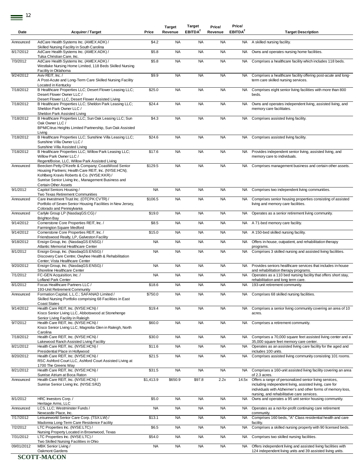| Date       | <b>Acquirer / Target</b>                                                                                                                                                                                                               | Price     | <b>Target</b><br>Revenue | Target<br>EBITDA <sup>2</sup> | Price/<br>Revenue | Price/<br>EBITDA <sup>2</sup> | <b>Target Description</b>                                                                                                                                                                          |
|------------|----------------------------------------------------------------------------------------------------------------------------------------------------------------------------------------------------------------------------------------|-----------|--------------------------|-------------------------------|-------------------|-------------------------------|----------------------------------------------------------------------------------------------------------------------------------------------------------------------------------------------------|
| Announced  | AdCare Health Systems Inc. (AMEX:ADK) /<br>Skilled Nursing Facility in South Carolina                                                                                                                                                  | \$4.2     | <b>NA</b>                | <b>NA</b>                     | <b>NA</b>         | NA.                           | A skilled nursing facility.                                                                                                                                                                        |
| 8/17/2012  | AdCare Health Systems Inc. (AMEX:ADK) /<br>Tulsa Christian Care, Inc.                                                                                                                                                                  | \$5.8     | <b>NA</b>                | <b>NA</b>                     | <b>NA</b>         | NA                            | Owns and operates nursing home facilities.                                                                                                                                                         |
| 7/3/2012   | AdCare Health Systems Inc. (AMEX:ADK) /<br>Westlake Nursing Home Limited, 118 Beds Skilled Nursing<br>Facility in Oklahoma                                                                                                             | \$5.8     | <b>NA</b>                | <b>NA</b>                     | <b>NA</b>         | NA                            | Comprises a healthcare facility which includes 118 beds.                                                                                                                                           |
| 9/24/2012  | Aviv REIT, Inc. /<br>A Post-Acute and Long-Term Care Skilled Nursing Facility<br>Located in Kentucky                                                                                                                                   | \$9.9     | <b>NA</b>                | <b>NA</b>                     | <b>NA</b>         | NA                            | Comprises a healthcare facility offering post-acute and long-<br>term care skilled nursing services.                                                                                               |
| 7/18/2012  | B Healthcare Properties LLC; Desert Flower Leasing LLC;<br>Desert Flower Owner LLC /                                                                                                                                                   | \$25.0    | <b>NA</b>                | <b>NA</b>                     | <b>NA</b>         | <b>NA</b>                     | Comprises eight senior living facilities with more than 800<br>beds.                                                                                                                               |
| 7/18/2012  | Desert Flower LLC, Desert Flower Assisted Living<br>B Healthcare Properties LLC; Sheldon Park Leasing LLC;<br>Sheldon Park Owner LLC /<br>Sheldon Park Assisted Living                                                                 | \$24.4    | <b>NA</b>                | <b>NA</b>                     | <b>NA</b>         | <b>NA</b>                     | Owns and operates independent living, assisted living, and<br>memory care facilitates.                                                                                                             |
| 7/18/2012  | B Healthcare Properties LLC; Sun Oak Leasing LLC; Sun<br>Oak Owner LLC /<br>BPM/Citrus Heights Limited Partnership, Sun Oak Assisted<br>Living                                                                                         | \$4.3     | <b>NA</b>                | <b>NA</b>                     | <b>NA</b>         | <b>NA</b>                     | Comprises assisted living facility.                                                                                                                                                                |
| 7/18/2012  | B Healthcare Properties LLC; Sunshine Villa Leasing LLC;<br>Sunshine Villa Owner LLC /<br>Sunshine Villa Assisted Living                                                                                                               | \$24.6    | <b>NA</b>                | <b>NA</b>                     | <b>NA</b>         | NA                            | Comprises assisted living facility.                                                                                                                                                                |
| 7/18/2012  | B Healthcare Properties LLC; Willow Park Leasing LLC;<br>Willow Park Owner LLC /<br>Regent/Boise, LLC, Willow Park Assisted Living                                                                                                     | \$17.6    | <b>NA</b>                | <b>NA</b>                     | <b>NA</b>         | <b>NA</b>                     | Provides independent senior living, assisted living, and<br>memory care to individuals.                                                                                                            |
| Announced  | Beecken Petty O'Keefe & Company; CoastWood Senior<br>Housing Partners; Health Care REIT, Inc. (NYSE:HCN);<br>Kohlberg Kravis Roberts & Co. (NYSE:KKR) /<br>Sunrise Senior Living Inc., Management Business and<br>Certain Other Assets | \$129.5   | <b>NA</b>                | <b>NA</b>                     | <b>NA</b>         | NA                            | Comprises management business and certain other assets.                                                                                                                                            |
| 9/1/2012   | Capitol Seniors Housing /<br>Two Texas Retirement Communities                                                                                                                                                                          | <b>NA</b> | <b>NA</b>                | <b>NA</b>                     | <b>NA</b>         | NA                            | Comprises two independent living communities.                                                                                                                                                      |
| Announced  | Care Investment Trust Inc. (OTCPK:CVTR) /<br>Portfolio of Seven Senior Housing Facilities in New Jersey,<br>Colorado and Pennsylvania                                                                                                  | \$106.5   | <b>NA</b>                | <b>NA</b>                     | <b>NA</b>         | <b>NA</b>                     | Comprises senior housing properties consisting of assisted<br>living and memory care facilities.                                                                                                   |
| Announced  | Carlyle Group LP (NasdaqGS:CG) /<br><b>Brighton Bay</b>                                                                                                                                                                                | \$19.0    | <b>NA</b>                | <b>NA</b>                     | <b>NA</b>         | NA                            | Operates as a senior retirement living community.                                                                                                                                                  |
| 9/14/2012  | Cornerstone Core Properties REIT, Inc. /<br>Farmington Square Medford                                                                                                                                                                  | \$8.5     | <b>NA</b>                | <b>NA</b>                     | <b>NA</b>         | NA                            | A 71-bed memory care facility.                                                                                                                                                                     |
| 9/14/2012  | Cornerstone Core Properties REIT, Inc. /                                                                                                                                                                                               | \$15.0    | <b>NA</b>                | <b>NA</b>                     | <b>NA</b>         | <b>NA</b>                     | A 150-bed skilled nursing facility.                                                                                                                                                                |
| 9/18/2012  | Friendswood Realty, LP, Galveston Facility<br>Ensign Group, Inc. (NasdaqGS:ENSG) /                                                                                                                                                     | <b>NA</b> | <b>NA</b>                | <b>NA</b>                     | <b>NA</b>         | NA                            | Offers in-house, outpatient, and rehabilitation therapy                                                                                                                                            |
| 8/1/2012   | Atlantic Memorial Healthcare Center<br>Ensign Group, Inc. (NasdaqGS:ENSG) /<br>Discovery Care Centre; Owyhee Health & Rehabilitation<br>Center; Vista Healthcare Center                                                                | <b>NA</b> | <b>NA</b>                | <b>NA</b>                     | <b>NA</b>         | NA                            | programs.<br>Comprises 3 skilled nursing and assisted living facilities.                                                                                                                           |
| 9/20/2012  | Ensign Group, Inc. (NasdaqGS:ENSG) /                                                                                                                                                                                                   | <b>NA</b> | <b>NA</b>                | <b>NA</b>                     | <b>NA</b>         | NA.                           | Provides seniors healthcare services that includes in-house                                                                                                                                        |
| 7/1/2012   | Shoreline Healthcare Center<br>FC-GEN Acquisition, Inc. /                                                                                                                                                                              | <b>NA</b> | <b>NA</b>                | <b>NA</b>                     | <b>NA</b>         | NA.                           | and rehabilitation therapy programs.<br>Operates as a 110 bed nursing facility that offers short stay,                                                                                             |
| 8/1/2012   | <b>Lofland Park Center</b><br>Focus Healthcare Partners LLC /                                                                                                                                                                          | \$18.6    | <b>NA</b>                | <b>NA</b>                     | <b>NA</b>         |                               | rehabilitation and long term care.<br>NA 193-unit retirement community.                                                                                                                            |
| Announced  | 193-Unit Retirement Community<br>Formation Capital, L.L.C.; SAFANAD Limited /<br>Skilled Nursing Portfolio comprising 68 Facilities in East                                                                                            | \$750.0   | <b>NA</b>                | <b>NA</b>                     | <b>NA</b>         |                               | NA Comprises 68 skilled nursing facilities.                                                                                                                                                        |
| 9/14/2012  | <b>Coast States</b><br>Health Care REIT, Inc. (NYSE:HCN) /<br>Kisco Senior Living LLC, Abbotswood at Stonehenge<br>Senior Living Facility in Raleigh                                                                                   | \$19.4    | <b>NA</b>                | <b>NA</b>                     | <b>NA</b>         | <b>NA</b>                     | Comprises a senior living community covering an area of 10<br>acres.                                                                                                                               |
| 9/7/2012   | Health Care REIT, Inc. (NYSE:HCN) /<br>Kisco Senior Living LLC, Magnolia Glen in Raleigh, North<br>Carolina                                                                                                                            | \$60.0    | <b>NA</b>                | <b>NA</b>                     | <b>NA</b>         | <b>NA</b>                     | Comprises a retirement community.                                                                                                                                                                  |
| 7/18/2012  | Health Care REIT, Inc. (NYSE:HCN) /<br>Lakewood Ranch Assisted Living Facility                                                                                                                                                         | \$30.0    | <b>NA</b>                | <b>NA</b>                     | <b>NA</b>         | NA                            | Comprises a 70,000 square feet assisted living center and a<br>35,000 square feet memory care center.                                                                                              |
| 8/21/2012  | Health Care REIT, Inc. (NYSE:HCN) /                                                                                                                                                                                                    | \$11.6    | <b>NA</b>                | <b>NA</b>                     | <b>NA</b>         | <b>NA</b>                     | Operates as an assisted living care facility for the aged and                                                                                                                                      |
| 8/20/2012  | Presidential Place in Hollywood<br>Health Care REIT, Inc. (NYSE:HCN) /<br>RSC Ashford Court LLC, Ashford Court Assisted Living at<br>1700 The Greens Way                                                                               | \$21.5    | <b>NA</b>                | <b>NA</b>                     | <b>NA</b>         | <b>NA</b>                     | includes 100 units.<br>Comprises assisted living community consisting 101 rooms.                                                                                                                   |
| 8/21/2012  | Health Care REIT, Inc. (NYSE:HCN) /                                                                                                                                                                                                    | \$31.5    | <b>NA</b>                | <b>NA</b>                     | <b>NA</b>         | NA.                           | Comprises a 160-unit assisted living facility covering an area                                                                                                                                     |
| Announced  | Sunrise Atrium at Boca Raton<br>Health Care REIT, Inc. (NYSE:HCN) /<br>Sunrise Senior Living Inc. (NYSE:SRZ)                                                                                                                           | \$1,413.9 | \$650.9                  | \$97.8                        | 2.2x              | 14.5x                         | of 2.3 acres.<br>Offers a range of personalized senior living services,<br>including independent living, assisted living, care for<br>individuals with Alzheimer's and other forms of memory loss, |
| 8/1/2012   | HRC Investors Corp./                                                                                                                                                                                                                   | \$5.0     | <b>NA</b>                | <b>NA</b>                     | <b>NA</b>         | <b>NA</b>                     | nursing, and rehabilitative care services.<br>Owns and operates a 95 unit senior housing community.                                                                                                |
| Announced  | Heritage Arms, LLC<br>LCS, LLC; Westminster Funds /                                                                                                                                                                                    | <b>NA</b> | <b>NA</b>                | <b>NA</b>                     | <b>NA</b>         | <b>NA</b>                     | Operates as a not-for-profit continuing care retirement                                                                                                                                            |
| 7/17/2012  | Newcastle Place, Inc.<br>Leisureworld Senior Care Corp. (TSX:LW) /<br>Madonna Long-Term Care Residence Facility                                                                                                                        | \$13.1    | <b>NA</b>                | <b>NA</b>                     | <b>NA</b>         | NA                            | community.<br>Comprises 160 beds, "A" Class residential health and care<br>facility.                                                                                                               |
| 7/2/2012   | LTC Properties Inc. (NYSE:LTC) /                                                                                                                                                                                                       | \$6.5     | <b>NA</b>                | <b>NA</b>                     | <b>NA</b>         | <b>NA</b>                     | Comprises a skilled nursing property with 90 licensed beds.                                                                                                                                        |
| 7/31/2012  | Nursing Property Located in Brownwood, Texas<br>LTC Properties Inc. (NYSE:LTC) /<br>Two Skilled Nursing Facilities in Ohio                                                                                                             | \$54.0    | <b>NA</b>                | <b>NA</b>                     | <b>NA</b>         | <b>NA</b>                     | Comprises two skilled nursing facilities.                                                                                                                                                          |
| 09/01/2012 | MBK Senior Living /<br>Oakmont Gardens                                                                                                                                                                                                 | <b>NA</b> | <b>NA</b>                | <b>NA</b>                     | <b>NA</b>         | NA                            | Offers independent living and assisted living facilities with<br>124 independent living units and 39 assisted living units.                                                                        |
|            | <b>COOTT MACON</b>                                                                                                                                                                                                                     |           |                          |                               |                   |                               |                                                                                                                                                                                                    |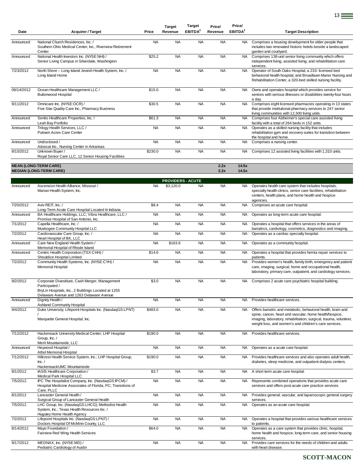| Date       | <b>Acquirer / Target</b>                                                                                                                                                     | Price     | <b>Target</b><br>Revenue | Target<br>EBITDA <sup>2</sup> | Price/<br>Revenue | Price/<br>EBITDA <sup>2</sup> | <b>Target Description</b>                                                                                                                                                                                                                              |
|------------|------------------------------------------------------------------------------------------------------------------------------------------------------------------------------|-----------|--------------------------|-------------------------------|-------------------|-------------------------------|--------------------------------------------------------------------------------------------------------------------------------------------------------------------------------------------------------------------------------------------------------|
| Announced  | National Church Residences, Inc. /<br>Southern Ohio Medical Center, Inc., Riverview Retirement<br>Center                                                                     | <b>NA</b> | <b>NA</b>                | <b>NA</b>                     | <b>NA</b>         | NA.                           | Comprises a housing development for elder people that<br>includes two renovated historic hotels beside a landscaped<br>garden and courtyard.                                                                                                           |
| Announced  | National Health Investors Inc. (NYSE:NHI) /<br>Senior Living Campus in Silverdale, Washington                                                                                | \$25.2    | <b>NA</b>                | <b>NA</b>                     | <b>NA</b>         | <b>NA</b>                     | Comprises 138-unit senior living community which offers<br>independent living, assisted living, and rehabilitation care<br>services.                                                                                                                   |
| 7/23/2012  | North Shore - Long Island Jewish Health System, Inc. /<br>Long Island Home                                                                                                   | <b>NA</b> | <b>NA</b>                | <b>NA</b>                     | <b>NA</b>         | <b>NA</b>                     | Operator of South Oaks Hospital, a 233- licensed bed<br>behavioral health hospital, and Broadlawn Manor Nursing and<br>Rehabilitation Center, a 320-bed skilled nursing facility.                                                                      |
| 08/14/2012 | Ocean Healthcare Management LLC /<br><b>Buttonwood Hospital</b>                                                                                                              | \$15.0    | <b>NA</b>                | <b>NA</b>                     | <b>NA</b>         | <b>NA</b>                     | Owns and operates hospital which provides service for<br>seniors with serious illnesses or disabilities twenty-four hours<br>a day.                                                                                                                    |
| 9/11/2012  | Omnicare Inc. (NYSE:OCR) /<br>Five Star Quality Care Inc., Pharmacy Business                                                                                                 | \$30.5    | <b>NA</b>                | <b>NA</b>                     | <b>NA</b>         | <b>NA</b>                     | Comprises eight licensed pharmacies operating in 13 states<br>that provide institutional pharmacy services to 247 senior<br>living communities with 12,300 living units.                                                                               |
| Announced  | Sentio Healthcare Properties, Inc. /<br>Leah Bay Portfolio                                                                                                                   | \$61.3    | <b>NA</b>                | <b>NA</b>                     | <b>NA</b>         | <b>NA</b>                     | Comprises four Alzheimer's special care assisted living<br>facility with a total of 264 beds in 152 units.                                                                                                                                             |
| Announced  | Trilogy Health Services, LLC /<br>Putnam Acres Care Center                                                                                                                   | <b>NA</b> | <b>NA</b>                | <b>NA</b>                     | <b>NA</b>         | <b>NA</b>                     | Operates as a skilled nursing facility that includes<br>rehabilitation gym and recovery suites for transition between<br>the hospital and home.                                                                                                        |
| Announced  | Undisclosed /<br>Advocat Inc., Nursing Center in Arkansas                                                                                                                    | <b>NA</b> | <b>NA</b>                | <b>NA</b>                     | <b>NA</b>         | <b>NA</b>                     | Comprises a nursing center.                                                                                                                                                                                                                            |
| 8/15/2012  | Unknown Buyer /<br>Royal Senior Care LLC, 12 Senior Housing Facilities                                                                                                       | \$230.0   | <b>NA</b>                | <b>NA</b>                     | <b>NA</b>         | <b>NA</b>                     | Comprises 12 assisted living facilities with 1,310 units.                                                                                                                                                                                              |
|            | <b>MEAN (LONG-TERM CARE)</b><br><b>MEDIAN (LONG-TERM CARE)</b>                                                                                                               |           |                          |                               | 2.2x<br>2.2x      | 14.5x<br>14.5x                |                                                                                                                                                                                                                                                        |
|            |                                                                                                                                                                              |           | <b>PROVIDERS - ACUTE</b> |                               |                   |                               |                                                                                                                                                                                                                                                        |
| Announced  | Ascension Health Alliance, Missouri /<br>Marian Health System, Inc.                                                                                                          | <b>NA</b> | \$3,120.0                | <b>NA</b>                     | <b>NA</b>         | NA.                           | Operates health care system that includes hospitals,<br>specialty health clinics, senior care facilities, rehabilitation<br>centers, health plans, and home health and hospice<br>agencies.                                                            |
| 7/20/2012  | Aviv REIT, Inc. /<br>Long-Term Acute Care Hospital Located In Indiana                                                                                                        | \$8.4     | <b>NA</b>                | <b>NA</b>                     | <b>NA</b>         | <b>NA</b>                     | Comprises an acute care hospital.                                                                                                                                                                                                                      |
| Announced  | BA Healthcare Holdings, LLC; Vibra Healthcare, LLC /<br>Promise Hospital of San Antonio, Inc.                                                                                | <b>NA</b> | <b>NA</b>                | <b>NA</b>                     | <b>NA</b>         | NA                            | Operates as long-term acute care hospital.                                                                                                                                                                                                             |
| 7/1/2012   | Capella Healthcare, Inc. /<br>Muskogee Community Hospital LLC                                                                                                                | <b>NA</b> | <b>NA</b>                | <b>NA</b>                     | <b>NA</b>         | NA                            | Operates a hospital that offers services in the areas of<br>bariatrics, cardiology, cosmetics, diagnostics and imaging.                                                                                                                                |
| 7/2/2012   | Cardiovascular Care Group, Inc. /<br>Heart Hospital of BK, LLC                                                                                                               | <b>NA</b> | <b>NA</b>                | <b>NA</b>                     | <b>NA</b>         | <b>NA</b>                     | Operates as a cardiac specialty hospital.                                                                                                                                                                                                              |
| Announced  | Care New England Health System /<br>Memorial Hospital of Rhode Island                                                                                                        | <b>NA</b> | \$163.6                  | <b>NA</b>                     | <b>NA</b>         | NA                            | Operates as a community hospital.                                                                                                                                                                                                                      |
| Announced  | Centric Health Corporation (TSX:CHH) /<br>Shouldice Hospital Limited                                                                                                         | \$14.6    | <b>NA</b>                | <b>NA</b>                     | <b>NA</b>         | NA.                           | Operates a hospital that provides hernia repair services to<br>patients.                                                                                                                                                                               |
| 7/2/2012   | Community Health Systems, Inc. (NYSE:CYH) /<br><b>Memorial Hospital</b>                                                                                                      | <b>NA</b> | <b>NA</b>                | <b>NA</b>                     | <b>NA</b>         | NA                            | Provides women's health, family birth, emergency and patient<br>care, imaging, surgical, home and occupational health,<br>laboratory, primary care, outpatient, and cardiology services.                                                               |
| 9/2/2012   | Corporate Divestiture, Cash Merger, Management<br>Participated /<br>BryLin Hospitals, Inc., 2 Buildings Located at 1255<br>Delaware Avenue and 1263 Delaware Avenue          | \$3.0     | <b>NA</b>                | <b>NA</b>                     | <b>NA</b>         | NA.                           | Comprises 2 acute care psychiatric hospital building.                                                                                                                                                                                                  |
| Announced  | Dignity Health /<br><b>Ashland Community Hospital</b>                                                                                                                        | <b>NA</b> | <b>NA</b>                | <b>NA</b>                     | <b>NA</b>         | <b>NA</b>                     | Provides healthcare services.                                                                                                                                                                                                                          |
| 9/4/2012   | Duke University; Lifepoint Hospitals Inc. (NasdaqGS:LPNT)<br>Marquette General Hospital, Inc.                                                                                | \$483.0   | <b>NA</b>                | <b>NA</b>                     | <b>NA</b>         | NA.                           | Offers bariatric and metabolic, behavioral health, brain and<br>spine, cancer, heart and vascular, home health/hospice,<br>imaging, laboratory, rehabilitation, surgical, trauma, volunteer,<br>weight loss, and women's and children's care services. |
| 7/12/2012  | Hackensack University Medical Center; LHP Hospital<br>Group, Inc./<br>Merit Mountainside, LLC                                                                                | \$190.0   | <b>NA</b>                | <b>NA</b>                     | <b>NA</b>         | <b>NA</b>                     | Provides healthcare services.                                                                                                                                                                                                                          |
| Announced  | Heywood Hospital /                                                                                                                                                           | <b>NA</b> | <b>NA</b>                | <b>NA</b>                     | <b>NA</b>         | NA                            | Operates as a acute care hospital.                                                                                                                                                                                                                     |
| 7/12/2012  | Athol Memorial Hospital<br>Hillcrest Health Service System, Inc.; LHP Hospital Group,<br>Inc. /                                                                              | \$190.0   | <b>NA</b>                | <b>NA</b>                     | <b>NA</b>         | NA.                           | Provides healthcare services and also operates adult health,<br>diabetes, sleep medicine, and outpatient dialysis centers.                                                                                                                             |
| 8/1/2012   | HackensackUMC Mountainside<br>IASIS Healthcare Corporation /                                                                                                                 | \$3.7     | <b>NA</b>                | <b>NA</b>                     | <b>NA</b>         | <b>NA</b>                     | A short term acute care hospital.                                                                                                                                                                                                                      |
| 7/5/2012   | Medical Park Hospital LLC<br>IPC The Hospitalist Company, Inc. (NasdaqGS:IPCM) /<br>Hospital Medicine Associates of Florida, PC; Transitions of                              | <b>NA</b> | <b>NA</b>                | <b>NA</b>                     | <b>NA</b>         | NA.                           | Represents combined operations that provides acute care<br>services and offers post acute care practice services.                                                                                                                                      |
| 8/1/2012   | Care, PLLC<br>Lancaster General Health /                                                                                                                                     | <b>NA</b> | <b>NA</b>                | <b>NA</b>                     | <b>NA</b>         | NA.                           | Provides general, vascular, and laparoscopic general surgery                                                                                                                                                                                           |
| 7/5/2012   | Surgical Group of Lancaster General Health<br>LHC Group, Inc. (NasdaqGS:LHCG); Methodist Health<br>System, Inc.; Texas Health Resources Inc. /<br>Huguley Home Health Agency | <b>NA</b> | <b>NA</b>                | <b>NA</b>                     | <b>NA</b>         | <b>NA</b>                     | services.<br>Operates as an acute care hospital.                                                                                                                                                                                                       |
| 7/2/2012   | Lifepoint Hospitals Inc. (NasdaqGS:LPNT) /<br>Doctors Hospital Of McMinn County, LLC                                                                                         | <b>NA</b> | <b>NA</b>                | <b>NA</b>                     | <b>NA</b>         | NA.                           | Operates a hospital that provides various healthcare services<br>to patients.                                                                                                                                                                          |
| 8/14/2012  | Mayo Foundation /<br>Fairview Red Wing Health Services                                                                                                                       | \$64.0    | <b>NA</b>                | <b>NA</b>                     | <b>NA</b>         | <b>NA</b>                     | Operates as a care system that provides clinic, hospital,<br>home health and hospice, long-term care, and senior housing<br>services.                                                                                                                  |
| 9/17/2012  | MEDNAX, Inc. (NYSE:MD) /<br>Pediatric Cardiology of Austin                                                                                                                   | <b>NA</b> | <b>NA</b>                | <b>NA</b>                     | <b>NA</b>         | NA.                           | Provides care services for the needs of children and adults<br>with heart disease.                                                                                                                                                                     |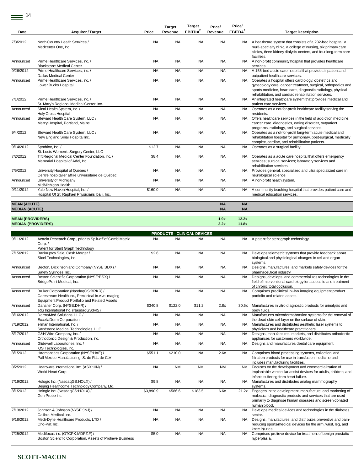| 7/3/2012<br>North Country Health Services /<br><b>NA</b><br><b>NA</b><br><b>NA</b><br><b>NA</b><br>A healthcare system that consists of a 232-bed hospital, a<br>NA.<br>Medcenter One, Inc.<br>multi-specialty clinic, a college of nursing, six primary care<br>clinics, three kidney dialysis centers, and four long-term care<br>facilities.<br>A non-profit community hospital that provides healthcare<br>Prime Healthcare Services, Inc. /<br><b>NA</b><br><b>NA</b><br><b>NA</b><br><b>NA</b><br><b>NA</b><br>Announced<br>services.<br><b>Blackstone Medical Center</b><br>9/26/2012<br>Prime Healthcare Services, Inc. /<br><b>NA</b><br><b>NA</b><br><b>NA</b><br><b>NA</b><br><b>NA</b><br>A 155-bed acute care hospital that provides inpatient and<br><b>Dallas Medical Center</b><br>outpatient healthcare services.<br><b>NA</b><br><b>NA</b><br><b>NA</b><br>Prime Healthcare Services, Inc. /<br><b>NA</b><br>Operates a hospital offers cardiology, obstetrics and<br>Announced<br><b>NA</b><br>Lower Bucks Hospital<br>gynecology care, cancer treatment, surgical, orthopedics and<br>sports medicine, heart care, diagnostic radiology, physical<br>rehabilitation, and cardiac rehabilitation services.<br>7/1/2012<br>Prime Healthcare Services, Inc. /<br><b>NA</b><br><b>NA</b><br><b>NA</b><br><b>NA</b><br><b>NA</b><br>An integrated healthcare system that provides medical and<br>St. Mary's Regional Medical Center, Inc.<br>patient care services.<br><b>NA</b><br><b>NA</b><br>Sinai Health System, Inc. /<br><b>NA</b><br><b>NA</b><br>Operates as a not-for-profit healthcare facility serving the<br>Announced<br>NA.<br>Holy Cross Hospital<br>residents.<br>Steward Health Care System, LLC /<br><b>NA</b><br><b>NA</b><br><b>NA</b><br><b>NA</b><br>Offers healthcare services in the field of addiction medicine,<br>Announced<br>NA.<br>Mercy Hospital, Portland, Maine<br>cancer care, diagnostics, eating disorder, outpatient<br>programs, radiology, and surgical services.<br><b>NA</b><br><b>NA</b><br><b>NA</b><br>9/4/2012<br>Steward Health Care System, LLC /<br><b>NA</b><br><b>NA</b><br>Operates as a not-for-profit long-term acute medical and<br>New England Sinai Hospital Inc.<br>rehabilitation hospital for pulmonary, post-surgical, medically<br>complex, cardiac, and rehabilitation patients.<br>9/14/2012<br>Symbion, Inc. /<br>\$12.7<br><b>NA</b><br><b>NA</b><br><b>NA</b><br><b>NA</b><br>Operates as a surgical facility.<br>St. Louis Women's Surgery Center, LLC<br><b>NA</b><br>7/2/2012<br>Tift Regional Medical Center Foundation, Inc. /<br>\$8.4<br><b>NA</b><br><b>NA</b><br><b>NA</b><br>Operates as a acute care hospital that offers emergency<br>Memorial Hospital of Adel, Inc.<br>services; surgical services; laboratory services and<br>rehabilitation services.<br>7/5/2012<br><b>NA</b><br><b>NA</b><br><b>NA</b><br><b>NA</b><br>Provides general, specialized and ultra specialized care in<br>University Hospital of Quebec /<br><b>NA</b><br>Centre hospitalier affilié universitaire de Québec<br>neurological science.<br>University of Michigan/<br><b>NA</b><br><b>NA</b><br><b>NA</b><br><b>NA</b><br>A non-profit health system.<br>Announced<br>NA.<br>MidMichigan Health<br>9/11/2012<br>Yale-New Haven Hospital, Inc. /<br>\$160.0<br><b>NA</b><br><b>NA</b><br><b>NA</b><br>A community teaching hospital that provides patient care and<br>NA.<br>Hospital Of St. Raphael Physicians Ipa Ii, Inc.<br>medical education services.<br><b>MEAN (ACUTE)</b><br><b>NA</b><br><b>NA</b><br><b>MEDIAN (ACUTE)</b><br><b>NA</b><br><b>NA</b><br>12.2x<br><b>MEAN (PROVIDERS)</b><br>1.9x<br>2.2x<br><b>MEDIAN (PROVIDERS)</b><br>11.8x<br><b>PRODUCTS - CLINICAL DEVICES</b><br>9/11/2012<br>Acacia Research Corp., prior to Split-off of CombiMatrix<br><b>NA</b><br><b>NA</b><br><b>NA</b><br><b>NA</b><br>A patent for stent graph technology.<br>NA.<br>Corp. /<br>Patent for Stent Graph Technology<br>7/15/2012<br>Bankruptcy Sale, Cash Merger /<br>\$2.6<br><b>NA</b><br><b>NA</b><br><b>NA</b><br>NA.<br>Develops telemetric systems that provide feedback about<br>Sicel Technologies, Inc.<br>biological and physiological changes in cell and organ<br>systems.<br>Becton, Dickinson and Company (NYSE:BDX) /<br><b>NA</b><br><b>NA</b><br><b>NA</b><br><b>NA</b><br>Designs, manufactures, and markets safety devices for the<br>Announced<br>NA.<br>Safety Syringes, Inc.<br>pharmaceutical industry.<br>Boston Scientific Corporation (NYSE:BSX) /<br><b>NA</b><br><b>NA</b><br><b>NA</b><br><b>NA</b><br>Designs, develops, and commercializes technologies in the<br>Announced<br><b>NA</b><br>BridgePoint Medical, Inc.<br>field of interventional cardiology for access to and treatment<br>of chronic total occlusion.<br>Bruker Corporation (NasdaqGS:BRKR) /<br><b>NA</b><br><b>NA</b><br><b>NA</b><br><b>NA</b><br><b>NA</b><br>Announced<br>Comprises preclinical in-vivo imaging equipment product<br>Carestream Health Inc., Preclinical in-vivo Imaging<br>portfolio and related assets.<br><b>Equipment Product Portfolio and Related Assets</b><br>\$340.8<br>\$122.0<br>Danaher Corp. (NYSE:DHR) /<br>\$11.2<br>2.8x<br>Manufactures in vitro diagnostic products for urinalysis and<br>Announced<br>30.5x<br>IRIS International Inc. (NasdaqGS:IRIS)<br>body fluids.<br>8/16/2012<br><b>NA</b><br>DermaMed Solutions, LLC /<br><b>NA</b><br><b>NA</b><br><b>NA</b><br><b>NA</b><br>ExcellaDerm Corporation<br>the dead skin cell layer on the surface of skin.<br>7/19/2012<br>ellman International, Inc. /<br><b>NA</b><br><b>NA</b><br><b>NA</b><br><b>NA</b><br>Manufactures and distributes aesthetic laser systems to<br><b>NA</b><br>Sandstone Medical Technologies, LLC<br>physicians and healthcare practitioners.<br>8/17/2012<br><b>NA</b><br><b>NA</b><br><b>NA</b><br><b>NA</b><br>G&H Wire Company, Inc. /<br><b>NA</b><br>Designs, manufactures, markets, and distributes orthodontic<br>Orthodontic Design & Production, Inc.<br>appliances for customers worldwide.<br><b>NA</b><br>Announced<br>Glidewell Laboratories, Inc. /<br><b>NA</b><br><b>NA</b><br><b>NA</b><br><b>NA</b><br>Designs and manufactures dental care equipment.<br>IOS Technologies, Inc.<br>8/1/2012<br>Haemonetics Corporation (NYSE:HAE) /<br>\$551.1<br>\$210.0<br><b>NA</b><br>2.6x<br>NA<br>Comprises blood processing systems, collection, and<br>Pall Mexico Manufacturing, S. de R.L. de C.V<br>filtration products for use in transfusion medicine and<br>includes manufacturing facilities.<br>8/2/2012<br>Heartware International Inc. (ASX:HIN) /<br><b>NA</b><br><b>NM</b><br><b>NM</b><br><b>NM</b><br>Focuses on the development and commercialization of<br><b>NM</b><br>World Heart Corp.<br>infants suffering from heart failure.<br>7/19/2012<br>Hologic Inc. (NasdaqGS:HOLX) /<br>\$9.8<br><b>NA</b><br><b>NA</b><br><b>NA</b><br><b>NA</b><br>Manufactures and distributes analog mammography<br>Beijing Healthcome Technology Company, Ltd.<br>systems.<br>8/1/2012<br>Hologic Inc. (NasdaqGS:HOLX) /<br>\$3,890.9<br>\$586.6<br>\$183.5<br>6.6x<br>Engages in the development, manufacture, and marketing of<br>21.2x<br>Gen-Probe Inc.<br>molecular diagnostic products and services that are used<br>primarily to diagnose human diseases and screen donated<br>human blood.<br>7/13/2012<br>Johnson & Johnson (NYSE:JNJ) /<br><b>NA</b><br><b>NA</b><br><b>NA</b><br><b>NA</b><br><b>NA</b><br>Develops medical devices and technologies in the diabetes<br>Calibra Medical, Inc.<br>sector.<br>9/18/2012<br>Medi-Dyne Healthcare Products, LTD /<br><b>NA</b><br><b>NA</b><br><b>NA</b><br><b>NA</b><br>Designs, manufactures, and distributes preventive and pain-<br>NA.<br>Cho-Pat, Inc.<br>reducing sports/medical devices for the arm, wrist, leg, and<br>knee injuries.<br>7/25/2012<br>Medifocus Inc. (OTCPK:MDFZ.F) /<br><b>NA</b><br>\$5.0<br><b>NA</b><br><b>NA</b><br><b>NA</b><br>Comprises prolieve device for treatment of benign prostatic<br>Boston Scientific Corporation, Assets of Prolieve Business<br>hyperplasia. | Date | <b>Acquirer / Target</b> | Price | <b>Target</b><br>Revenue | Target<br>EBITDA <sup>2</sup> | Price/<br>Revenue | Price/<br>EBITDA <sup>2</sup> | <b>Target Description</b>                                        |
|-------------------------------------------------------------------------------------------------------------------------------------------------------------------------------------------------------------------------------------------------------------------------------------------------------------------------------------------------------------------------------------------------------------------------------------------------------------------------------------------------------------------------------------------------------------------------------------------------------------------------------------------------------------------------------------------------------------------------------------------------------------------------------------------------------------------------------------------------------------------------------------------------------------------------------------------------------------------------------------------------------------------------------------------------------------------------------------------------------------------------------------------------------------------------------------------------------------------------------------------------------------------------------------------------------------------------------------------------------------------------------------------------------------------------------------------------------------------------------------------------------------------------------------------------------------------------------------------------------------------------------------------------------------------------------------------------------------------------------------------------------------------------------------------------------------------------------------------------------------------------------------------------------------------------------------------------------------------------------------------------------------------------------------------------------------------------------------------------------------------------------------------------------------------------------------------------------------------------------------------------------------------------------------------------------------------------------------------------------------------------------------------------------------------------------------------------------------------------------------------------------------------------------------------------------------------------------------------------------------------------------------------------------------------------------------------------------------------------------------------------------------------------------------------------------------------------------------------------------------------------------------------------------------------------------------------------------------------------------------------------------------------------------------------------------------------------------------------------------------------------------------------------------------------------------------------------------------------------------------------------------------------------------------------------------------------------------------------------------------------------------------------------------------------------------------------------------------------------------------------------------------------------------------------------------------------------------------------------------------------------------------------------------------------------------------------------------------------------------------------------------------------------------------------------------------------------------------------------------------------------------------------------------------------------------------------------------------------------------------------------------------------------------------------------------------------------------------------------------------------------------------------------------------------------------------------------------------------------------------------------------------------------------------------------------------------------------------------------------------------------------------------------------------------------------------------------------------------------------------------------------------------------------------------------------------------------------------------------------------------------------------------------------------------------------------------------------------------------------------------------------------------------------------------------------------------------------------------------------------------------------------------------------------------------------------------------------------------------------------------------------------------------------------------------------------------------------------------------------------------------------------------------------------------------------------------------------------------------------------------------------------------------------------------------------------------------------------------------------------------------------------------------------------------------------------------------------------------------------------------------------------------------------------------------------------------------------------------------------------------------------------------------------------------------------------------------------------------------------------------------------------------------------------------------------------------------------------------------------------------------------------------------------------------------------------------------------------------------------------------------------------------------------------------------------------------------------------------------------------------------------------------------------------------------------------------------------------------------------------------------------------------------------------------------------------------------------------------------------------------------------------------------------------------------------------------------------------------------------------------------------------------------------------------------------------------------------------------------------------------------------------------------------------------------------------------------------------------------------------------------------------------------------------------------------------------------------------------------------------------------------------------------------------------------------------------------------------------------------------------------------------------------------------------------------------------------------------------------------------------------------------------------------------------------------------------------------------------------------------------------------------------------------------------------------------------------------------------------------------------------------------------------------------------------------------------------------------------------------------------------------------------------------------------------------------------------------------------------------------------------------------------------------------------------------------------------------------------------------------------------------------------------------------------------------------------------------------------------------------------------------------------------------------------------------------------------------------------------------------------------------------------------------------------------------------------------------------------------------------------------------------------------------------------------------------------|------|--------------------------|-------|--------------------------|-------------------------------|-------------------|-------------------------------|------------------------------------------------------------------|
|                                                                                                                                                                                                                                                                                                                                                                                                                                                                                                                                                                                                                                                                                                                                                                                                                                                                                                                                                                                                                                                                                                                                                                                                                                                                                                                                                                                                                                                                                                                                                                                                                                                                                                                                                                                                                                                                                                                                                                                                                                                                                                                                                                                                                                                                                                                                                                                                                                                                                                                                                                                                                                                                                                                                                                                                                                                                                                                                                                                                                                                                                                                                                                                                                                                                                                                                                                                                                                                                                                                                                                                                                                                                                                                                                                                                                                                                                                                                                                                                                                                                                                                                                                                                                                                                                                                                                                                                                                                                                                                                                                                                                                                                                                                                                                                                                                                                                                                                                                                                                                                                                                                                                                                                                                                                                                                                                                                                                                                                                                                                                                                                                                                                                                                                                                                                                                                                                                                                                                                                                                                                                                                                                                                                                                                                                                                                                                                                                                                                                                                                                                                                                                                                                                                                                                                                                                                                                                                                                                                                                                                                                                                                                                                                                                                                                                                                                                                                                                                                                                                                                                                                                                                                                                                                                                                                                                                                                                                                                                                                                                                                                                                                                                                           |      |                          |       |                          |                               |                   |                               |                                                                  |
|                                                                                                                                                                                                                                                                                                                                                                                                                                                                                                                                                                                                                                                                                                                                                                                                                                                                                                                                                                                                                                                                                                                                                                                                                                                                                                                                                                                                                                                                                                                                                                                                                                                                                                                                                                                                                                                                                                                                                                                                                                                                                                                                                                                                                                                                                                                                                                                                                                                                                                                                                                                                                                                                                                                                                                                                                                                                                                                                                                                                                                                                                                                                                                                                                                                                                                                                                                                                                                                                                                                                                                                                                                                                                                                                                                                                                                                                                                                                                                                                                                                                                                                                                                                                                                                                                                                                                                                                                                                                                                                                                                                                                                                                                                                                                                                                                                                                                                                                                                                                                                                                                                                                                                                                                                                                                                                                                                                                                                                                                                                                                                                                                                                                                                                                                                                                                                                                                                                                                                                                                                                                                                                                                                                                                                                                                                                                                                                                                                                                                                                                                                                                                                                                                                                                                                                                                                                                                                                                                                                                                                                                                                                                                                                                                                                                                                                                                                                                                                                                                                                                                                                                                                                                                                                                                                                                                                                                                                                                                                                                                                                                                                                                                                                           |      |                          |       |                          |                               |                   |                               |                                                                  |
|                                                                                                                                                                                                                                                                                                                                                                                                                                                                                                                                                                                                                                                                                                                                                                                                                                                                                                                                                                                                                                                                                                                                                                                                                                                                                                                                                                                                                                                                                                                                                                                                                                                                                                                                                                                                                                                                                                                                                                                                                                                                                                                                                                                                                                                                                                                                                                                                                                                                                                                                                                                                                                                                                                                                                                                                                                                                                                                                                                                                                                                                                                                                                                                                                                                                                                                                                                                                                                                                                                                                                                                                                                                                                                                                                                                                                                                                                                                                                                                                                                                                                                                                                                                                                                                                                                                                                                                                                                                                                                                                                                                                                                                                                                                                                                                                                                                                                                                                                                                                                                                                                                                                                                                                                                                                                                                                                                                                                                                                                                                                                                                                                                                                                                                                                                                                                                                                                                                                                                                                                                                                                                                                                                                                                                                                                                                                                                                                                                                                                                                                                                                                                                                                                                                                                                                                                                                                                                                                                                                                                                                                                                                                                                                                                                                                                                                                                                                                                                                                                                                                                                                                                                                                                                                                                                                                                                                                                                                                                                                                                                                                                                                                                                                           |      |                          |       |                          |                               |                   |                               |                                                                  |
|                                                                                                                                                                                                                                                                                                                                                                                                                                                                                                                                                                                                                                                                                                                                                                                                                                                                                                                                                                                                                                                                                                                                                                                                                                                                                                                                                                                                                                                                                                                                                                                                                                                                                                                                                                                                                                                                                                                                                                                                                                                                                                                                                                                                                                                                                                                                                                                                                                                                                                                                                                                                                                                                                                                                                                                                                                                                                                                                                                                                                                                                                                                                                                                                                                                                                                                                                                                                                                                                                                                                                                                                                                                                                                                                                                                                                                                                                                                                                                                                                                                                                                                                                                                                                                                                                                                                                                                                                                                                                                                                                                                                                                                                                                                                                                                                                                                                                                                                                                                                                                                                                                                                                                                                                                                                                                                                                                                                                                                                                                                                                                                                                                                                                                                                                                                                                                                                                                                                                                                                                                                                                                                                                                                                                                                                                                                                                                                                                                                                                                                                                                                                                                                                                                                                                                                                                                                                                                                                                                                                                                                                                                                                                                                                                                                                                                                                                                                                                                                                                                                                                                                                                                                                                                                                                                                                                                                                                                                                                                                                                                                                                                                                                                                           |      |                          |       |                          |                               |                   |                               |                                                                  |
|                                                                                                                                                                                                                                                                                                                                                                                                                                                                                                                                                                                                                                                                                                                                                                                                                                                                                                                                                                                                                                                                                                                                                                                                                                                                                                                                                                                                                                                                                                                                                                                                                                                                                                                                                                                                                                                                                                                                                                                                                                                                                                                                                                                                                                                                                                                                                                                                                                                                                                                                                                                                                                                                                                                                                                                                                                                                                                                                                                                                                                                                                                                                                                                                                                                                                                                                                                                                                                                                                                                                                                                                                                                                                                                                                                                                                                                                                                                                                                                                                                                                                                                                                                                                                                                                                                                                                                                                                                                                                                                                                                                                                                                                                                                                                                                                                                                                                                                                                                                                                                                                                                                                                                                                                                                                                                                                                                                                                                                                                                                                                                                                                                                                                                                                                                                                                                                                                                                                                                                                                                                                                                                                                                                                                                                                                                                                                                                                                                                                                                                                                                                                                                                                                                                                                                                                                                                                                                                                                                                                                                                                                                                                                                                                                                                                                                                                                                                                                                                                                                                                                                                                                                                                                                                                                                                                                                                                                                                                                                                                                                                                                                                                                                                           |      |                          |       |                          |                               |                   |                               |                                                                  |
|                                                                                                                                                                                                                                                                                                                                                                                                                                                                                                                                                                                                                                                                                                                                                                                                                                                                                                                                                                                                                                                                                                                                                                                                                                                                                                                                                                                                                                                                                                                                                                                                                                                                                                                                                                                                                                                                                                                                                                                                                                                                                                                                                                                                                                                                                                                                                                                                                                                                                                                                                                                                                                                                                                                                                                                                                                                                                                                                                                                                                                                                                                                                                                                                                                                                                                                                                                                                                                                                                                                                                                                                                                                                                                                                                                                                                                                                                                                                                                                                                                                                                                                                                                                                                                                                                                                                                                                                                                                                                                                                                                                                                                                                                                                                                                                                                                                                                                                                                                                                                                                                                                                                                                                                                                                                                                                                                                                                                                                                                                                                                                                                                                                                                                                                                                                                                                                                                                                                                                                                                                                                                                                                                                                                                                                                                                                                                                                                                                                                                                                                                                                                                                                                                                                                                                                                                                                                                                                                                                                                                                                                                                                                                                                                                                                                                                                                                                                                                                                                                                                                                                                                                                                                                                                                                                                                                                                                                                                                                                                                                                                                                                                                                                                           |      |                          |       |                          |                               |                   |                               |                                                                  |
|                                                                                                                                                                                                                                                                                                                                                                                                                                                                                                                                                                                                                                                                                                                                                                                                                                                                                                                                                                                                                                                                                                                                                                                                                                                                                                                                                                                                                                                                                                                                                                                                                                                                                                                                                                                                                                                                                                                                                                                                                                                                                                                                                                                                                                                                                                                                                                                                                                                                                                                                                                                                                                                                                                                                                                                                                                                                                                                                                                                                                                                                                                                                                                                                                                                                                                                                                                                                                                                                                                                                                                                                                                                                                                                                                                                                                                                                                                                                                                                                                                                                                                                                                                                                                                                                                                                                                                                                                                                                                                                                                                                                                                                                                                                                                                                                                                                                                                                                                                                                                                                                                                                                                                                                                                                                                                                                                                                                                                                                                                                                                                                                                                                                                                                                                                                                                                                                                                                                                                                                                                                                                                                                                                                                                                                                                                                                                                                                                                                                                                                                                                                                                                                                                                                                                                                                                                                                                                                                                                                                                                                                                                                                                                                                                                                                                                                                                                                                                                                                                                                                                                                                                                                                                                                                                                                                                                                                                                                                                                                                                                                                                                                                                                                           |      |                          |       |                          |                               |                   |                               |                                                                  |
|                                                                                                                                                                                                                                                                                                                                                                                                                                                                                                                                                                                                                                                                                                                                                                                                                                                                                                                                                                                                                                                                                                                                                                                                                                                                                                                                                                                                                                                                                                                                                                                                                                                                                                                                                                                                                                                                                                                                                                                                                                                                                                                                                                                                                                                                                                                                                                                                                                                                                                                                                                                                                                                                                                                                                                                                                                                                                                                                                                                                                                                                                                                                                                                                                                                                                                                                                                                                                                                                                                                                                                                                                                                                                                                                                                                                                                                                                                                                                                                                                                                                                                                                                                                                                                                                                                                                                                                                                                                                                                                                                                                                                                                                                                                                                                                                                                                                                                                                                                                                                                                                                                                                                                                                                                                                                                                                                                                                                                                                                                                                                                                                                                                                                                                                                                                                                                                                                                                                                                                                                                                                                                                                                                                                                                                                                                                                                                                                                                                                                                                                                                                                                                                                                                                                                                                                                                                                                                                                                                                                                                                                                                                                                                                                                                                                                                                                                                                                                                                                                                                                                                                                                                                                                                                                                                                                                                                                                                                                                                                                                                                                                                                                                                                           |      |                          |       |                          |                               |                   |                               |                                                                  |
|                                                                                                                                                                                                                                                                                                                                                                                                                                                                                                                                                                                                                                                                                                                                                                                                                                                                                                                                                                                                                                                                                                                                                                                                                                                                                                                                                                                                                                                                                                                                                                                                                                                                                                                                                                                                                                                                                                                                                                                                                                                                                                                                                                                                                                                                                                                                                                                                                                                                                                                                                                                                                                                                                                                                                                                                                                                                                                                                                                                                                                                                                                                                                                                                                                                                                                                                                                                                                                                                                                                                                                                                                                                                                                                                                                                                                                                                                                                                                                                                                                                                                                                                                                                                                                                                                                                                                                                                                                                                                                                                                                                                                                                                                                                                                                                                                                                                                                                                                                                                                                                                                                                                                                                                                                                                                                                                                                                                                                                                                                                                                                                                                                                                                                                                                                                                                                                                                                                                                                                                                                                                                                                                                                                                                                                                                                                                                                                                                                                                                                                                                                                                                                                                                                                                                                                                                                                                                                                                                                                                                                                                                                                                                                                                                                                                                                                                                                                                                                                                                                                                                                                                                                                                                                                                                                                                                                                                                                                                                                                                                                                                                                                                                                                           |      |                          |       |                          |                               |                   |                               |                                                                  |
|                                                                                                                                                                                                                                                                                                                                                                                                                                                                                                                                                                                                                                                                                                                                                                                                                                                                                                                                                                                                                                                                                                                                                                                                                                                                                                                                                                                                                                                                                                                                                                                                                                                                                                                                                                                                                                                                                                                                                                                                                                                                                                                                                                                                                                                                                                                                                                                                                                                                                                                                                                                                                                                                                                                                                                                                                                                                                                                                                                                                                                                                                                                                                                                                                                                                                                                                                                                                                                                                                                                                                                                                                                                                                                                                                                                                                                                                                                                                                                                                                                                                                                                                                                                                                                                                                                                                                                                                                                                                                                                                                                                                                                                                                                                                                                                                                                                                                                                                                                                                                                                                                                                                                                                                                                                                                                                                                                                                                                                                                                                                                                                                                                                                                                                                                                                                                                                                                                                                                                                                                                                                                                                                                                                                                                                                                                                                                                                                                                                                                                                                                                                                                                                                                                                                                                                                                                                                                                                                                                                                                                                                                                                                                                                                                                                                                                                                                                                                                                                                                                                                                                                                                                                                                                                                                                                                                                                                                                                                                                                                                                                                                                                                                                                           |      |                          |       |                          |                               |                   |                               |                                                                  |
|                                                                                                                                                                                                                                                                                                                                                                                                                                                                                                                                                                                                                                                                                                                                                                                                                                                                                                                                                                                                                                                                                                                                                                                                                                                                                                                                                                                                                                                                                                                                                                                                                                                                                                                                                                                                                                                                                                                                                                                                                                                                                                                                                                                                                                                                                                                                                                                                                                                                                                                                                                                                                                                                                                                                                                                                                                                                                                                                                                                                                                                                                                                                                                                                                                                                                                                                                                                                                                                                                                                                                                                                                                                                                                                                                                                                                                                                                                                                                                                                                                                                                                                                                                                                                                                                                                                                                                                                                                                                                                                                                                                                                                                                                                                                                                                                                                                                                                                                                                                                                                                                                                                                                                                                                                                                                                                                                                                                                                                                                                                                                                                                                                                                                                                                                                                                                                                                                                                                                                                                                                                                                                                                                                                                                                                                                                                                                                                                                                                                                                                                                                                                                                                                                                                                                                                                                                                                                                                                                                                                                                                                                                                                                                                                                                                                                                                                                                                                                                                                                                                                                                                                                                                                                                                                                                                                                                                                                                                                                                                                                                                                                                                                                                                           |      |                          |       |                          |                               |                   |                               |                                                                  |
|                                                                                                                                                                                                                                                                                                                                                                                                                                                                                                                                                                                                                                                                                                                                                                                                                                                                                                                                                                                                                                                                                                                                                                                                                                                                                                                                                                                                                                                                                                                                                                                                                                                                                                                                                                                                                                                                                                                                                                                                                                                                                                                                                                                                                                                                                                                                                                                                                                                                                                                                                                                                                                                                                                                                                                                                                                                                                                                                                                                                                                                                                                                                                                                                                                                                                                                                                                                                                                                                                                                                                                                                                                                                                                                                                                                                                                                                                                                                                                                                                                                                                                                                                                                                                                                                                                                                                                                                                                                                                                                                                                                                                                                                                                                                                                                                                                                                                                                                                                                                                                                                                                                                                                                                                                                                                                                                                                                                                                                                                                                                                                                                                                                                                                                                                                                                                                                                                                                                                                                                                                                                                                                                                                                                                                                                                                                                                                                                                                                                                                                                                                                                                                                                                                                                                                                                                                                                                                                                                                                                                                                                                                                                                                                                                                                                                                                                                                                                                                                                                                                                                                                                                                                                                                                                                                                                                                                                                                                                                                                                                                                                                                                                                                                           |      |                          |       |                          |                               |                   |                               |                                                                  |
|                                                                                                                                                                                                                                                                                                                                                                                                                                                                                                                                                                                                                                                                                                                                                                                                                                                                                                                                                                                                                                                                                                                                                                                                                                                                                                                                                                                                                                                                                                                                                                                                                                                                                                                                                                                                                                                                                                                                                                                                                                                                                                                                                                                                                                                                                                                                                                                                                                                                                                                                                                                                                                                                                                                                                                                                                                                                                                                                                                                                                                                                                                                                                                                                                                                                                                                                                                                                                                                                                                                                                                                                                                                                                                                                                                                                                                                                                                                                                                                                                                                                                                                                                                                                                                                                                                                                                                                                                                                                                                                                                                                                                                                                                                                                                                                                                                                                                                                                                                                                                                                                                                                                                                                                                                                                                                                                                                                                                                                                                                                                                                                                                                                                                                                                                                                                                                                                                                                                                                                                                                                                                                                                                                                                                                                                                                                                                                                                                                                                                                                                                                                                                                                                                                                                                                                                                                                                                                                                                                                                                                                                                                                                                                                                                                                                                                                                                                                                                                                                                                                                                                                                                                                                                                                                                                                                                                                                                                                                                                                                                                                                                                                                                                                           |      |                          |       |                          |                               |                   |                               |                                                                  |
|                                                                                                                                                                                                                                                                                                                                                                                                                                                                                                                                                                                                                                                                                                                                                                                                                                                                                                                                                                                                                                                                                                                                                                                                                                                                                                                                                                                                                                                                                                                                                                                                                                                                                                                                                                                                                                                                                                                                                                                                                                                                                                                                                                                                                                                                                                                                                                                                                                                                                                                                                                                                                                                                                                                                                                                                                                                                                                                                                                                                                                                                                                                                                                                                                                                                                                                                                                                                                                                                                                                                                                                                                                                                                                                                                                                                                                                                                                                                                                                                                                                                                                                                                                                                                                                                                                                                                                                                                                                                                                                                                                                                                                                                                                                                                                                                                                                                                                                                                                                                                                                                                                                                                                                                                                                                                                                                                                                                                                                                                                                                                                                                                                                                                                                                                                                                                                                                                                                                                                                                                                                                                                                                                                                                                                                                                                                                                                                                                                                                                                                                                                                                                                                                                                                                                                                                                                                                                                                                                                                                                                                                                                                                                                                                                                                                                                                                                                                                                                                                                                                                                                                                                                                                                                                                                                                                                                                                                                                                                                                                                                                                                                                                                                                           |      |                          |       |                          |                               |                   |                               |                                                                  |
|                                                                                                                                                                                                                                                                                                                                                                                                                                                                                                                                                                                                                                                                                                                                                                                                                                                                                                                                                                                                                                                                                                                                                                                                                                                                                                                                                                                                                                                                                                                                                                                                                                                                                                                                                                                                                                                                                                                                                                                                                                                                                                                                                                                                                                                                                                                                                                                                                                                                                                                                                                                                                                                                                                                                                                                                                                                                                                                                                                                                                                                                                                                                                                                                                                                                                                                                                                                                                                                                                                                                                                                                                                                                                                                                                                                                                                                                                                                                                                                                                                                                                                                                                                                                                                                                                                                                                                                                                                                                                                                                                                                                                                                                                                                                                                                                                                                                                                                                                                                                                                                                                                                                                                                                                                                                                                                                                                                                                                                                                                                                                                                                                                                                                                                                                                                                                                                                                                                                                                                                                                                                                                                                                                                                                                                                                                                                                                                                                                                                                                                                                                                                                                                                                                                                                                                                                                                                                                                                                                                                                                                                                                                                                                                                                                                                                                                                                                                                                                                                                                                                                                                                                                                                                                                                                                                                                                                                                                                                                                                                                                                                                                                                                                                           |      |                          |       |                          |                               |                   |                               |                                                                  |
|                                                                                                                                                                                                                                                                                                                                                                                                                                                                                                                                                                                                                                                                                                                                                                                                                                                                                                                                                                                                                                                                                                                                                                                                                                                                                                                                                                                                                                                                                                                                                                                                                                                                                                                                                                                                                                                                                                                                                                                                                                                                                                                                                                                                                                                                                                                                                                                                                                                                                                                                                                                                                                                                                                                                                                                                                                                                                                                                                                                                                                                                                                                                                                                                                                                                                                                                                                                                                                                                                                                                                                                                                                                                                                                                                                                                                                                                                                                                                                                                                                                                                                                                                                                                                                                                                                                                                                                                                                                                                                                                                                                                                                                                                                                                                                                                                                                                                                                                                                                                                                                                                                                                                                                                                                                                                                                                                                                                                                                                                                                                                                                                                                                                                                                                                                                                                                                                                                                                                                                                                                                                                                                                                                                                                                                                                                                                                                                                                                                                                                                                                                                                                                                                                                                                                                                                                                                                                                                                                                                                                                                                                                                                                                                                                                                                                                                                                                                                                                                                                                                                                                                                                                                                                                                                                                                                                                                                                                                                                                                                                                                                                                                                                                                           |      |                          |       |                          |                               |                   |                               |                                                                  |
|                                                                                                                                                                                                                                                                                                                                                                                                                                                                                                                                                                                                                                                                                                                                                                                                                                                                                                                                                                                                                                                                                                                                                                                                                                                                                                                                                                                                                                                                                                                                                                                                                                                                                                                                                                                                                                                                                                                                                                                                                                                                                                                                                                                                                                                                                                                                                                                                                                                                                                                                                                                                                                                                                                                                                                                                                                                                                                                                                                                                                                                                                                                                                                                                                                                                                                                                                                                                                                                                                                                                                                                                                                                                                                                                                                                                                                                                                                                                                                                                                                                                                                                                                                                                                                                                                                                                                                                                                                                                                                                                                                                                                                                                                                                                                                                                                                                                                                                                                                                                                                                                                                                                                                                                                                                                                                                                                                                                                                                                                                                                                                                                                                                                                                                                                                                                                                                                                                                                                                                                                                                                                                                                                                                                                                                                                                                                                                                                                                                                                                                                                                                                                                                                                                                                                                                                                                                                                                                                                                                                                                                                                                                                                                                                                                                                                                                                                                                                                                                                                                                                                                                                                                                                                                                                                                                                                                                                                                                                                                                                                                                                                                                                                                                           |      |                          |       |                          |                               |                   |                               |                                                                  |
|                                                                                                                                                                                                                                                                                                                                                                                                                                                                                                                                                                                                                                                                                                                                                                                                                                                                                                                                                                                                                                                                                                                                                                                                                                                                                                                                                                                                                                                                                                                                                                                                                                                                                                                                                                                                                                                                                                                                                                                                                                                                                                                                                                                                                                                                                                                                                                                                                                                                                                                                                                                                                                                                                                                                                                                                                                                                                                                                                                                                                                                                                                                                                                                                                                                                                                                                                                                                                                                                                                                                                                                                                                                                                                                                                                                                                                                                                                                                                                                                                                                                                                                                                                                                                                                                                                                                                                                                                                                                                                                                                                                                                                                                                                                                                                                                                                                                                                                                                                                                                                                                                                                                                                                                                                                                                                                                                                                                                                                                                                                                                                                                                                                                                                                                                                                                                                                                                                                                                                                                                                                                                                                                                                                                                                                                                                                                                                                                                                                                                                                                                                                                                                                                                                                                                                                                                                                                                                                                                                                                                                                                                                                                                                                                                                                                                                                                                                                                                                                                                                                                                                                                                                                                                                                                                                                                                                                                                                                                                                                                                                                                                                                                                                                           |      |                          |       |                          |                               |                   |                               |                                                                  |
|                                                                                                                                                                                                                                                                                                                                                                                                                                                                                                                                                                                                                                                                                                                                                                                                                                                                                                                                                                                                                                                                                                                                                                                                                                                                                                                                                                                                                                                                                                                                                                                                                                                                                                                                                                                                                                                                                                                                                                                                                                                                                                                                                                                                                                                                                                                                                                                                                                                                                                                                                                                                                                                                                                                                                                                                                                                                                                                                                                                                                                                                                                                                                                                                                                                                                                                                                                                                                                                                                                                                                                                                                                                                                                                                                                                                                                                                                                                                                                                                                                                                                                                                                                                                                                                                                                                                                                                                                                                                                                                                                                                                                                                                                                                                                                                                                                                                                                                                                                                                                                                                                                                                                                                                                                                                                                                                                                                                                                                                                                                                                                                                                                                                                                                                                                                                                                                                                                                                                                                                                                                                                                                                                                                                                                                                                                                                                                                                                                                                                                                                                                                                                                                                                                                                                                                                                                                                                                                                                                                                                                                                                                                                                                                                                                                                                                                                                                                                                                                                                                                                                                                                                                                                                                                                                                                                                                                                                                                                                                                                                                                                                                                                                                                           |      |                          |       |                          |                               |                   |                               |                                                                  |
|                                                                                                                                                                                                                                                                                                                                                                                                                                                                                                                                                                                                                                                                                                                                                                                                                                                                                                                                                                                                                                                                                                                                                                                                                                                                                                                                                                                                                                                                                                                                                                                                                                                                                                                                                                                                                                                                                                                                                                                                                                                                                                                                                                                                                                                                                                                                                                                                                                                                                                                                                                                                                                                                                                                                                                                                                                                                                                                                                                                                                                                                                                                                                                                                                                                                                                                                                                                                                                                                                                                                                                                                                                                                                                                                                                                                                                                                                                                                                                                                                                                                                                                                                                                                                                                                                                                                                                                                                                                                                                                                                                                                                                                                                                                                                                                                                                                                                                                                                                                                                                                                                                                                                                                                                                                                                                                                                                                                                                                                                                                                                                                                                                                                                                                                                                                                                                                                                                                                                                                                                                                                                                                                                                                                                                                                                                                                                                                                                                                                                                                                                                                                                                                                                                                                                                                                                                                                                                                                                                                                                                                                                                                                                                                                                                                                                                                                                                                                                                                                                                                                                                                                                                                                                                                                                                                                                                                                                                                                                                                                                                                                                                                                                                                           |      |                          |       |                          |                               |                   |                               |                                                                  |
|                                                                                                                                                                                                                                                                                                                                                                                                                                                                                                                                                                                                                                                                                                                                                                                                                                                                                                                                                                                                                                                                                                                                                                                                                                                                                                                                                                                                                                                                                                                                                                                                                                                                                                                                                                                                                                                                                                                                                                                                                                                                                                                                                                                                                                                                                                                                                                                                                                                                                                                                                                                                                                                                                                                                                                                                                                                                                                                                                                                                                                                                                                                                                                                                                                                                                                                                                                                                                                                                                                                                                                                                                                                                                                                                                                                                                                                                                                                                                                                                                                                                                                                                                                                                                                                                                                                                                                                                                                                                                                                                                                                                                                                                                                                                                                                                                                                                                                                                                                                                                                                                                                                                                                                                                                                                                                                                                                                                                                                                                                                                                                                                                                                                                                                                                                                                                                                                                                                                                                                                                                                                                                                                                                                                                                                                                                                                                                                                                                                                                                                                                                                                                                                                                                                                                                                                                                                                                                                                                                                                                                                                                                                                                                                                                                                                                                                                                                                                                                                                                                                                                                                                                                                                                                                                                                                                                                                                                                                                                                                                                                                                                                                                                                                           |      |                          |       |                          |                               |                   |                               |                                                                  |
|                                                                                                                                                                                                                                                                                                                                                                                                                                                                                                                                                                                                                                                                                                                                                                                                                                                                                                                                                                                                                                                                                                                                                                                                                                                                                                                                                                                                                                                                                                                                                                                                                                                                                                                                                                                                                                                                                                                                                                                                                                                                                                                                                                                                                                                                                                                                                                                                                                                                                                                                                                                                                                                                                                                                                                                                                                                                                                                                                                                                                                                                                                                                                                                                                                                                                                                                                                                                                                                                                                                                                                                                                                                                                                                                                                                                                                                                                                                                                                                                                                                                                                                                                                                                                                                                                                                                                                                                                                                                                                                                                                                                                                                                                                                                                                                                                                                                                                                                                                                                                                                                                                                                                                                                                                                                                                                                                                                                                                                                                                                                                                                                                                                                                                                                                                                                                                                                                                                                                                                                                                                                                                                                                                                                                                                                                                                                                                                                                                                                                                                                                                                                                                                                                                                                                                                                                                                                                                                                                                                                                                                                                                                                                                                                                                                                                                                                                                                                                                                                                                                                                                                                                                                                                                                                                                                                                                                                                                                                                                                                                                                                                                                                                                                           |      |                          |       |                          |                               |                   |                               |                                                                  |
|                                                                                                                                                                                                                                                                                                                                                                                                                                                                                                                                                                                                                                                                                                                                                                                                                                                                                                                                                                                                                                                                                                                                                                                                                                                                                                                                                                                                                                                                                                                                                                                                                                                                                                                                                                                                                                                                                                                                                                                                                                                                                                                                                                                                                                                                                                                                                                                                                                                                                                                                                                                                                                                                                                                                                                                                                                                                                                                                                                                                                                                                                                                                                                                                                                                                                                                                                                                                                                                                                                                                                                                                                                                                                                                                                                                                                                                                                                                                                                                                                                                                                                                                                                                                                                                                                                                                                                                                                                                                                                                                                                                                                                                                                                                                                                                                                                                                                                                                                                                                                                                                                                                                                                                                                                                                                                                                                                                                                                                                                                                                                                                                                                                                                                                                                                                                                                                                                                                                                                                                                                                                                                                                                                                                                                                                                                                                                                                                                                                                                                                                                                                                                                                                                                                                                                                                                                                                                                                                                                                                                                                                                                                                                                                                                                                                                                                                                                                                                                                                                                                                                                                                                                                                                                                                                                                                                                                                                                                                                                                                                                                                                                                                                                                           |      |                          |       |                          |                               |                   |                               |                                                                  |
|                                                                                                                                                                                                                                                                                                                                                                                                                                                                                                                                                                                                                                                                                                                                                                                                                                                                                                                                                                                                                                                                                                                                                                                                                                                                                                                                                                                                                                                                                                                                                                                                                                                                                                                                                                                                                                                                                                                                                                                                                                                                                                                                                                                                                                                                                                                                                                                                                                                                                                                                                                                                                                                                                                                                                                                                                                                                                                                                                                                                                                                                                                                                                                                                                                                                                                                                                                                                                                                                                                                                                                                                                                                                                                                                                                                                                                                                                                                                                                                                                                                                                                                                                                                                                                                                                                                                                                                                                                                                                                                                                                                                                                                                                                                                                                                                                                                                                                                                                                                                                                                                                                                                                                                                                                                                                                                                                                                                                                                                                                                                                                                                                                                                                                                                                                                                                                                                                                                                                                                                                                                                                                                                                                                                                                                                                                                                                                                                                                                                                                                                                                                                                                                                                                                                                                                                                                                                                                                                                                                                                                                                                                                                                                                                                                                                                                                                                                                                                                                                                                                                                                                                                                                                                                                                                                                                                                                                                                                                                                                                                                                                                                                                                                                           |      |                          |       |                          |                               |                   |                               | Manufactures microdermabrasion systems for the removal of        |
|                                                                                                                                                                                                                                                                                                                                                                                                                                                                                                                                                                                                                                                                                                                                                                                                                                                                                                                                                                                                                                                                                                                                                                                                                                                                                                                                                                                                                                                                                                                                                                                                                                                                                                                                                                                                                                                                                                                                                                                                                                                                                                                                                                                                                                                                                                                                                                                                                                                                                                                                                                                                                                                                                                                                                                                                                                                                                                                                                                                                                                                                                                                                                                                                                                                                                                                                                                                                                                                                                                                                                                                                                                                                                                                                                                                                                                                                                                                                                                                                                                                                                                                                                                                                                                                                                                                                                                                                                                                                                                                                                                                                                                                                                                                                                                                                                                                                                                                                                                                                                                                                                                                                                                                                                                                                                                                                                                                                                                                                                                                                                                                                                                                                                                                                                                                                                                                                                                                                                                                                                                                                                                                                                                                                                                                                                                                                                                                                                                                                                                                                                                                                                                                                                                                                                                                                                                                                                                                                                                                                                                                                                                                                                                                                                                                                                                                                                                                                                                                                                                                                                                                                                                                                                                                                                                                                                                                                                                                                                                                                                                                                                                                                                                                           |      |                          |       |                          |                               |                   |                               |                                                                  |
|                                                                                                                                                                                                                                                                                                                                                                                                                                                                                                                                                                                                                                                                                                                                                                                                                                                                                                                                                                                                                                                                                                                                                                                                                                                                                                                                                                                                                                                                                                                                                                                                                                                                                                                                                                                                                                                                                                                                                                                                                                                                                                                                                                                                                                                                                                                                                                                                                                                                                                                                                                                                                                                                                                                                                                                                                                                                                                                                                                                                                                                                                                                                                                                                                                                                                                                                                                                                                                                                                                                                                                                                                                                                                                                                                                                                                                                                                                                                                                                                                                                                                                                                                                                                                                                                                                                                                                                                                                                                                                                                                                                                                                                                                                                                                                                                                                                                                                                                                                                                                                                                                                                                                                                                                                                                                                                                                                                                                                                                                                                                                                                                                                                                                                                                                                                                                                                                                                                                                                                                                                                                                                                                                                                                                                                                                                                                                                                                                                                                                                                                                                                                                                                                                                                                                                                                                                                                                                                                                                                                                                                                                                                                                                                                                                                                                                                                                                                                                                                                                                                                                                                                                                                                                                                                                                                                                                                                                                                                                                                                                                                                                                                                                                                           |      |                          |       |                          |                               |                   |                               |                                                                  |
|                                                                                                                                                                                                                                                                                                                                                                                                                                                                                                                                                                                                                                                                                                                                                                                                                                                                                                                                                                                                                                                                                                                                                                                                                                                                                                                                                                                                                                                                                                                                                                                                                                                                                                                                                                                                                                                                                                                                                                                                                                                                                                                                                                                                                                                                                                                                                                                                                                                                                                                                                                                                                                                                                                                                                                                                                                                                                                                                                                                                                                                                                                                                                                                                                                                                                                                                                                                                                                                                                                                                                                                                                                                                                                                                                                                                                                                                                                                                                                                                                                                                                                                                                                                                                                                                                                                                                                                                                                                                                                                                                                                                                                                                                                                                                                                                                                                                                                                                                                                                                                                                                                                                                                                                                                                                                                                                                                                                                                                                                                                                                                                                                                                                                                                                                                                                                                                                                                                                                                                                                                                                                                                                                                                                                                                                                                                                                                                                                                                                                                                                                                                                                                                                                                                                                                                                                                                                                                                                                                                                                                                                                                                                                                                                                                                                                                                                                                                                                                                                                                                                                                                                                                                                                                                                                                                                                                                                                                                                                                                                                                                                                                                                                                                           |      |                          |       |                          |                               |                   |                               |                                                                  |
|                                                                                                                                                                                                                                                                                                                                                                                                                                                                                                                                                                                                                                                                                                                                                                                                                                                                                                                                                                                                                                                                                                                                                                                                                                                                                                                                                                                                                                                                                                                                                                                                                                                                                                                                                                                                                                                                                                                                                                                                                                                                                                                                                                                                                                                                                                                                                                                                                                                                                                                                                                                                                                                                                                                                                                                                                                                                                                                                                                                                                                                                                                                                                                                                                                                                                                                                                                                                                                                                                                                                                                                                                                                                                                                                                                                                                                                                                                                                                                                                                                                                                                                                                                                                                                                                                                                                                                                                                                                                                                                                                                                                                                                                                                                                                                                                                                                                                                                                                                                                                                                                                                                                                                                                                                                                                                                                                                                                                                                                                                                                                                                                                                                                                                                                                                                                                                                                                                                                                                                                                                                                                                                                                                                                                                                                                                                                                                                                                                                                                                                                                                                                                                                                                                                                                                                                                                                                                                                                                                                                                                                                                                                                                                                                                                                                                                                                                                                                                                                                                                                                                                                                                                                                                                                                                                                                                                                                                                                                                                                                                                                                                                                                                                                           |      |                          |       |                          |                               |                   |                               |                                                                  |
|                                                                                                                                                                                                                                                                                                                                                                                                                                                                                                                                                                                                                                                                                                                                                                                                                                                                                                                                                                                                                                                                                                                                                                                                                                                                                                                                                                                                                                                                                                                                                                                                                                                                                                                                                                                                                                                                                                                                                                                                                                                                                                                                                                                                                                                                                                                                                                                                                                                                                                                                                                                                                                                                                                                                                                                                                                                                                                                                                                                                                                                                                                                                                                                                                                                                                                                                                                                                                                                                                                                                                                                                                                                                                                                                                                                                                                                                                                                                                                                                                                                                                                                                                                                                                                                                                                                                                                                                                                                                                                                                                                                                                                                                                                                                                                                                                                                                                                                                                                                                                                                                                                                                                                                                                                                                                                                                                                                                                                                                                                                                                                                                                                                                                                                                                                                                                                                                                                                                                                                                                                                                                                                                                                                                                                                                                                                                                                                                                                                                                                                                                                                                                                                                                                                                                                                                                                                                                                                                                                                                                                                                                                                                                                                                                                                                                                                                                                                                                                                                                                                                                                                                                                                                                                                                                                                                                                                                                                                                                                                                                                                                                                                                                                                           |      |                          |       |                          |                               |                   |                               | implantable ventricular assist devices for adults, children, and |
|                                                                                                                                                                                                                                                                                                                                                                                                                                                                                                                                                                                                                                                                                                                                                                                                                                                                                                                                                                                                                                                                                                                                                                                                                                                                                                                                                                                                                                                                                                                                                                                                                                                                                                                                                                                                                                                                                                                                                                                                                                                                                                                                                                                                                                                                                                                                                                                                                                                                                                                                                                                                                                                                                                                                                                                                                                                                                                                                                                                                                                                                                                                                                                                                                                                                                                                                                                                                                                                                                                                                                                                                                                                                                                                                                                                                                                                                                                                                                                                                                                                                                                                                                                                                                                                                                                                                                                                                                                                                                                                                                                                                                                                                                                                                                                                                                                                                                                                                                                                                                                                                                                                                                                                                                                                                                                                                                                                                                                                                                                                                                                                                                                                                                                                                                                                                                                                                                                                                                                                                                                                                                                                                                                                                                                                                                                                                                                                                                                                                                                                                                                                                                                                                                                                                                                                                                                                                                                                                                                                                                                                                                                                                                                                                                                                                                                                                                                                                                                                                                                                                                                                                                                                                                                                                                                                                                                                                                                                                                                                                                                                                                                                                                                                           |      |                          |       |                          |                               |                   |                               |                                                                  |
|                                                                                                                                                                                                                                                                                                                                                                                                                                                                                                                                                                                                                                                                                                                                                                                                                                                                                                                                                                                                                                                                                                                                                                                                                                                                                                                                                                                                                                                                                                                                                                                                                                                                                                                                                                                                                                                                                                                                                                                                                                                                                                                                                                                                                                                                                                                                                                                                                                                                                                                                                                                                                                                                                                                                                                                                                                                                                                                                                                                                                                                                                                                                                                                                                                                                                                                                                                                                                                                                                                                                                                                                                                                                                                                                                                                                                                                                                                                                                                                                                                                                                                                                                                                                                                                                                                                                                                                                                                                                                                                                                                                                                                                                                                                                                                                                                                                                                                                                                                                                                                                                                                                                                                                                                                                                                                                                                                                                                                                                                                                                                                                                                                                                                                                                                                                                                                                                                                                                                                                                                                                                                                                                                                                                                                                                                                                                                                                                                                                                                                                                                                                                                                                                                                                                                                                                                                                                                                                                                                                                                                                                                                                                                                                                                                                                                                                                                                                                                                                                                                                                                                                                                                                                                                                                                                                                                                                                                                                                                                                                                                                                                                                                                                                           |      |                          |       |                          |                               |                   |                               |                                                                  |
|                                                                                                                                                                                                                                                                                                                                                                                                                                                                                                                                                                                                                                                                                                                                                                                                                                                                                                                                                                                                                                                                                                                                                                                                                                                                                                                                                                                                                                                                                                                                                                                                                                                                                                                                                                                                                                                                                                                                                                                                                                                                                                                                                                                                                                                                                                                                                                                                                                                                                                                                                                                                                                                                                                                                                                                                                                                                                                                                                                                                                                                                                                                                                                                                                                                                                                                                                                                                                                                                                                                                                                                                                                                                                                                                                                                                                                                                                                                                                                                                                                                                                                                                                                                                                                                                                                                                                                                                                                                                                                                                                                                                                                                                                                                                                                                                                                                                                                                                                                                                                                                                                                                                                                                                                                                                                                                                                                                                                                                                                                                                                                                                                                                                                                                                                                                                                                                                                                                                                                                                                                                                                                                                                                                                                                                                                                                                                                                                                                                                                                                                                                                                                                                                                                                                                                                                                                                                                                                                                                                                                                                                                                                                                                                                                                                                                                                                                                                                                                                                                                                                                                                                                                                                                                                                                                                                                                                                                                                                                                                                                                                                                                                                                                                           |      |                          |       |                          |                               |                   |                               |                                                                  |
|                                                                                                                                                                                                                                                                                                                                                                                                                                                                                                                                                                                                                                                                                                                                                                                                                                                                                                                                                                                                                                                                                                                                                                                                                                                                                                                                                                                                                                                                                                                                                                                                                                                                                                                                                                                                                                                                                                                                                                                                                                                                                                                                                                                                                                                                                                                                                                                                                                                                                                                                                                                                                                                                                                                                                                                                                                                                                                                                                                                                                                                                                                                                                                                                                                                                                                                                                                                                                                                                                                                                                                                                                                                                                                                                                                                                                                                                                                                                                                                                                                                                                                                                                                                                                                                                                                                                                                                                                                                                                                                                                                                                                                                                                                                                                                                                                                                                                                                                                                                                                                                                                                                                                                                                                                                                                                                                                                                                                                                                                                                                                                                                                                                                                                                                                                                                                                                                                                                                                                                                                                                                                                                                                                                                                                                                                                                                                                                                                                                                                                                                                                                                                                                                                                                                                                                                                                                                                                                                                                                                                                                                                                                                                                                                                                                                                                                                                                                                                                                                                                                                                                                                                                                                                                                                                                                                                                                                                                                                                                                                                                                                                                                                                                                           |      |                          |       |                          |                               |                   |                               |                                                                  |
|                                                                                                                                                                                                                                                                                                                                                                                                                                                                                                                                                                                                                                                                                                                                                                                                                                                                                                                                                                                                                                                                                                                                                                                                                                                                                                                                                                                                                                                                                                                                                                                                                                                                                                                                                                                                                                                                                                                                                                                                                                                                                                                                                                                                                                                                                                                                                                                                                                                                                                                                                                                                                                                                                                                                                                                                                                                                                                                                                                                                                                                                                                                                                                                                                                                                                                                                                                                                                                                                                                                                                                                                                                                                                                                                                                                                                                                                                                                                                                                                                                                                                                                                                                                                                                                                                                                                                                                                                                                                                                                                                                                                                                                                                                                                                                                                                                                                                                                                                                                                                                                                                                                                                                                                                                                                                                                                                                                                                                                                                                                                                                                                                                                                                                                                                                                                                                                                                                                                                                                                                                                                                                                                                                                                                                                                                                                                                                                                                                                                                                                                                                                                                                                                                                                                                                                                                                                                                                                                                                                                                                                                                                                                                                                                                                                                                                                                                                                                                                                                                                                                                                                                                                                                                                                                                                                                                                                                                                                                                                                                                                                                                                                                                                                           |      |                          |       |                          |                               |                   |                               |                                                                  |

**Target** 

**Price/** 

**Price/**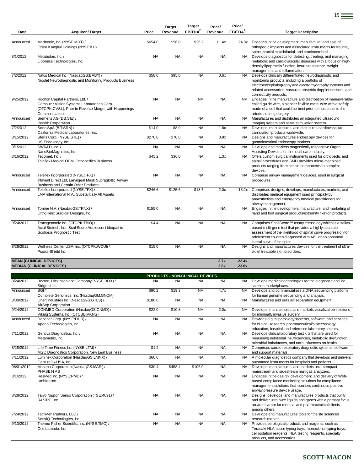| Date      | <b>Acquirer / Target</b>                                                                                                                                 | Price     | <b>Target</b><br>Revenue | <b>Target</b><br>EBITDA <sup>2</sup> | Price/<br>Revenue | Price/<br>EBITDA <sup>2</sup> | <b>Target Description</b>                                                                                                                                                                                                                                                   |
|-----------|----------------------------------------------------------------------------------------------------------------------------------------------------------|-----------|--------------------------|--------------------------------------|-------------------|-------------------------------|-----------------------------------------------------------------------------------------------------------------------------------------------------------------------------------------------------------------------------------------------------------------------------|
|           |                                                                                                                                                          |           |                          |                                      |                   |                               |                                                                                                                                                                                                                                                                             |
| Announced | Medtronic, Inc. (NYSE:MDT) /<br>China Kanghui Holdings (NYSE:KH)                                                                                         | \$654.8   | \$56.8                   | \$26.2                               | 11.4x             | 24.8x                         | Engages in the development, manufacture, and sale of<br>orthopedic implants and associated instruments for trauma,<br>spine, cranial maxillofacial, and craniocerebral.                                                                                                     |
| 8/1/2012  | Metabolon, Inc./<br>Lipomics Technologies, Inc.                                                                                                          | <b>NA</b> | <b>NA</b>                | <b>NA</b>                            | <b>NA</b>         | <b>NA</b>                     | Develops diagnostics for detecting, treating, and managing<br>metabolic and cardiovascular diseases with a focus on high-<br>density lipoprotein function, insulin resistance, weight<br>management, and inflammation.                                                      |
| 7/2/2012  | Natus Medical Inc. (NasdaqGS:BABY) /<br>Nicolet Neurodiagnostic and Monitoring Products Business                                                         | \$58.0    | \$95.0                   | <b>NA</b>                            | 0.6x              | NA                            | Develops clinically differentiated neurodiagnostic and<br>monitoring products, including a portfolio of<br>electroencephalography and electromyography systems and<br>related accessories, vascular, obstetric doppler sensors, and<br>connectivity products.               |
| 9/25/2012 | Rochon Capital Partners, Ltd. /<br>Computer Vision Systems Laboratories Corp.<br>(OTCPK:CVSL), Prior to Reverse Merger with Happenings<br>Communications | <b>NA</b> | <b>NA</b>                | <b>NM</b>                            | <b>NA</b>         | <b>NM</b>                     | Engages in the manufacture and distribution of maneuverable-<br>coiled guide wire, a slender flexible metal wire with a soft tip<br>made of a coil that could be bent prior to insertion into the<br>arteries during surgery.                                               |
| Announced | Siemens AG (DB:SIE) /<br>Penrith Corporation                                                                                                             | <b>NA</b> | <b>NA</b>                | <b>NA</b>                            | <b>NA</b>         | NA                            | Manufactures and distributes an integrated ultrasound<br>imaging system and nerve stimulation system.                                                                                                                                                                       |
| 7/2/2012  | Sorin SpA (BIT:SRN) /<br>California Medical Laboratories, Inc.                                                                                           | \$14.0    | \$8.0                    | <b>NA</b>                            | 1.8x              | <b>NA</b>                     | Develops, manufactures, and distributes cardiovascular<br>cannulation products worldwide.                                                                                                                                                                                   |
| 8/15/2012 | Steris Corp. (NYSE:STE) /<br>US Endoscopy, Inc.                                                                                                          | \$270.0   | \$70.0                   | <b>NA</b>                            | 3.9x              | <b>NA</b>                     | Designs and manufactures endoscopy devices for<br>gastrointestinal endoscopy markets.                                                                                                                                                                                       |
| 8/1/2012  | SWR&D, Inc./<br>NanoBioMagnetics, Inc.                                                                                                                   | <b>NA</b> | <b>NA</b>                | <b>NA</b>                            | <b>NA</b>         | <b>NA</b>                     | Develops and markets magnetically responsive Organ<br>Assisting Devices for the healthcare industry.                                                                                                                                                                        |
| 8/16/2012 | Tecomet. Inc. /<br>Teleflex Medical OEM, Orthopedics Business                                                                                            | \$45.2    | \$36.0                   | <b>NA</b>                            | 1.3x              | <b>NA</b>                     | Offers custom surgical instruments used for orthopedic and<br>spinal procedures and SMD provides micro-machined<br>products ranging from simple components to complex<br>devices.                                                                                           |
| Announced | Teleflex Incorporated (NYSE:TFX) /<br>Intavent Direct Ltd, Laryngeal Mask Supraglottic Airway<br><b>Business and Certain Other Products</b>              | <b>NA</b> | <b>NA</b>                | <b>NA</b>                            | <b>NA</b>         | <b>NA</b>                     | Comprise airway management devices, used in surgical<br>procedures.                                                                                                                                                                                                         |
| Announced | Teleflex Incorporated (NYSE:TFX) /<br>LMA International N.V., Substantially All Assets                                                                   | \$246.6   | \$125.6                  | \$18.7                               | 2.0x              | 13.2x                         | Comprises designs, develops, manufactures, markets, and<br>distributes medical equipment used principally by<br>anaesthetists and emergency medical practitioners for<br>airway management.                                                                                 |
| Announced | Tornier N.V. (NasdaqGS:TRNX) /<br>OrthoHelix Surgical Designs, Inc.                                                                                      | \$155.0   | <b>NA</b>                | <b>NA</b>                            | <b>NA</b>         | <b>NA</b>                     | Engages in the development, manufacture, and marketing of<br>hand and foot surgical products/extremity fixation products.                                                                                                                                                   |
| 9/24/2012 | Transgenomic Inc. (OTCPK:TBIO) /<br>Axial Biotech, Inc., ScoliScore Adolescent Idiopathic<br>Scoliosis Prognostic Test                                   | \$4.4     | <b>NA</b>                | <b>NA</b>                            | <b>NA</b>         | <b>NA</b>                     | Comprises ScoliScore™ assay technology which is a saliva-<br>based multi-gene test that provides a highly accurate<br>assessment of the likelihood of spinal curve progression for<br>adolescent children diagnosed with AIS, or an abnormal<br>lateral curve of the spine. |
| 8/28/2012 | Wellness Center USA, Inc. (OTCPK:WCUI) /<br>Psoria-Shield Inc.                                                                                           | \$15.0    | <b>NA</b>                | <b>NA</b>                            | <b>NA</b>         | <b>NA</b>                     | Designs and manufactures devices for the treatment of ultra-<br>violet treatable skin disorders.                                                                                                                                                                            |
|           | <b>MEAN (CLINICAL DEVICES)</b>                                                                                                                           |           |                          |                                      |                   | 22.4x                         |                                                                                                                                                                                                                                                                             |
|           | <b>MEDIAN (CLINICAL DEVICES)</b>                                                                                                                         |           |                          |                                      | 3.7x<br>2.6x      | 23.0x                         |                                                                                                                                                                                                                                                                             |

|            |                                                                                       |           |           | <b>PRODUCTS - NON-CLINICAL DEVICES</b> |           |           |                                                                                                                                                                                                             |
|------------|---------------------------------------------------------------------------------------|-----------|-----------|----------------------------------------|-----------|-----------|-------------------------------------------------------------------------------------------------------------------------------------------------------------------------------------------------------------|
| 8/24/2012  | Becton, Dickinson and Company (NYSE:BDX) /<br>Sirigen Ltd.                            | <b>NA</b> | <b>NA</b> | <b>NA</b>                              | <b>NA</b> | <b>NA</b> | Develops medical technologies for the diagnostic and life<br>science marketplaces.                                                                                                                          |
| Announced  | BGI/                                                                                  | \$90.2    | \$19.3    | <b>NM</b>                              | 4.7x      | <b>NM</b> | Develops and commercializes a DNA sequencing platform                                                                                                                                                       |
|            | Complete Genomics, Inc. (NasdaqGM:GNOM)                                               |           |           |                                        |           |           | for human genome sequencing and analysis.                                                                                                                                                                   |
| 8/30/2012  | Chart Industries Inc. (NasdaqGS:GTLS) /<br>AirSep Corporation                         | \$180.0   | <b>NA</b> | <b>NA</b>                              | <b>NA</b> | <b>NA</b> | Manufactures and sells air separation equipment.                                                                                                                                                            |
| 9/24/2012  | CONMED Corporation (NasdaqGS:CNMD) /<br>Viking Systems, Inc. (OTCBB:VKNG)             | \$22.0    | \$10.8    | <b>NM</b>                              | 2.0x      | NM.       | Develops, manufactures, and markets visualization solutions<br>for minimally invasive surgery.                                                                                                              |
| Announced  | Danaher Corp. (NYSE:DHR) /<br>Aperio Technologies, Inc.                               | <b>NA</b> | <b>NA</b> | <b>NA</b>                              | <b>NA</b> | <b>NA</b> | Provides digital pathology systems, software, and services<br>for clinical, research, pharmaceutical/biotechnology,<br>education, hospital, and reference laboratory sectors.                               |
| 7/11/2012  | Genova Diagnostics, Inc. /<br>Metametrix, Inc.                                        | <b>NA</b> | <b>NA</b> | <b>NA</b>                              | <b>NA</b> | <b>NA</b> | Develops clinical laboratory test kits that are used for<br>measuring nutritional insufficiencies, metabolic dysfunction,<br>microbial imbalances, and toxic influences on health.                          |
| 8/28/2012  | Life Time Fitness Inc. (NYSE:LTM) /<br>MGC Diagnostics Corporation, New Leaf Business | \$1.2     | <b>NA</b> | <b>NA</b>                              | <b>NA</b> | <b>NA</b> | Comprises cardio respiratory diagnostic systems, software<br>and support materials.                                                                                                                         |
| 7/11/2012  | Luminex Corporation (NasdaqGS:LMNX) /<br>GenturaDx-USA, Inc.                          | \$60.0    | <b>NA</b> | <b>NA</b>                              | <b>NA</b> | <b>NA</b> | A molecular diagnostics company that develops and delivers<br>automated instruments for hospitals and patients.                                                                                             |
| 08/01/2012 | Masimo Corporation (NasdaqGS:MASI) /<br>PHASEIN AB                                    | \$30.4    | \$458.4   | \$106.0                                | <b>NA</b> | <b>NA</b> | Develops, manufactures, and markets ultra-compact<br>mainstream and sidestream multigas analyzers.                                                                                                          |
| 8/1/2012   | ResMed Inc. (NYSE:RMD) /<br>Umbian Inc.                                               | <b>NA</b> | <b>NA</b> | <b>NA</b>                              | <b>NA</b> | <b>NA</b> | Engages in the design, development, and delivery of Web-<br>based compliance monitoring solutions for compliance<br>management solutions that monitors continuous positive<br>airway pressure device usage. |
| 8/28/2012  | Taiyo Nippon Sanso Corporation (TSE:4091) /<br>RASIRC, Inc.                           | <b>NA</b> | <b>NA</b> | <b>NA</b>                              | <b>NA</b> | <b>NA</b> | Designs, develops, and manufactures products that purify<br>and deliver ultra pure liquids and gases with a primary focus<br>on water vapor for medical and pharmaceutical clients<br>among others.         |
| 7/24/2012  | TechVen Partners, LLC /<br>SensiQ Technologies, Inc.                                  | <b>NA</b> | <b>NA</b> | <b>NA</b>                              | <b>NA</b> | <b>NA</b> | Develops and manufactures tools for the life sciences<br>research market.                                                                                                                                   |
| 9/13/2012  | Thermo Fisher Scientific, Inc. (NYSE:TMO) /<br>One Lambda. Inc.                       | <b>NA</b> | <b>NA</b> | <b>NA</b>                              | <b>NA</b> | <b>NA</b> | Provides serological products and reagents, such as<br>Terasaki HLA tissue typing trays, monoclonal typing trays,<br>cell isolation reagents, HLA testing reagents, specialty<br>products, and accessories. |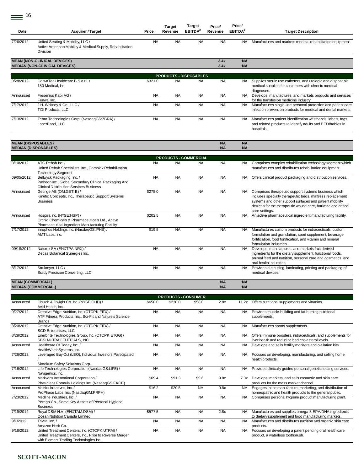$\equiv$ <sup>16</sup>

|           |                                                                                                                  |           | Target    | <b>Target</b>                 | Price/       | Price/                 |                                                                                                                                          |
|-----------|------------------------------------------------------------------------------------------------------------------|-----------|-----------|-------------------------------|--------------|------------------------|------------------------------------------------------------------------------------------------------------------------------------------|
| Date      | <b>Acquirer / Target</b>                                                                                         | Price     | Revenue   | EBITDA <sup>2</sup>           | Revenue      | EBITDA <sup>2</sup>    | <b>Target Description</b>                                                                                                                |
| 7/26/2012 | United Seating & Mobility, LLC /<br>Active American Mobility & Medical Supply, Rehabilitation<br><b>Division</b> | <b>NA</b> | <b>NA</b> | <b>NA</b>                     | <b>NA</b>    | NA.                    | Manufactures and markets medical rehabilitation equipment.                                                                               |
|           | <b>MEAN (NON-CLINICAL DEVICES)</b><br><b>MEDIAN (NON-CLINICAL DEVICES)</b>                                       |           |           |                               | 3.4x<br>3.4x | <b>NA</b><br><b>NA</b> |                                                                                                                                          |
|           |                                                                                                                  |           |           | <b>PRODUCTS - DISPOSABLES</b> |              |                        |                                                                                                                                          |
| 9/28/2012 | ConvaTec Healthcare B S.a.r.l./<br>180 Medical, Inc.                                                             | \$321.0   | <b>NA</b> | <b>NA</b>                     | <b>NA</b>    | NA.                    | Supplies sterile use catheters, and urologic and disposable<br>medical supplies for customers with chronic medical<br>diagnoses.         |
| Announced | Fresenius Kabi AG /<br>Fenwal Inc.                                                                               | <b>NA</b> | <b>NA</b> | <b>NA</b>                     | <b>NA</b>    | NA.                    | Develops, manufactures, and markets products and services<br>for the transfusion medicine industry.                                      |
| 7/17/2012 | J.H. Whitney & Co., LLC /<br><b>TIDI Products, LLC</b>                                                           | <b>NA</b> | <b>NA</b> | <b>NA</b>                     | <b>NA</b>    | <b>NA</b>              | Manufactures single-use personal protection and patient care<br>infection prevention products for medical and dental markets.            |
| 7/13/2012 | Zebra Technologies Corp. (NasdagGS:ZBRA) /<br>LaserBand, LLC                                                     | <b>NA</b> | <b>NA</b> | <b>NA</b>                     | <b>NA</b>    | NA.                    | Manufactures patient identification wristbands, labels, tags,<br>and related products to identify adults and PED/babies in<br>hospitals. |

| <b>MEAN (DISPOSABLES)</b> |                                                                                                                                       |           |                              |           | <b>NA</b> | <b>NA</b> |                                                                                                                                                                                                                                                                  |
|---------------------------|---------------------------------------------------------------------------------------------------------------------------------------|-----------|------------------------------|-----------|-----------|-----------|------------------------------------------------------------------------------------------------------------------------------------------------------------------------------------------------------------------------------------------------------------------|
|                           | <b>MEDIAN (DISPOSABLES)</b>                                                                                                           |           |                              |           | <b>NA</b> | <b>NA</b> |                                                                                                                                                                                                                                                                  |
|                           |                                                                                                                                       |           | <b>PRODUCTS - COMMERCIAL</b> |           |           |           |                                                                                                                                                                                                                                                                  |
| 8/10/2012                 | ATG Rehab Inc. /<br>United Rehab Specialists, Inc., Complex Rehabilitation<br><b>Technology Segment</b>                               | <b>NA</b> | <b>NA</b>                    | <b>NA</b> | <b>NA</b> | <b>NA</b> | Comprises complex rehabilitation technology segment which<br>manufactures and distributes rehabilitation equipment.                                                                                                                                              |
| 09/05/2012                | Bellwyck Packaging, Inc. /<br>Patheon Inc., Global Secondary Clinical Packaging And<br><b>Clinical Distribution Services Business</b> | <b>NA</b> | <b>NA</b>                    | <b>NA</b> | <b>NA</b> | NA.       | Offers clinical product packaging and distribution services.                                                                                                                                                                                                     |
| Announced                 | Getinge AB (OM:GETIB) /<br>Kinetic Concepts, Inc., Therapeutic Support Systems<br><b>Business</b>                                     | \$275.0   | <b>NA</b>                    | <b>NA</b> | <b>NA</b> | <b>NA</b> | Comprises therapeutic support systems business which<br>includes specialty therapeutic beds, mattress replacement<br>systems and other support surfaces and patient mobility<br>devices for the therapeutic wound care, bariatric and critical<br>care settings. |
| Announced                 | Hospira Inc. (NYSE:HSP) /<br>Orchid Chemicals & Pharmaceuticals Ltd., Active<br>Pharmaceutical Ingredient Manufacturing Facility      | \$202.5   | <b>NA</b>                    | <b>NA</b> | <b>NA</b> | <b>NA</b> | An active pharmaceutical ingredient manufacturing facility.                                                                                                                                                                                                      |
| 7/17/2012                 | Innophos Holdings Inc. (NasdagGS:IPHS) /<br>AMT Labs. Inc.                                                                            | \$19.5    | <b>NA</b>                    | <b>NA</b> | <b>NA</b> | <b>NA</b> | Manufactures custom products for nutraceuticals, custom<br>formulation and granulation, sport supplement, beverage<br>fortification, food fortification, and vitamin and mineral<br>formulation industries.                                                      |
| 09/18/2012                | Naturex SA (ENXTPA:NRX) /<br>Decas Botanical Synergies Inc.                                                                           | <b>NA</b> | <b>NA</b>                    | <b>NA</b> | <b>NA</b> | <b>NA</b> | Develops, manufactures, and markets fruit derived<br>ingredients for the dietary supplement, functional foods,<br>animal feed and nutrition, personal care and cosmetics, and<br>oral health industries.                                                         |
| 8/17/2012                 | Strukmyer, LLC /<br>Brady Precision Converting, LLC                                                                                   | <b>NA</b> | <b>NA</b>                    | <b>NA</b> | <b>NA</b> | NA.       | Provides die cutting, laminating, printing and packaging of<br>medical devices.                                                                                                                                                                                  |
|                           |                                                                                                                                       |           |                              |           |           |           |                                                                                                                                                                                                                                                                  |

#### **MEAN (COMMERCIAL) NA NA MEDIAN (COMMERCIAL) NA NA**

|           |                                                                                                                                                    |           | <b>PRODUCTS - CONSUMER</b> |           |           |           |                                                                                                                      |
|-----------|----------------------------------------------------------------------------------------------------------------------------------------------------|-----------|----------------------------|-----------|-----------|-----------|----------------------------------------------------------------------------------------------------------------------|
| Announced | Church & Dwight Co. Inc. (NYSE:CHD) /<br>Avid Health, Inc.                                                                                         | \$650.0   | \$230.0                    | \$58.0    | 2.8x      | 11.2x     | Offers nutritional supplements and vitamins.                                                                         |
| 9/27/2012 | Creative Edge Nutrition, Inc. (OTCPK:FITX) /<br>ATF Fitness Products, Inc., Sci-Fit and Nature's Science<br><b>Brands</b>                          | <b>NA</b> | <b>NA</b>                  | <b>NA</b> | <b>NA</b> | <b>NA</b> | Provides muscle-building and fat-burning nutritional<br>supplements.                                                 |
| 8/20/2012 | Creative Edge Nutrition, Inc. (OTCPK:FITX) /<br>SCD Enterprises, LLC                                                                               | <b>NA</b> | <b>NA</b>                  | <b>NA</b> | <b>NA</b> | <b>NA</b> | Manufactures sports supplements.                                                                                     |
| 8/28/2012 | Enerbrite Technologies Group, Inc. (OTCPK:ETGG) /<br>SBSINUTRACEUTICALS, INC.                                                                      | <b>NA</b> | <b>NA</b>                  | <b>NA</b> | <b>NA</b> | <b>NA</b> | Offers immune boosters, nutraceuticals, and supplements for<br>liver health and reducing bad cholesterol levels.     |
| Announced | Healthcare Of Today, Inc. /<br>HealthWatchSystems, Inc.                                                                                            | <b>NA</b> | <b>NA</b>                  | <b>NA</b> | <b>NA</b> | <b>NA</b> | Develops and sells fertility monitors and ovulation kits.                                                            |
| 7/26/2012 | Leveraged Buy Out (LBO), Individual Investors Participated<br>Skookum Safety Solutions Corp.                                                       | <b>NA</b> | <b>NA</b>                  | <b>NA</b> | <b>NA</b> | <b>NA</b> | Focuses on developing, manufacturing, and selling home<br>health products.                                           |
| 7/16/2012 | Life Technologies Corporation (NasdagGS:LIFE) /<br>Navigenics, Inc.                                                                                | <b>NA</b> | <b>NA</b>                  | <b>NA</b> | <b>NA</b> | <b>NA</b> | Provides clinically quided personal genetic testing services.                                                        |
| Announced | Markwins International Corporation /<br>Physicians Formula Holdings Inc. (NasdaqGS:FACE)                                                           | \$69.4    | \$91.3                     | \$9.6     | 0.8x      | 7.3x      | Develops, markets, and sells cosmetic and skin care<br>products for the mass market channel.                         |
| Announced | Matrixx Initiatives, Inc. /<br>ProPhase Labs, Inc. (NasdaqGM:PRPH)                                                                                 | \$16.2    | \$20.5                     | <b>NM</b> | 0.8x      | <b>NM</b> | Engages in the manufacture, marketing, and distribution of<br>homeopathic and health products to the general public. |
| 7/23/2012 | Medline Industries, Inc. /<br>Perrigo Co., Some Key Assets of Personal Hygiene<br><b>Business</b>                                                  | <b>NA</b> | <b>NA</b>                  | <b>NA</b> | <b>NA</b> | <b>NA</b> | Comprises personal hygiene product manufacturing plant.                                                              |
| 7/19/2012 | Royal DSM N.V. (ENXTAM:DSM) /<br>Ocean Nutrition Canada Limited                                                                                    | \$577.5   | <b>NA</b>                  | <b>NA</b> | 2.8x      | <b>NA</b> | Manufactures and supplies omega-3 EPA/DHA ingredients<br>to dietary supplement and food manufacturing markets.       |
| 9/1/2012  | Trivita, Inc.<br>Amazon Herb Co.                                                                                                                   | <b>NA</b> | <b>NA</b>                  | <b>NA</b> | <b>NA</b> | <b>NA</b> | Manufactures and distributes nutrition and organic skin care<br>products.                                            |
| 9/18/2012 | United Treatment Centers, Inc. (OTCPK:UTRM) /<br>United Treatment Centers, Inc., Prior to Reverse Merger<br>with Element Trading Technologies Inc. | <b>NA</b> | <b>NA</b>                  | <b>NA</b> | <b>NA</b> | NA.       | Focuses on developing a patent pending oral health care<br>product, a waterless toothbrush.                          |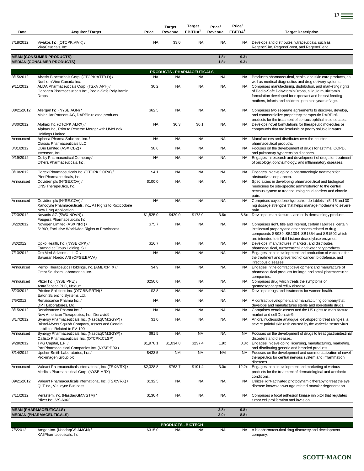| Date       | <b>Acquirer / Target</b>                                                                                                             | Price     | <b>Target</b><br>Revenue               | <b>Target</b><br>EBITDA <sup>2</sup>    | Price/<br>Revenue | Price/<br>EBITDA <sup>2</sup> | <b>Target Description</b>                                                                                                                                                                                                                 |
|------------|--------------------------------------------------------------------------------------------------------------------------------------|-----------|----------------------------------------|-----------------------------------------|-------------------|-------------------------------|-------------------------------------------------------------------------------------------------------------------------------------------------------------------------------------------------------------------------------------------|
| 7/18/2012  | Vivakor, Inc. (OTCPK:VIVK) /<br>VivaCeuticals, Inc.                                                                                  | <b>NA</b> | \$3.0                                  | <b>NA</b>                               | <b>NA</b>         | <b>NA</b>                     | Develops and distributes nutraceuticals, such as<br>RegeneSlim, RegeneBoost, and RegeneBlend.                                                                                                                                             |
|            | <b>MEAN (CONSUMER PRODUCTS)</b><br><b>MEDIAN (CONSUMER PRODUCTS)</b>                                                                 |           |                                        |                                         | 1.8x<br>1.8x      | 9.3x<br>9.3x                  |                                                                                                                                                                                                                                           |
|            |                                                                                                                                      |           |                                        |                                         |                   |                               |                                                                                                                                                                                                                                           |
| 8/15/2012  | Abattis Bioceuticals Corp. (OTCPK:ATTB.D) /                                                                                          | <b>NA</b> | <b>NA</b>                              | PRODUCTS - PHARMACEUTICALS<br><b>NA</b> | <b>NA</b>         | NA .                          | Produces pharmaceutical, health, and skin care products, as                                                                                                                                                                               |
|            | Northern Vine Canada Inc.                                                                                                            |           |                                        |                                         |                   |                               | well as medical diagnostics and drug delivery systems.                                                                                                                                                                                    |
| 9/11/2012  | ALDA Pharmaceuticals Corp. (TSXV:APH) /<br>Canagen Pharmaceuticals Inc., Pedia-Safe Polyvitamin<br><b>Drops</b>                      | \$0.2     | <b>NA</b>                              | <b>NA</b>                               | <b>NA</b>         | NA                            | Comprises manufacturing, distribution, and marketing rights<br>of Pedia-Safe Polyvitamin Drops, a liquid multivitamin<br>formulation developed for expectant and breast-feeding<br>mothers, infants and children up to nine years of age. |
| 08/21/2012 | Allergan Inc. (NYSE:AGN) /<br>Molecular Partners AG, DARPin related products                                                         | \$62.5    | <b>NA</b>                              | <b>NA</b>                               | <b>NA</b>         | <b>NA</b>                     | Comprises two separate agreements to discover, develop,<br>and commercialize proprietary therapeutic DARPin®<br>products for the treatment of serious ophthalmic diseases.                                                                |
| 8/30/2012  | Alpharx Inc. (OTCPK:ALRX) /<br>Alpharx Inc., Prior to Reverse Merger with UMeLook<br><b>Holdings Limited</b>                         | <b>NA</b> | \$0.3                                  | \$0.1                                   | <b>NA</b>         | <b>NA</b>                     | Develops novel formulations for therapeutic molecules or<br>compounds that are insoluble or poorly soluble in water.                                                                                                                      |
| Announced  | Aphena Pharma Solutions, Inc. /                                                                                                      | <b>NA</b> | <b>NA</b>                              | <b>NA</b>                               | <b>NA</b>         | <b>NA</b>                     | Manufactures and distributes over-the-counter                                                                                                                                                                                             |
| 8/31/2012  | Classic Pharmaceuticals LLC<br>CBio Limited (ASX:CBZ) /                                                                              | \$8.6     | <b>NA</b>                              | <b>NA</b>                               | <b>NA</b>         | NA.                           | pharmaceutical products.<br>Focuses on the development of drugs for asthma, COPD,                                                                                                                                                         |
|            | Inverseon, Inc.                                                                                                                      |           |                                        |                                         |                   |                               | and pulmonary hypertension diseases.                                                                                                                                                                                                      |
| 9/19/2012  | Colby Pharmaceutical Company /<br>Othera Pharmaceuticals, Inc.                                                                       | <b>NA</b> | <b>NA</b>                              | <b>NA</b>                               | <b>NA</b>         | <b>NA</b>                     | Engages in research and development of drugs for treatment<br>of oncology, ophthalmology, and inflammatory diseases.                                                                                                                      |
| 8/10/2012  | Cortex Pharmaceuticals Inc. (OTCPK:CORX) /<br>Pier Pharmaceuticals, Inc.                                                             | \$4.1     | <b>NA</b>                              | <b>NA</b>                               | <b>NA</b>         | <b>NA</b>                     | Engages in developing a pharmacologic treatment for<br>obstructive sleep apnea.                                                                                                                                                           |
| Announced  | Covidien plc (NYSE:COV) /<br>CNS Therapeutics, Inc.                                                                                  | \$100.0   | <b>NA</b>                              | <b>NA</b>                               | <b>NA</b>         | NA.                           | Specializes in developing pharmaceutical and biological<br>medicines for site-specific administration to the central<br>nervous system to treat neurological disorders and chronic<br>pain.                                               |
| Announced  | Covidien plc (NYSE:COV) /<br>Xanodyne Pharmaceuticals, Inc., All Rights to Roxicodone<br>New Drug Application                        | <b>NA</b> | <b>NA</b>                              | <b>NA</b>                               | <b>NA</b>         | <b>NA</b>                     | Comprises oxycodone hydrochloride tablets in 5, 15 and 30<br>mg dosage strengths that helps manage moderate to severe<br>pain.                                                                                                            |
| 7/23/2012  | Novartis AG (SWX:NOVN) /<br>Fougera Pharmaceuticals Inc.                                                                             | \$1,525.0 | \$429.0                                | \$173.0                                 | 3.6x              | 8.8x                          | Develops, manufactures, and sells dermatology products.                                                                                                                                                                                   |
| 8/22/2012  | Novogen Limited (ASX:NRT) /<br>S*BIO, Exclusive Worldwide Rights to Pracinostat                                                      | \$75.7    | <b>NA</b>                              | <b>NA</b>                               | <b>NA</b>         | <b>NA</b>                     | Comprises right, title and interest, certain liabilities, certain<br>intellectual property and other assets related to drug<br>compounds SB939, SB1304, SB1354 and SB1502 which                                                           |
| 8/2/2012   | Opko Health, Inc. (NYSE:OPK) /                                                                                                       | \$16.7    | <b>NA</b>                              | <b>NA</b>                               | <b>NA</b>         | <b>NA</b>                     | are intended to inhibit histone deacetylase enzymes.<br>Develops, manufactures, markets, and distributes                                                                                                                                  |
| 7/13/2012  | Farmadiet Group Holding, S.L.<br>OrbiMed Advisors, L.L.C. /<br>Bavarian Nordic A/S (CPSE:BAVA)                                       | <b>NA</b> | <b>NA</b>                              | <b>NA</b>                               | <b>NA</b>         | NA.                           | pharmaceutical, nutraceutical, and veterinary products.<br>Engages in the development and production of vaccines for<br>the treatment and prevention of cancer, biodefense, and<br>infectious diseases.                                   |
| Announced  | Pernix Therapeutics Holdings, Inc. (AMEX:PTX) /<br>Great Southern Laboratories, Inc.                                                 | \$4.9     | <b>NA</b>                              | <b>NA</b>                               | <b>NA</b>         | NA                            | Engages in the contract development and manufacture of<br>pharmaceutical products for large and small pharmaceutical<br>companies.                                                                                                        |
| Announced  | Pfizer Inc. (NYSE:PFE) /<br>AstraZeneca PLC, Nexium                                                                                  | \$250.0   | <b>NA</b>                              | <b>NA</b>                               | <b>NA</b>         | <b>NA</b>                     | Comprises drug which treats the symptoms of<br>gastroesophageal reflux disease.                                                                                                                                                           |
| 8/23/2012  | Pristine Solutions Inc. (OTCBB:PRTN) /<br>Eaton Scientific Systems Ltd.                                                              | \$3.8     | <b>NA</b>                              | <b>NA</b>                               | <b>NA</b>         |                               | Develops drugs and treatments for women health.                                                                                                                                                                                           |
| 7/5/2012   | Renaissance Pharma Inc. /<br>DPT Laboratories, Ltd.                                                                                  | <b>NA</b> | <b>NA</b>                              | <b>NA</b>                               | <b>NA</b>         | NA.                           | A contract development and manufacturing company that<br>develops and manufactures sterile and non-sterile drugs.                                                                                                                         |
| 8/15/2012  | Renaissance Pharma Inc. /<br>New American Therapeutics, Inc., Denavir®                                                               | <b>NA</b> | <b>NA</b>                              | <b>NA</b>                               | <b>NA</b>         | <b>NA</b>                     | Comprises certain assets and the US rights to manufacture,<br>market and sell Denavir®.                                                                                                                                                   |
| 8/17/2012  | Synergy Pharmaceuticals, Inc. (NasdaqCM:SGYP) /<br>Bristol-Myers Squibb Company, Assets and Certain<br>Liabilities Related to FV-100 | \$1.0     | <b>NA</b>                              | <b>NA</b>                               | <b>NA</b>         | <b>NA</b>                     | An oral nucleoside analogue, developed to treat shingles, a<br>severe painful skin rash caused by the varicella zoster virus.                                                                                                             |
| Announced  | Synergy Pharmaceuticals, Inc. (NasdaqCM:SGYP) /<br>Callisto Pharmaceuticals, Inc. (OTCPK:CLSP)                                       | \$91.5    | <b>NA</b>                              | <b>NM</b>                               | <b>NA</b>         | NM                            | Focuses on the development of drugs to treat gastrointestinal<br>disorders and diseases.                                                                                                                                                  |
| 9/28/2012  | TPG Capital, L.P./<br>Par Pharmaceutical Companies Inc. (NYSE:PRX)                                                                   | \$1,978.1 | \$1,034.8                              | \$237.4                                 | 1.9x              | 8.3x                          | Engages in developing, licensing, manufacturing, marketing,<br>and distributing generic and branded products.                                                                                                                             |
| 8/14/2012  | Upsher-Smith Laboratories, Inc. /<br>Proximagen Group plc                                                                            | \$423.5   | <b>NM</b>                              | <b>NM</b>                               | <b>NM</b>         | <b>NM</b>                     | Focuses on the development and commercialization of novel<br>therapeutics for central nervous system and inflammation<br>diseases.                                                                                                        |
| Announced  | Valeant Pharmaceuticals International, Inc. (TSX:VRX) /<br>Medicis Pharmaceutical Corp. (NYSE:MRX)                                   | \$2,328.8 | \$763.7                                | \$191.4                                 | 3.0x              | 12.2x                         | Engages in the development and marketing of various<br>products for the treatment of dermatological and aesthetic<br>conditions.                                                                                                          |
| 09/21/2012 | Valeant Pharmaceuticals International, Inc. (TSX:VRX) /<br>QLT Inc., Visudyne Business                                               | \$132.5   | <b>NA</b>                              | <b>NA</b>                               | <b>NA</b>         | <b>NA</b>                     | Utilizes light-activated photodynamic therapy to treat the eye<br>disease known as wet age related macular degeneration.                                                                                                                  |
| 7/11/2012  | Verastem, Inc. (NasdaqGM:VSTM) /<br>Pfizer Inc., VS-6063                                                                             | \$130.4   | <b>NA</b>                              | <b>NA</b>                               | <b>NA</b>         | <b>NA</b>                     | Comprises a focal adhesion kinase inhibitor that regulates<br>tumor cell proliferation and invasion.                                                                                                                                      |
|            | <b>MEAN (PHARMACEUTICALS)</b><br><b>MEDIAN (PHARMACEUTICALS)</b>                                                                     |           |                                        |                                         | 2.8x<br>3.0x      | 9.8x<br>8.8x                  |                                                                                                                                                                                                                                           |
|            |                                                                                                                                      |           |                                        |                                         |                   |                               |                                                                                                                                                                                                                                           |
| 7/5/2012   | Amgen Inc. (NasdaqGS:AMGN) /                                                                                                         | \$315.0   | <b>PRODUCTS - BIOTECH</b><br><b>NA</b> | <b>NA</b>                               | <b>NA</b>         | NA.                           | A biopharmaceutical drug discovery and development                                                                                                                                                                                        |
|            | KAI Pharmaceuticals, Inc.                                                                                                            |           |                                        |                                         |                   |                               | company.                                                                                                                                                                                                                                  |

Ξ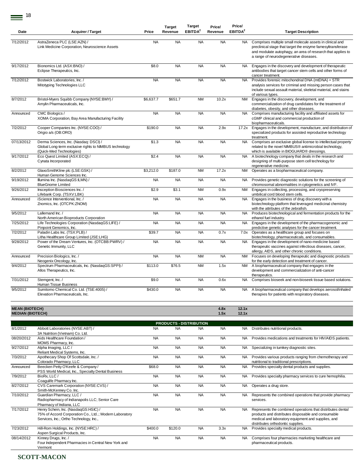|            |                                                                                                                             |           | <b>Target</b> | <b>Target</b>       | Price/    | Price/              |                                                                                                                                                                                                                                   |
|------------|-----------------------------------------------------------------------------------------------------------------------------|-----------|---------------|---------------------|-----------|---------------------|-----------------------------------------------------------------------------------------------------------------------------------------------------------------------------------------------------------------------------------|
| Date       | <b>Acquirer / Target</b>                                                                                                    | Price     | Revenue       | EBITDA <sup>2</sup> | Revenue   | EBITDA <sup>2</sup> | <b>Target Description</b>                                                                                                                                                                                                         |
|            |                                                                                                                             |           |               |                     |           |                     |                                                                                                                                                                                                                                   |
| 7/12/2012  | AstraZeneca PLC (LSE:AZN) /<br>Link Medicine Corporation, Neuroscience Assets                                               | <b>NA</b> | <b>NA</b>     | <b>NA</b>           | <b>NA</b> | NA.                 | Comprises multiple small molecule assets in clinical and<br>preclinical stage that target the enzyme farnesyltransferase<br>and modulate autophagy, an area of research that applies to<br>a range of neurodegenerative diseases. |
| 9/17/2012  | Bionomics Ltd. (ASX:BNO) /<br>Eclipse Therapeutics, Inc.                                                                    | \$8.0     | <b>NA</b>     | <b>NA</b>           | <b>NA</b> | <b>NA</b>           | Engages in the discovery and development of therapeutic<br>antibodies that target cancer stem cells and other forms of<br>cancer treatment.                                                                                       |
| 7/12/2012  | Bostwick Laboratories, Inc. /<br>Mitotyping Technologies LLC                                                                | <b>NA</b> | <b>NA</b>     | <b>NA</b>           | <b>NA</b> | <b>NA</b>           | Provides forensic mitochondrial DNA (mtDNA) + STR<br>analysis services for criminal and missing person cases that<br>include sexual assault material, skeletal material, and stains<br>of various types.                          |
| 8/7/2012   | Bristol-Myers Squibb Company (NYSE:BMY) /<br>Amylin Pharmaceuticals, Inc.                                                   | \$6,637.7 | \$651.7       | <b>NM</b>           | 10.2x     | <b>NM</b>           | Engages in the discovery, development, and<br>commercialization of drug candidates for the treatment of<br>diabetes, obesity, and other diseases.                                                                                 |
| Announced  | CMC Biologics /<br>XOMA Corporation, Bay Area Manufacturing Facility                                                        | <b>NA</b> | <b>NA</b>     | <b>NA</b>           | <b>NA</b> | <b>NA</b>           | Comprises manufacturing facility and affiliated assets for<br>cGMP clinical and commercial production of<br>biopharmaceuticals.                                                                                                   |
| 7/2/2012   | Cooper Companies Inc. (NYSE:COO) /<br>Origio a/s (OB:ORO)                                                                   | \$190.0   | <b>NA</b>     | <b>NA</b>           | 2.9x      | 17.2x               | Engages in the development, manufacture, and distribution of<br>specialized products for assisted reproductive technology<br>treatment.                                                                                           |
| 07/13/2012 | Derma Sciences, Inc. (Nasdaq: DSCI) /<br>Global Long-term exclusive rights to NIMBUS technology<br>(Quick-Med Technologies) | \$1.3     | <b>NA</b>     | <b>NA</b>           | <b>NA</b> | <b>NA</b>           | Comprises an exclusive global license to intellectual property<br>related to the novel NIMBUS® antimicrobial technology,<br>which is available in BIOGUARD® dressings.                                                            |
| 9/17/2012  | Eco Quest Limited (ASX:ECQ) /<br>Cynata Incorporated                                                                        | \$2.4     | <b>NA</b>     | <b>NA</b>           | <b>NA</b> | <b>NA</b>           | A biotechnology company that deals in the research and<br>designing of multi-purpose stem cell technology for<br>regenerative medicine.                                                                                           |
| 8/2/2012   | GlaxoSmithKline plc (LSE:GSK) /<br>Human Genome Sciences Inc.                                                               | \$3,212.0 | \$187.0       | <b>NM</b>           | 17.2x     | <b>NM</b>           | Operates as a biopharmaceutical company.                                                                                                                                                                                          |
| 9/19/2012  | Illumina Inc. (NasdaqGS:ILMN) /<br><b>BlueGnome Limited</b>                                                                 | <b>NA</b> | <b>NA</b>     | <b>NA</b>           | <b>NA</b> | NA.                 | Provides genetic diagnostic solutions for the screening of<br>chromosomal abnormalities in cytogenetics and IVF.                                                                                                                  |
| 9/26/2012  | Insception Biosciences Inc./<br>Lifebank Corp. (TSXV:LBK)                                                                   | \$2.9     | \$3.1         | <b>NM</b>           | 0.9x      | <b>NM</b>           | Engages in collecting, processing, and cryopreserving<br>umbilical cord blood stem cells.                                                                                                                                         |
| Announced  | iScience Interventional, Inc. /<br>Znomics, Inc. (OTCPK:ZNOM)                                                               | <b>NA</b> | <b>NA</b>     | <b>NA</b>           | <b>NA</b> | <b>NA</b>           | Engages in the business of drug discovery with a<br>biotechnology platform that leveraged medicinal chemistry<br>with the attributes of the zebrafish.                                                                            |
| 9/5/2012   | Lallemand Inc. /<br>North American Bioproducts Corporation                                                                  | <b>NA</b> | <b>NA</b>     | <b>NA</b>           | <b>NA</b> | <b>NA</b>           | Produces biotechnological and fermentation products for the<br>ethanol fuel industry.                                                                                                                                             |
| 7/25/2012  | Life Technologies Corporation (NasdaqGS:LIFE) /<br>Pinpoint Genomics, Inc.                                                  | <b>NA</b> | <b>NA</b>     | <b>NA</b>           | <b>NA</b> | <b>NA</b>           | Engages in the development of the pharmacogenomic and<br>predictive genetic analyses for the cancer treatment.                                                                                                                    |
| 7/2/2012   | Paladin Labs Inc. (TSX:PLB) /<br>Litha Healthcare Group Limited (JSE:LHG)                                                   | \$39.7    | <b>NA</b>     | <b>NA</b>           | 0.7x      | 7.0x                | Operates as a healthcare group and focuses on<br>biotechnology, pharmaceuticals, and consumables.                                                                                                                                 |
| 9/28/2012  | Power of the Dream Ventures, Inc. (OTCBB:PWRV) /<br>Genetic Immunity, LLC                                                   | <b>NA</b> | <b>NA</b>     | <b>NA</b>           | <b>NA</b> | <b>NA</b>           | Engages in the development of nano-medicine based<br>therapeutic vaccines against infectious diseases, cancer,<br>allergy, AIDS, and other chronic conditions.                                                                    |
| Announced  | Precision Biologics, Inc. /<br>Neogenix Oncology, Inc.                                                                      | <b>NA</b> | <b>NA</b>     | <b>NM</b>           | <b>NA</b> | <b>NM</b>           | Focuses on developing therapeutic and diagnostic products<br>for the early detection and treatment of cancer.                                                                                                                     |
| 9/4/2012   | Spectrum Pharmaceuticals, Inc. (NasdaqGS:SPPI) /<br>Allos Therapeutics, Inc.                                                | \$113.0   | \$76.5        | <b>NM</b>           | 1.5x      | <b>NM</b>           | A biopharmaceutical company that engages in the<br>development and commercialization of anti-cancer<br>therapeutics.                                                                                                              |
| 7/31/2012  | Stemgent, Inc. /<br>Human Tissue Business                                                                                   | \$9.0     | <b>NA</b>     | <b>NA</b>           | 0.6x      | <b>NA</b>           | Comprises bioseek and non-bioseek tissue based solutions.                                                                                                                                                                         |
| 9/5/2012   | Sumitomo Chemical Co. Ltd. (TSE:4005) /<br>Elevation Pharmaceuticals, Inc.                                                  | \$430.0   | <b>NA</b>     | <b>NA</b>           | <b>NA</b> | NA.                 | A biopharmaceutical company that develops aerosol/inhaled<br>therapies for patients with respiratory diseases.                                                                                                                    |

#### **MEAN (BIOTECH) 4.8x 12.1x MEDIAN (BIOTECH) 1.5x 12.1x**

8/1/2012 Abbott Laboratories (NYSE:ABT) / 3A Nutrition (Vietnam) Co. Ltd. NA NA NA NA NA Distributes nutritional products. 08/20/2012 Aids Healthcare Foundation / MOMS Pharmacy, Inc. NA NA NA NA NA NA Provides medications and treatments for HIV/AIDS patients. 9/27/2012 Alpha Imaging, LLC / Reliant Medical Systems, Inc. NA NA NA NA NA NA Specializing in turnkey diagnostic sites. 7/3/2012 Apothecary Shop Of Scottsdale, Inc. / Colorado Pharmacy, LLC NA NA NA NA NA Provides various products ranging from chemotherapy and nutritional to traditional prescriptions. Announced Beecken Petty O'Keefe & Company / PSS World Medical, Inc., Specialty Dental Business \$68.0 NA NA NA NA NA Provides specialty dental products and supplies. 7/9/2012 BioRx, LLC / Coagulife Pharmacy Inc. NA NA NA NA NA NA Provides specialty pharmacy services to cure hemophilia. 8/27/2012 CVS Caremark Corporation (NYSE:CVS) / Smith-McKenney Co. Inc. NA NA NA NA NA NA Operates a drug store. 7/10/2012 Guardian Pharmacy, LLC / Radiopharmacy of Indianapolis LLC; Senior Care Pharmacy of Indiana, LLC NA NA NA NA NA Represents the combined operations that provide pharmacy services. 7/17/2012 Henry Schein, Inc. (NasdaqGS:HSIC) / 75% of Accord Corporation Co., Ltd..; Modern Laboratory Services, Inc.; Ortho Technology, Inc., NA NA NA NA NA Represents the combined operations that distributes dental products and distributes disposable and consumable medical and laboratory equipment and supplies, and distributes orthodontic supplies. 7/23/2012 Hill-Rom Holdings, Inc. (NYSE:HRC) / Aspen Surgical Products, Inc. \$400.0 \$120.0 NA 3.3x NA Provides specialty medical products. 08/14/2012 Kinney Drugs, Inc. / Four Independent Pharmacies in Central New York and Vermont NA NA NA NA NA NA Comprises four pharmacies marketing healthcare and pharmaceutical products. **PRODUCTS - DISTRIBUTION**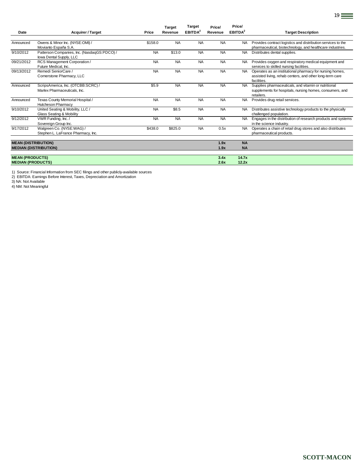|                            |                                                                        |           | <b>Target</b> | Target              | Price/    | Price/              |                                                                                                                                     |
|----------------------------|------------------------------------------------------------------------|-----------|---------------|---------------------|-----------|---------------------|-------------------------------------------------------------------------------------------------------------------------------------|
| Date                       | <b>Acquirer / Target</b>                                               | Price     | Revenue       | EBITDA <sup>2</sup> | Revenue   | EBITDA <sup>2</sup> | <b>Target Description</b>                                                                                                           |
| Announced                  | Owens & Minor Inc. (NYSE:OMI) /<br>Movianto España S.A.                | \$158.0   | <b>NA</b>     | <b>NA</b>           | <b>NA</b> | NA.                 | Provides contract logistics and distribution services to the<br>pharmaceutical, biotechnology, and healthcare industries.           |
| 9/10/2012                  | Patterson Companies, Inc. (NasdaqGS:PDCO) /<br>lowa Dental Supply, LLC | <b>NA</b> | \$13.0        | <b>NA</b>           | <b>NA</b> | <b>NA</b>           | Distributes dental supplies.                                                                                                        |
| 09/21/2012                 | RCS Management Corporation /<br>Future Medical, Inc.                   | <b>NA</b> | <b>NA</b>     | <b>NA</b>           | <b>NA</b> | <b>NA</b>           | Provides oxygen and respiratory medical equipment and<br>services to skilled nursing facilities.                                    |
| 09/13/2012                 | Remedi SeniorCare /<br>Cornerstone Pharmacy, LLC                       | <b>NA</b> | <b>NA</b>     | <b>NA</b>           | <b>NA</b> | <b>NA</b>           | Operates as an institutional pharmacy for nursing homes,<br>assisted living, rehab centers, and other long-term care<br>facilities. |
| Announced                  | ScripsAmerica, Inc. (OTCBB:SCRC) /<br>Marlex Pharmaceuticals, Inc.     | \$5.9     | <b>NA</b>     | <b>NA</b>           | <b>NA</b> | <b>NA</b>           | Supplies pharmaceuticals, and vitamin or nutritional<br>supplements for hospitals, nursing homes, consumers, and<br>retailers.      |
| Announced                  | Texas County Memorial Hospital /<br><b>Hutcheson Pharmacy</b>          | <b>NA</b> | <b>NA</b>     | <b>NA</b>           | <b>NA</b> | <b>NA</b>           | Provides drug retail services.                                                                                                      |
| 9/10/2012                  | United Seating & Mobility, LLC /<br>Glass Seating & Mobility           | <b>NA</b> | \$8.5         | <b>NA</b>           | <b>NA</b> | NA.                 | Distributes assistive technology products to the physically<br>challenged population.                                               |
| 9/12/2012                  | VWR Funding, Inc. /<br>Sovereign Group Inc.                            | <b>NA</b> | <b>NA</b>     | <b>NA</b>           | <b>NA</b> | <b>NA</b>           | Engages in the distribution of research products and systems<br>in the science industry.                                            |
| 9/17/2012                  | Walgreen Co. (NYSE:WAG) /<br>Stephen L. LaFrance Pharmacy, Inc.        | \$438.0   | \$825.0       | <b>NA</b>           | 0.5x      | <b>NA</b>           | Operates a chain of retail drug stores and also distributes<br>pharmaceutical products.                                             |
| <b>MEAN (DISTRIBUTION)</b> |                                                                        |           |               |                     | 1.9x      | <b>NA</b>           |                                                                                                                                     |
|                            | <b>MEDIAN (DISTRIBUTION)</b>                                           |           |               |                     | 1.9x      | <b>NA</b>           |                                                                                                                                     |
| <b>MEAN (PRODUCTS)</b>     |                                                                        |           |               |                     | 3.4x      | 14.7x               |                                                                                                                                     |
| <b>MEDIAN (PRODUCTS)</b>   |                                                                        |           |               |                     | 2.6x      | 12.2x               |                                                                                                                                     |

1) Source: Financial Information from SEC filings and other publicly-available sources 2) EBITDA: Earnings Before Interest, Taxes, Depreciation and Amortization

3) NA: Not Available

4) NM: Not Meaningful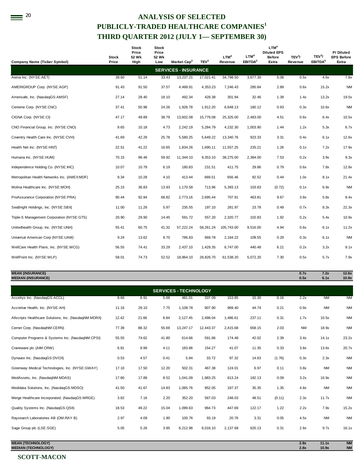# <sup>20</sup> ANALYSIS OF SELECTED **PUBLICLY-TRADED HEALTHCARE COMPANIES<sup>1</sup> THIRD QUARTER 2012 (JULY 1— SEPTEMBER 30)**

| <b>Company Name (Ticker Symbol)</b>          | Stock<br>Price | Stock<br>Price<br>52 Wk<br>High | <b>Stock</b><br>Price<br>52 Wk<br>Low | Market Cap <sup>2</sup>     | TEV <sup>3</sup> | LTM <sup>4</sup><br>Revenue | LTM <sup>4</sup><br>EBITDA <sup>5</sup> | LTM <sup>4</sup><br><b>Diluted EPS</b><br><b>Before</b><br>Extra | TEV <sup>3</sup> /<br>Revenue | TEV <sup>3</sup> /<br>EBITDA <sup>5</sup> | P/Diluted<br><b>EPS Before</b><br>Extra |
|----------------------------------------------|----------------|---------------------------------|---------------------------------------|-----------------------------|------------------|-----------------------------|-----------------------------------------|------------------------------------------------------------------|-------------------------------|-------------------------------------------|-----------------------------------------|
|                                              |                |                                 |                                       | <b>SERVICES - INSURANCE</b> |                  |                             |                                         |                                                                  |                               |                                           |                                         |
| Aetna Inc. (NYSE:AET)                        | 39.60          | 51.14                           | 33.43                                 | 13,237.21                   | 17,021.41        | 34,798.50                   | 3,677.30                                | 5.08                                                             | 0.5x                          | 4.6x                                      | 7.8x                                    |
| AMERIGROUP Corp. (NYSE:AGP)                  | 91.43          | 91.50                           | 37.57                                 | 4,499.91                    | 4,353.23         | 7,246.43                    | 285.84                                  | 2.89                                                             | 0.6x                          | 15.2x                                     | <b>NM</b>                               |
| Amerisafe, Inc. (NasdaqGS:AMSF)              | 27.14          | 28.40                           | 18.10                                 | 492.34                      | 428.38           | 301.94                      | 32.46                                   | 1.39                                                             | 1.4x                          | 13.2x                                     | 19.5x                                   |
| Centene Corp. (NYSE:CNC)                     | 37.41          | 50.98                           | 24.26                                 | 1,928.78                    | 1,912.20         | 6,648.13                    | 180.12                                  | 0.93                                                             | 0.3x                          | 10.6x                                     | <b>NM</b>                               |
| CIGNA Corp. (NYSE:CI)                        | 47.17          | 49.89                           | 38.79                                 | 13,602.08                   | 15,779.08        | 25,325.00                   | 2,483.00                                | 4.51                                                             | 0.6x                          | 6.4x                                      | 10.5x                                   |
| CNO Financial Group, Inc. (NYSE:CNO)         | 9.65           | 10.18                           | 4.73                                  | 2,242.19                    | 5,284.79         | 4,232.30                    | 1,003.90                                | 1.44                                                             | 1.2x                          | 5.3x                                      | 6.7x                                    |
| Coventry Health Care Inc. (NYSE:CVH)         | 41.69          | 42.29                           | 25.78                                 | 5,580.25                    | 5,649.22         | 13,340.76                   | 923.33                                  | 3.31                                                             | 0.4x                          | 6.1x                                      | 12.6x                                   |
| Health Net Inc. (NYSE:HNT)                   | 22.51          | 41.22                           | 16.65                                 | 1,834.26                    | 1,690.11         | 11,557.25                   | 235.21                                  | 1.26                                                             | 0.1x                          | 7.2x                                      | 17.9x                                   |
| Humana Inc. (NYSE:HUM)                       | 70.15          | 96.46                           | 59.92                                 | 11.344.10                   | 9,353.10         | 38,275.00                   | 2,384.00                                | 7.53                                                             | 0.2x                          | 3.9x                                      | 9.3x                                    |
| Independence Holding Co. (NYSE:IHC)          | 10.07          | 10.79                           | 6.19                                  | 180.83                      | 231.51           | 411.75                      | 29.86                                   | 0.79                                                             | 0.6x                          | 7.8x                                      | 12.8x                                   |
| Metropolitan Health Networks Inc. (AMEX:MDF) | 9.34           | 10.28                           | 4.10                                  | 413.44                      | 669.51           | 656.46                      | 82.52                                   | 0.44                                                             | 1.0x                          | 8.1x                                      | 21.4x                                   |
| Molina Healthcare Inc. (NYSE:MOH)            | 25.15          | 36.83                           | 13.93                                 | 1,170.58                    | 713.96           | 5,393.13                    | 103.83                                  | (0.72)                                                           | 0.1x                          | 6.9x                                      | <b>NM</b>                               |
| ProAssurance Corporation (NYSE:PRA)          | 90.44          | 92.84                           | 68.82                                 | 2,773.16                    | 2,695.44         | 707.91                      | 463.81                                  | 9.67                                                             | 3.8x                          | 5.8x                                      | 9.4x                                    |
| SeaBright Holdings, Inc. (NYSE:SBX)          | 11.00          | 11.26                           | 5.97                                  | 235.55                      | 197.10           | 281.97                      | 23.78                                   | 0.49                                                             | 0.7x                          | 8.3x                                      | 22.3x                                   |
| Triple-S Management Corporation (NYSE:GTS)   | 20.90          | 29.90                           | 14.45                                 | 591.72                      | 557.20           | 2,320.77                    | 102.83                                  | 1.92                                                             | 0.2x                          | 5.4x                                      | 10.9x                                   |
| Unitedhealth Group, Inc. (NYSE:UNH)          | 55.41          | 60.75                           | 41.32                                 | 57.222.24                   | 58,261.24        | 105.743.00                  | 9,516.00                                | 4.94                                                             | 0.6x                          | 6.1x                                      | 11.2x                                   |
| Universal American Corp (NYSE:UAM)           | 9.24           | 13.62                           | 8.70                                  | 786.83                      | 669.78           | 2,184.22                    | 109.55                                  | 0.29                                                             | 0.3x                          | 6.1x                                      | <b>NM</b>                               |
| WellCare Health Plans, Inc. (NYSE:WCG)       | 56.55          | 74.41                           | 33.29                                 | 2,437.10                    | 1,429.35         | 6,747.00                    | 440.48                                  | 6.21                                                             | 0.2x                          | 3.2x                                      | 9.1x                                    |
| WellPoint Inc. (NYSE:WLP)                    | 58.01          | 74.73                           | 52.52                                 | 18,864.10                   | 28,826.70        | 61,538.20                   | 5,072.20                                | 7.30                                                             | 0.5x                          | 5.7x                                      | 7.9x                                    |
|                                              |                |                                 |                                       |                             |                  |                             |                                         |                                                                  |                               |                                           |                                         |

## **MEAN (INSURANCE) 0.7x 7.2x 12.6x MEDIAN (INSURANCE) 0.5x 6.1x 10.9x**

|                                                       |       |       |       | <b>SERVICES - TECHNOLOGY</b> |           |          |        |        |           |           |           |
|-------------------------------------------------------|-------|-------|-------|------------------------------|-----------|----------|--------|--------|-----------|-----------|-----------|
| Accelrys Inc. (NasdaqGS:ACCL)                         | 8.66  | 8.91  | 5.68  | 481.01                       | 337.09    | 153.85   | 15.30  | 0.16   | 2.2x      | <b>NM</b> | <b>NM</b> |
| Accretive Health, Inc. (NYSE:AH)                      | 11.16 | 29.10 | 7.75  | 1,108.78                     | 907.90    | 969.40   | 44.74  | 0.21   | 0.9x      | <b>NM</b> | <b>NM</b> |
| Allscripts Healthcare Solutions, Inc. (NasdaqNM:MDRX) | 12.42 | 21.66 | 8.84  | 2,127.45                     | 2,498.04  | 1,486.61 | 237.11 | 0.31   | 1.7x      | 10.5x     | <b>NM</b> |
| Cerner Corp. (NasdaqNM:CERN)                          | 77.39 | 88.32 | 55.69 | 13,247.17                    | 12,443.37 | 2,415.68 | 658.15 | 2.03   | <b>NM</b> | 18.9x     | <b>NM</b> |
| Computer Programs & Systems Inc. (NasdagNM:CPSI)      | 55.55 | 74.62 | 41.80 | 614.66                       | 591.86    | 174.48   | 42.02  | 2.39   | 3.4x      | 14.1x     | 23.2x     |
| Craneware plc (AIM:CRW)                               | 6.81  | 9.99  | 4.11  | 183.86                       | 154.27    | 41.07    | 11.35  | 0.33   | 3.8x      | 13.6x     | 20.7x     |
| Dynavox Inc. (NasdaqGS:DVOX)                          | 0.53  | 4.57  | 0.41  | 5.84                         | 33.72     | 97.32    | 14.63  | (1.76) | 0.3x      | 2.3x      | <b>NM</b> |
| Greenway Medical Technologies, Inc. (NYSE:GWAY)       | 17.10 | 17.50 | 12.20 | 502.31                       | 467.38    | 124.01   | 6.97   | 0.11   | 3.8x      | <b>NM</b> | <b>NM</b> |
| MedAssets, Inc. (NasdaqNM:MDAS)                       | 17.80 | 17.89 | 8.52  | 1,041.09                     | 1,983.25  | 613.24   | 182.13 | 0.09   | 3.2x      | 10.9x     | <b>NM</b> |
| Medidata Solutions, Inc. (NasdaqGS:MDSO)              | 41.50 | 41.67 | 14.83 | 1,065.76                     | 952.05    | 197.37   | 35.35  | 1.35   | 4.8x      | <b>NM</b> | <b>NM</b> |
| Merge Healthcare Incorporated. (NasdaqGS:MRGE)        | 3.82  | 7.16  | 2.20  | 352.20                       | 567.03    | 248.03   | 48.51  | (0.11) | 2.3x      | 11.7x     | <b>NM</b> |
| Quality Systems Inc. (NasdaqGS:QSII)                  | 18.53 | 49.22 | 15.04 | 1,099.63                     | 964.73    | 447.69   | 122.17 | 1.22   | 2.2x      | 7.9x      | 15.2x     |
| Raysearch Laboratories AB (OM:RAY B)                  | 2.97  | 4.09  | 1.90  | 100.76                       | 93.19     | 20.76    | 3.31   | 0.05   | 4.5x      | <b>NM</b> | <b>NM</b> |
| Sage Group plc (LSE:SGE)                              | 5.05  | 5.26  | 3.95  | 6,212.96                     | 6,016.10  | 2,137.68 | 620.13 | 0.31   | 2.8x      | 9.7x      | 16.1x     |
|                                                       |       |       |       |                              |           |          |        |        |           |           |           |

**MEAN (TECHNOLOGY) 2.8x 11.1x NM MEDIAN (TECHNOLOGY)**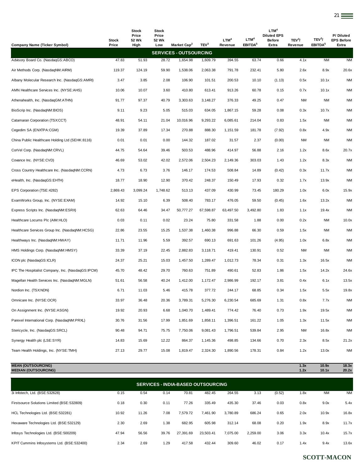| <b>Company Name (Ticker Symbol)</b>               | Stock<br>Price | Stock<br>Price<br>52 Wk<br>High | Stock<br>Price<br>52 Wk<br>Low | Market Cap <sup>2</sup>       | TEV <sup>3</sup> | LTM <sup>4</sup><br>Revenue | LTM <sup>4</sup><br><b>EBITDA</b> <sup>5</sup> | LTM <sup>4</sup><br><b>Diluted EPS</b><br><b>Before</b><br>Extra | TEV <sup>3</sup> /<br>Revenue | TEV <sup>3</sup> /<br><b>EBITDA</b> <sup>5</sup> | P/Diluted<br><b>EPS Before</b><br>Extra |
|---------------------------------------------------|----------------|---------------------------------|--------------------------------|-------------------------------|------------------|-----------------------------|------------------------------------------------|------------------------------------------------------------------|-------------------------------|--------------------------------------------------|-----------------------------------------|
|                                                   |                |                                 |                                | <b>SERVICES - OUTSOURCING</b> |                  |                             |                                                |                                                                  |                               |                                                  |                                         |
| Advisory Board Co. (NasdaqGS:ABCO)                | 47.83          | 51.93                           | 28.72                          | 1,654.98                      | 1,609.79         | 394.55                      | 63.74                                          | 0.66                                                             | 4.1x                          | <b>NM</b>                                        | <b>NM</b>                               |
| Air Methods Corp. (NasdaqNM:AIRM)                 | 119.37         | 124.19                          | 59.90                          | 1,538.06                      | 2,063.38         | 791.78                      | 232.41                                         | 5.80                                                             | 2.6x                          | 8.9x                                             | 20.6x                                   |
| Albany Molecular Research Inc. (NasdaqGS:AMRI)    | 3.47           | 3.85                            | 2.08                           | 106.90                        | 101.51           | 200.53                      | 10.10                                          | (1.13)                                                           | 0.5x                          | 10.1x                                            | <b>NM</b>                               |
| AMN Healthcare Services Inc. (NYSE:AHS)           | 10.06          | 10.07                           | 3.60                           | 410.80                        | 613.41           | 913.26                      | 60.78                                          | 0.15                                                             | 0.7x                          | 10.1x                                            | <b>NM</b>                               |
| Athenahealth, Inc. (NasdaqGM:ATHN)                | 91.77          | 97.37                           | 40.79                          | 3,303.63                      | 3,148.27         | 376.33                      | 49.25                                          | 0.47                                                             | <b>NM</b>                     | NM                                               | <b>NM</b>                               |
| BioScrip Inc. (NasdaqNM:BIOS)                     | 9.11           | 9.23                            | 5.05                           | 515.03                        | 634.05           | 1,867.15                    | 59.28                                          | 0.08                                                             | 0.3x                          | 10.7x                                            | <b>NM</b>                               |
| Catamaran Corporation (TSX:CCT)                   | 48.91          | 54.11                           | 21.04                          | 10,016.96                     | 9,293.22         | 6,085.61                    | 214.04                                         | 0.83                                                             | 1.5x                          | <b>NM</b>                                        | <b>NM</b>                               |
| Cegedim SA (ENXTPA:CGM)                           | 19.39          | 37.89                           | 17.34                          | 270.88                        | 888.30           | 1,151.59                    | 181.78                                         | (7.92)                                                           | 0.8x                          | 4.9x                                             | <b>NM</b>                               |
| China Public Healthcare Holding Ltd (SEHK:8116)   | 0.01           | 0.01                            | 0.00                           | 144.32                        | 187.02           | 31.57                       | 2.37                                           | (0.00)                                                           | <b>NM</b>                     | <b>NM</b>                                        | <b>NM</b>                               |
| CorVel Corp. (NasdaqNM:CRVL)                      | 44.75          | 54.64                           | 39.46                          | 503.53                        | 488.96           | 414.97                      | 56.88                                          | 2.16                                                             | 1.2x                          | 8.6x                                             | 20.7x                                   |
| Covance Inc. (NYSE:CVD)                           | 46.69          | 53.02                           | 42.02                          | 2,572.06                      | 2,504.23         | 2,149.36                    | 303.03                                         | 1.43                                                             | 1.2x                          | 8.3x                                             | <b>NM</b>                               |
| Cross Country Healthcare Inc. (NasdaqNM:CCRN)     | 4.73           | 6.73                            | 3.76                           | 146.17                        | 174.53           | 508.84                      | 14.89                                          | (0.42)                                                           | 0.3x                          | 11.7x                                            | <b>NM</b>                               |
| eHealth, Inc. (NasdaqGS:EHTH)                     | 18.77          | 18.90                           | 12.90                          | 370.42                        | 248.37           | 150.49                      | 17.93                                          | 0.32                                                             | 1.7x                          | 13.9x                                            | <b>NM</b>                               |
| EPS Corporation (TSE:4282)                        | 2,869.43       | 3,099.24                        | 1,748.62                       | 513.13                        | 437.09           | 430.99                      | 73.45                                          | 180.29                                                           | 1.0x                          | 6.0x                                             | 15.9x                                   |
| ExamWorks Group, Inc. (NYSE:EXAM)                 | 14.92          | 15.10                           | 6.39                           | 508.40                        | 783.17           | 476.05                      | 59.50                                          | (0.45)                                                           | 1.6x                          | 13.2x                                            | <b>NM</b>                               |
| Express Scripts Inc. (NasdaqNM:ESRX)              | 62.63          | 64.46                           | 34.47                          | 50,777.27                     | 67,598.87        | 63,497.50                   | 3,492.80                                       | 1.83                                                             | 1.1x                          | 19.4x                                            | <b>NM</b>                               |
| Healthcare Locums Plc (AIM:HLO)                   | 0.03           | 0.11                            | 0.02                           | 23.24                         | 75.80            | 331.58                      | 1.88                                           | 0.00                                                             | 0.2x                          | <b>NM</b>                                        | 10.0x                                   |
| Healthcare Services Group Inc. (NasdaqNM:HCSG)    | 22.86          | 23.55                           | 15.25                          | 1,537.38                      | 1,460.38         | 996.88                      | 66.30                                          | 0.59                                                             | 1.5x                          | <b>NM</b>                                        | <b>NM</b>                               |
| Healthways Inc. (NasdaqNM:HWAY)                   | 11.71          | 11.96                           | 5.59                           | 392.57                        | 690.13           | 691.63                      | 101.26                                         | (4.95)                                                           | 1.0x                          | 6.8x                                             | <b>NM</b>                               |
| HMS Holdings Corp. (NasdaqNM:HMSY)                | 33.39          | 37.19                           | 22.45                          | 2,882.83                      | 3,118.71         | 419.41                      | 130.91                                         | 0.52                                                             | <b>NM</b>                     | ΝM                                               | <b>NM</b>                               |
| ICON plc (NasdaqGS:ICLR)                          | 24.37          | 25.21                           | 15.03                          | 1,457.50                      | 1,289.47         | 1,012.73                    | 78.34                                          | 0.31                                                             | 1.3x                          | 16.5x                                            | <b>NM</b>                               |
| IPC The Hospitalist Company, Inc. (NasdaqGS:IPCM) | 45.70          | 48.42                           | 29.70                          | 760.63                        | 751.89           | 490.61                      | 52.83                                          | 1.86                                                             | 1.5x                          | 14.2x                                            | 24.6x                                   |
| Magellan Health Services Inc. (NasdagNM:MGLN)     | 51.61          | 56.58                           | 40.24                          | 1,412.00                      | 1,172.47         | 2,986.99                    | 192.17                                         | 3.81                                                             | 0.4x                          | 6.1x                                             | 13.5x                                   |
| Nordion Inc. (TSX:NDN)                            | 6.71           | 11.03                           | 5.46                           | 415.78                        | 377.72           | 244.17                      | 68.85                                          | 0.34                                                             | 1.5x                          | 5.5x                                             | 19.8x                                   |
| Omnicare Inc. (NYSE:OCR)                          | 33.97          | 36.48                           | 20.36                          | 3,789.31                      | 5,276.30         | 6,230.54                    | 685.69                                         | 1.31                                                             | 0.8x                          | 7.7x                                             | <b>NM</b>                               |
| On Assignment Inc. (NYSE:ASGN)                    | 19.92          | 20.93                           | 6.68                           | 1,040.70                      | 1,489.41         | 774.42                      | 76.40                                          | 0.73                                                             | 1.9x                          | 19.5x                                            | <b>NM</b>                               |
| Parexel International Corp. (NasdaqNM:PRXL)       | 30.76          | 31.56                           | 17.99                          | 1,851.69                      | 1,858.11         | 1,396.51                    | 161.22                                         | 1.05                                                             | 1.3x                          | 11.5x                                            | <b>NM</b>                               |
| Stericycle, Inc. (NasdaqGS:SRCL)                  | 90.48          | 94.71                           | 75.75                          | 7,750.06                      | 9,081.43         | 1,796.51                    | 539.84                                         | 2.95                                                             | <b>NM</b>                     | 16.8x                                            | <b>NM</b>                               |
| Synergy Health plc (LSE:SYR)                      | 14.83          | 15.69                           | 12.22                          | 864.37                        | 1,145.36         | 498.85                      | 134.66                                         | 0.70                                                             | 2.3x                          | 8.5x                                             | 21.2x                                   |
| Team Health Holdings, Inc. (NYSE:TMH)             | 27.13          | 29.77                           | 15.08                          | 1,819.47                      | 2,324.30         | 1,890.56                    | 178.31                                         | 0.84                                                             | 1.2x                          | 13.0x                                            | <b>NM</b>                               |

| <b>MEAN (OUTSOURCING)</b><br><b>MEDIAN (OUTSOURCING)</b> |       |       |       |           |           |          |          |        | 1.3x<br>1.2x | 10.9x<br>10.1x | 18.3x<br>20.2x |  |
|----------------------------------------------------------|-------|-------|-------|-----------|-----------|----------|----------|--------|--------------|----------------|----------------|--|
| <b>SERVICES - INDIA-BASED OUTSOURCING</b>                |       |       |       |           |           |          |          |        |              |                |                |  |
| 3i Infotech, Ltd. (BSE:532628)                           | 0.15  | 0.54  | 0.14  | 70.81     | 482.45    | 264.55   | 3.13     | (0.52) | 1.8x         | <b>NM</b>      | <b>NM</b>      |  |
| Firstsource Solutions Limited (BSE:532809)               | 0.18  | 0.30  | 0.11  | 77.26     | 335.49    | 435.30   | 37.46    | 0.03   | 0.8x         | 9.0x           | 5.4x           |  |
| HCL Technologies Ltd. (BSE:532281)                       | 10.92 | 11.26 | 7.08  | 7,579.72  | 7,461.90  | 3,780.89 | 686.24   | 0.65   | 2.0x         | 10.9x          | 16.8x          |  |
| Hexaware Technologies Ltd. (BSE:532129)                  | 2.30  | 2.69  | 1.38  | 682.95    | 605.98    | 312.14   | 68.08    | 0.20   | 1.9x         | 8.9x           | 11.7x          |  |
| Infosys Technologies Ltd. (BSE:500209)                   | 47.94 | 56.56 | 39.76 | 27.391.69 | 23,503.41 | 7,075.00 | 2,259.00 | 3.06   | 3.3x         | 10.4x          | 15.7x          |  |
| KPIT Cummins Infosystems Ltd. (BSE:532400)               | 2.34  | 2.69  | 1.29  | 417.58    | 432.44    | 309.60   | 46.02    | 0.17   | 1.4x         | 9.4x           | 13.6x          |  |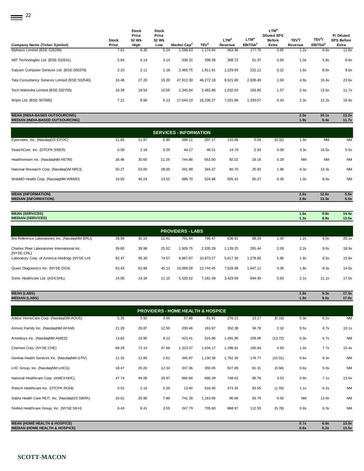|                                                |                       | <b>Stock</b><br>Price | <b>Stock</b><br>Price |                         |                  |                             |                                | LTM <sup>4</sup><br><b>Diluted EPS</b> |                               |                                           | P/Diluted                  |
|------------------------------------------------|-----------------------|-----------------------|-----------------------|-------------------------|------------------|-----------------------------|--------------------------------|----------------------------------------|-------------------------------|-------------------------------------------|----------------------------|
| Company Name (Ticker Symbol)                   | <b>Stock</b><br>Price | 52 Wk<br>High         | 52 Wk<br>Low          | Market Cap <sup>2</sup> | TEV <sup>3</sup> | LTM <sup>4</sup><br>Revenue | $LTM^4$<br>EBITDA <sup>5</sup> | <b>Before</b><br>Extra                 | TEV <sup>3</sup> /<br>Revenue | TEV <sup>3</sup> /<br>EBITDA <sup>5</sup> | <b>EPS Before</b><br>Extra |
| Mphasis Limited (BSE:526299)                   | 7.61                  | 8.30                  | 5.24                  | 598.83                  | 1.174.84         | 963.96                      | 177.75                         | 0.65                                   | 1.2x                          | 6.6x                                      | 11.6x                      |
| NIIT Technologies Ltd. (BSE:532541)            | 5.64                  | 6.14                  | 3.14                  | 338.31                  | 298.38           | 308.72                      | 51.37                          | 0.64                                   | 1.0x                          | 5.8x                                      | 8.8x                       |
| Satyam Computer Services Ltd. (BSE:500376)     | 2.10                  | 2.11                  | 1.18                  | 2,465.75                | 1,911.91         | 1,229.93                    | 222.12                         | 0.22                                   | 1.6x                          | 8.6x                                      | 9.6x                       |
| Tata Consultancy Services Limited (BSE:532540) | 24.48                 | 27.20                 | 19.20                 | 47,912.30               | 46,272.18        | 9,521.89                    | 2,828.49                       | 1.04                                   | 4.9x                          | 16.4x                                     | 23.6x                      |
| Tech Mahindra Limited (BSE:532755)             | 18.38                 | 18.54                 | 10.05                 | 2,345.84                | 2,482.86         | 1,032.03                    | 183.80                         | 1.57                                   | 2.4x                          | 13.5x                                     | 11.7x                      |
| Wipro Ltd. (BSE:507685)                        | 7.21                  | 8.56                  | 6.13                  | 17.644.10               | 16,236.27        | 7.021.86                    | 1,330.57                       | 0.43                                   | 2.3x                          | 12.2x                                     | 16.9x                      |

| <b>MEDIAN (INDIA-BASED OUTSOURCING)</b> |       |       |       |                               |        |        |       |        | 1.9x      | 9.4x      | 11.7x     |
|-----------------------------------------|-------|-------|-------|-------------------------------|--------|--------|-------|--------|-----------|-----------|-----------|
|                                         |       |       |       | <b>SERVICES - INFORMATION</b> |        |        |       |        |           |           |           |
| Epocrates, Inc. (NasdaqGS:EPOC)         | 11.65 | 11.97 | 6.90  | 289.11                        | 207.17 | 110.66 | 0.04  | (0.32) | 1.9x      | <b>NM</b> | <b>NM</b> |
| SearchCore, Inc. (OTCPK:SRER)           | 0.50  | 2.18  | 0.25  | 44.17                         | 48.51  | 14.79  | 2.93  | 0.09   | 3.3x      | 16.5x     | 5.5x      |
| Healthstream Inc. (NasdaqNM:HSTM)       | 28.46 | 30.65 | 11.25 | 744.88                        | 653.00 | 92.02  | 18.18 | 0.29   | <b>NM</b> | <b>NM</b> | <b>NM</b> |
| National Research Corp. (NasdaqGM:NRCI) | 50.27 | 53.00 | 28.00 | 341.99                        | 344.37 | 80.70  | 25.83 | 1.96   | 4.3x      | 13.3x     | <b>NM</b> |
| WebMD Health Corp. (NasdaqNM:WBMD)      | 14.03 | 40.24 | 13.52 | 688.70                        | 524.48 | 505.41 | 65.27 | 0.30   | 1.0x      | 8.0x      | <b>NM</b> |
|                                         |       |       |       |                               |        |        |       |        |           |           |           |

**MEAN (INDIA-BASED OUTSOURCING) 2.0x 10.1x 13.2x**

| AN (INFORMATION)            | 2.6x | 12.6x | 5.5x |
|-----------------------------|------|-------|------|
| <b>MEDIAN (INFORMATION)</b> | 2.6x | 13.3x | 5.5x |
|                             |      |       |      |
|                             |      |       |      |

| <b>MEAN (SERVICES)</b><br><b>MEDIAN (SERVICES)</b>          |       |       |       |                         |           |          |          |      | 1.6x<br>1.3x | 9.8x<br>8.9x | 14.4x<br>13.5x |
|-------------------------------------------------------------|-------|-------|-------|-------------------------|-----------|----------|----------|------|--------------|--------------|----------------|
|                                                             |       |       |       | <b>PROVIDERS - LABS</b> |           |          |          |      |              |              |                |
| Bio-Reference Laboratories Inc. (NasdaqNM:BRLI)             | 28.58 | 30.15 | 11.41 | 791.64                  | 795.47    | 636.91   | 88.29    | 1.42 | 1.2x         | 9.0x         | 20.1x          |
| Charles River Laboratories International Inc.<br>(NYSE:CRL) | 39.60 | 39.98 | 25.52 | 1.929.75                | 2.535.29  | 1.139.25 | 265.44   | 2.09 | 2.2x         | 9.6x         | 18.9x          |
| Laboratory Corp. of America Holdings (NYSE:LH)              | 92.47 | 95.30 | 74.57 | 8.867.87                | 10,873.27 | 5.617.30 | 1.278.80 | 5.86 | 1.9x         | 8.5x         | 15.8x          |
| Quest Diagnostics Inc. (NYSE:DGX)                           | 63.43 | 63.98 | 45.13 | 10,069.58               | 13.744.45 | 7,628.98 | 1.647.11 | 4.36 | 1.8x         | 8.3x         | 14.5x          |
| Sonic Healthcare Ltd. (ASX:SHL)                             | 14.06 | 14.34 | 11.15 | 5,520.52                | 7.181.49  | 3.423.69 | 644.49   | 0.83 | 2.1x         | 11.1x        | 17.0x          |

| <b>MEAN (LABS)</b><br><b>MEDIAN (LABS)</b>   |       |       |       |                                              |          |          |        |         | 1.9x<br>1.9x | 9.3x<br>9.0x | 17.3x<br>17.0x |
|----------------------------------------------|-------|-------|-------|----------------------------------------------|----------|----------|--------|---------|--------------|--------------|----------------|
|                                              |       |       |       | <b>PROVIDERS - HOME HEALTH &amp; HOSPICE</b> |          |          |        |         |              |              |                |
| Addus HomeCare Corp. (NasdaqGM:ADUS)         | 5.35  | 5.50  | 3.00  | 57.88                                        | 81.91    | 276.21   | 13.17  | (0.19)  | 0.3x         | 6.2x         | <b>NM</b>      |
| Almost Family Inc. (NasdaqNM:AFAM)           | 21.28 | 26.87 | 12.50 | 200.46                                       | 163.97   | 352.38   | 34.78  | 2.10    | 0.5x         | 4.7x         | 10.1x          |
| Amedisys Inc. (NasdaqNM:AMED)                | 13.82 | 15.95 | 9.12  | 423.41                                       | 515.96   | 1,491.95 | 109.06 | (13.72) | 0.3x         | 4.7x         | <b>NM</b>      |
| Chemed Corp. (NYSE:CHE)                      | 69.29 | 72.10 | 47.66 | 1,323.37                                     | 1,434.17 | 1,398.81 | 185.84 | 4.50    | 1.0x         | 7.7x         | 15.4x          |
| Gentiva Health Services Inc. (NasdaqNM:GTIV) | 11.32 | 12.85 | 2.81  | 345.97                                       | 1,130.38 | 1,762.30 | 178.77 | (15.01) | 0.6x         | 6.3x         | <b>NM</b>      |
| LHC Group, Inc. (NasdaqNM:LHCG)              | 18.47 | 20.26 | 12.34 | 337.36                                       | 359.05   | 627.89   | 61.31  | (0.94)  | 0.6x         | 5.9x         | <b>NM</b>      |
| National Healthcare Corp. (AMEXNHC)          | 47.74 | 49.06 | 29.97 | 666.68                                       | 680.39   | 748.62   | 95.76  | 3.53    | 0.9x         | 7.1x         | 13.5x          |
| Rotech Healthcare Inc. (OTCPK:ROHI)          | 0.52  | 2.10  | 0.26  | 13.40                                        | 516.40   | 474.35   | 83.55  | (1.55)  | 1.1x         | 6.2x         | <b>NM</b>      |
| Sabra Health Care REIT, Inc. (NasdaqGS:SBRA) | 20.01 | 20.90 | 7.86  | 741.39                                       | 1,163.65 | 96.66    | 83.79  | 0.55    | <b>NM</b>    | 13.9x        | <b>NM</b>      |
| Skilled Healthcare Group, Inc. (NYSE:SKH)    | 6.43  | 8.41  | 3.55  | 247.79                                       | 705.60   | 868.97   | 112.55 | (5.78)  | 0.8x         | 6.3x         | <b>NM</b>      |
|                                              |       |       |       |                                              |          |          |        |         |              |              |                |

**MEAN (HOME HEALTH & HOSPICE) 0.7x 6.9x 13.0x MEDIAN (HOME HEALTH & HOSPICE) 0.6x 6.2x 13.5x**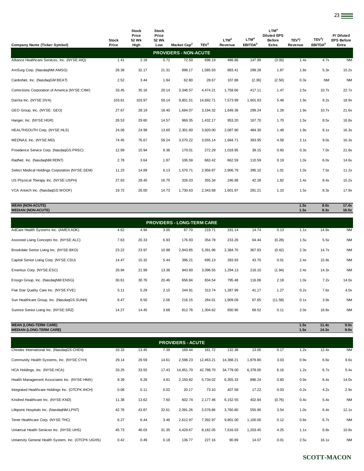| <b>Company Name (Ticker Symbol)</b>            | <b>Stock</b><br>Price | <b>Stock</b><br>Price<br>52 Wk<br>High | <b>Stock</b><br>Price<br>52 Wk<br>Low | Market Cap <sup>2</sup>      | TEV <sup>3</sup> | LTM <sup>4</sup><br>Revenue | LTM <sup>4</sup><br>EBITDA <sup>5</sup> | LTM <sup>4</sup><br><b>Diluted EPS</b><br><b>Before</b><br>Extra | TEV <sup>3</sup> /<br>Revenue | TEV <sup>3</sup> /<br>EBITDA <sup>5</sup> | P/Diluted<br><b>EPS Before</b><br>Extra |
|------------------------------------------------|-----------------------|----------------------------------------|---------------------------------------|------------------------------|------------------|-----------------------------|-----------------------------------------|------------------------------------------------------------------|-------------------------------|-------------------------------------------|-----------------------------------------|
|                                                |                       |                                        |                                       | <b>PROVIDERS - NON-ACUTE</b> |                  |                             |                                         |                                                                  |                               |                                           |                                         |
| Alliance Healthcare Services, Inc. (NYSE:AIQ)  | 1.41                  | 2.19                                   | 0.72                                  | 72.50                        | 698.19           | 488.86                      | 147.99                                  | (3.00)                                                           | 1.4x                          | 4.7x                                      | <b>NM</b>                               |
| AmSurg Corp. (NasdaqNM:AMSG)                   | 28.38                 | 32.17                                  | 21.31                                 | 896.17                       | 1,585.93         | 883.41                      | 299.28                                  | 1.87                                                             | 1.8x                          | 5.3x                                      | 15.2x                                   |
| CardioNet, Inc. (NasdaqGM:BEAT)                | 2.52                  | 3.44                                   | 1.84                                  | 62.80                        | 28.67            | 107.88                      | (2.36)                                  | (2.50)                                                           | 0.3x                          | <b>NM</b>                                 | <b>NM</b>                               |
| Corrections Corporation of America (NYSE:CXW)  | 33.45                 | 35.16                                  | 20.14                                 | 3,346.57                     | 4,474.21         | 1,758.66                    | 417.11                                  | 1.47                                                             | 2.5x                          | 10.7x                                     | 22.7x                                   |
| DaVita Inc. (NYSE:DVA)                         | 103.61                | 103.97                                 | 59.14                                 | 9,801.51                     | 14,692.71        | 7,573.99                    | 1,601.63                                | 5.48                                                             | 1.9x                          | 9.2x                                      | 18.9x                                   |
| GEO Group, Inc. (NYSE: GEO)                    | 27.67                 | 28.19                                  | 16.40                                 | 1,684.07                     | 3,194.32         | 1,649.36                    | 299.24                                  | 1.28                                                             | 1.9x                          | 10.7x                                     | 21.6x                                   |
| Hanger, Inc. (NYSE:HGR)                        | 28.53                 | 29.60                                  | 14.57                                 | 969.35                       | 1,432.17         | 953.20                      | 167.70                                  | 1.70                                                             | 1.5x                          | 8.5x                                      | 16.8x                                   |
| HEALTHSOUTH Corp. (NYSE:HLS)                   | 24.06                 | 24.99                                  | 13.65                                 | 2,301.60                     | 3,920.00         | 2,087.80                    | 484.30                                  | 1.48                                                             | 1.9x                          | 8.1x                                      | 16.3x                                   |
| MEDNAX, Inc. (NYSE:MD)                         | 74.45                 | 76.67                                  | 59.24                                 | 3,570.22                     | 3,555.14         | 1,684.71                    | 393.95                                  | 4.58                                                             | 2.1x                          | 9.0x                                      | 16.3x                                   |
| Providence Service Corp. (NasdaqGS:PRSC)       | 12.99                 | 15.94                                  | 9.36                                  | 170.01                       | 272.29           | 1,018.95                    | 39.15                                   | 0.60                                                             | 0.3x                          | 7.0x                                      | 21.8x                                   |
| RadNet, Inc. (NasdaqNM:RDNT)                   | 2.78                  | 3.64                                   | 1.87                                  | 106.59                       | 663.42           | 662.59                      | 110.59                                  | 0.19                                                             | 1.0x                          | 6.0x                                      | 14.6x                                   |
| Select Medical Holdings Corporation (NYSE:SEM) | 11.23                 | 14.89                                  | 6.13                                  | 1,570.71                     | 2,956.87         | 2,906.79                    | 395.10                                  | 1.01                                                             | 1.0x                          | 7.5x                                      | 11.2x                                   |
| US Physical Therapy Inc. (NYSE:USPH)           | 27.63                 | 28.40                                  | 16.75                                 | 326.03                       | 355.34           | 246.89                      | 42.28                                   | 1.82                                                             | 1.4x                          | 8.4x                                      | 15.2x                                   |
| VCA Antech Inc. (NasdaqGS:WOOF)                | 19.72                 | 26.00                                  | 14.73                                 | 1,730.63                     | 2,343.68         | 1,601.97                    | 281.21                                  | 1.10                                                             | 1.5x                          | 8.3x                                      | 17.9x                                   |
|                                                |                       |                                        |                                       |                              |                  |                             |                                         |                                                                  |                               |                                           |                                         |

| <b>MEAN (NON-ACUTE)</b><br><b>MEDIAN (NON-ACUTE)</b> |       |       |       |                                   |          |          |        |        | 1.5x<br>1.5x | 8.0x<br>8.3x | 17.4x<br>16.5x |
|------------------------------------------------------|-------|-------|-------|-----------------------------------|----------|----------|--------|--------|--------------|--------------|----------------|
|                                                      |       |       |       | <b>PROVIDERS - LONG-TERM CARE</b> |          |          |        |        |              |              |                |
| AdCare Health Systems Inc. (AMEX:ADK)                | 4.62  | 4.94  | 3.00  | 67.70                             | 219.71   | 191.14   | 14.74  | 0.13   | 1.1x         | 14.9x        | <b>NM</b>      |
| Assisted Living Concepts Inc. (NYSE:ALC)             | 7.63  | 20.33 | 6.93  | 176.93                            | 354.78   | 233.26   | 64.44  | (0.28) | 1.5x         | 5.5x         | <b>NM</b>      |
| Brookdale Senior Living Inc. (NYSE:BKD)              | 23.22 | 23.97 | 10.98 | 2,843.85                          | 5,391.96 | 2.384.70 | 367.83 | (0.42) | 2.3x         | 14.7x        | <b>NM</b>      |
| Capital Senior Living Corp. (NYSE:CSU)               | 14.47 | 15.32 | 5.44  | 396.21                            | 695.13   | 283.93   | 43.70  | 0.01   | 2.4x         | 15.9x        | <b>NM</b>      |
| Emeritus Corp. (NYSE:ESC)                            | 20.94 | 21.99 | 13.36 | 943.60                            | 3,096.55 | 1,294.13 | 216.10 | (1.94) | 2.4x         | 14.3x        | <b>NM</b>      |
| Ensign Group, Inc. (NasdagNM:ENSG)                   | 30.61 | 30.76 | 20.46 | 656.84                            | 834.54   | 795.48   | 116.06 | 2.18   | 1.0x         | 7.2x         | 14.0x          |

| Chindex International Inc. (NasdaqGS:CHDX)                     | 10.33 | 13.45 | 7.39 | <b>PROVIDERS - ACUTE</b><br>169.44 | 161.72   | 132.38   | 13.00 | 0.17    | 1.2x         | 12.4x          | <b>NM</b>    |
|----------------------------------------------------------------|-------|-------|------|------------------------------------|----------|----------|-------|---------|--------------|----------------|--------------|
| <b>MEAN (LONG-TERM CARE)</b><br><b>MEDIAN (LONG-TERM CARE)</b> |       |       |      |                                    |          |          |       |         | 1.5x<br>1.5x | 11.4x<br>14.3x | 9.0x<br>9.0x |
|                                                                |       |       |      |                                    |          |          |       |         |              |                |              |
| Sunrise Senior Living Inc. (NYSE:SRZ)                          | 14.27 | 14.45 | 3.68 | 812.76                             | 1.304.62 | 650.90   | 69.52 | 0.11    | 2.0x         | 18.8x          | <b>NM</b>    |
| Sun Healthcare Group, Inc. (NasdaqGS:SUNH)                     | 8.47  | 8.50  | 2.06 | 216.15                             | 264.01   | 1,909.09 | 67.65 | (11.58) | 0.1x         | 3.9x           | <b>NM</b>    |
| Five Star Quality Care Inc. (NYSE:FVE)                         | 5.11  | 5.29  | 2.15 | 244.91                             | 313.74   | 1,287.99 | 41.17 | 1.27    | 0.2x         | 7.6x           | 4.0x         |

| Community Health Systems, Inc. (NYSE:CYH)           | 29.14 | 29.59 | 14.61 | 2,598.23  | 12,463.21 | 14,368.21 | 1,879.80 | 3.03   | 0.9x | 6.6x  | 9.6x      |
|-----------------------------------------------------|-------|-------|-------|-----------|-----------|-----------|----------|--------|------|-------|-----------|
| HCA Holdings, Inc. (NYSE: HCA)                      | 33.25 | 33.55 | 17.43 | 14,651.70 | 42,788.70 | 34.779.00 | 6,378.00 | 6.16   | 1.2x | 6.7x  | 5.4x      |
| Health Management Associates Inc. (NYSE:HMA)        | 8.39  | 9.26  | 4.81  | 2,150.82  | 5,734.02  | 6,355.33  | 896.24   | 0.60   | 0.9x | 6.4x  | 14.0x     |
| Integrated Healthcare Holdings Inc. (OTCPK:IHCH)    | 0.08  | 0.11  | 0.02  | 20.17     | 73.10     | 407.58    | 17.22    | 0.03   | 0.2x | 4.2x  | 2.9x      |
| Kindred Healthcare Inc. (NYSE:KND)                  | 11.38 | 13.62 | 7.60  | 602.74    | 2,177.46  | 6,152.55  | 402.84   | (0.76) | 0.4x | 5.4x  | <b>NM</b> |
| Lifepoint Hospitals Inc. (NasdaqNM:LPNT)            | 42.78 | 43.87 | 32.61 | 2,091.26  | 3,579.86  | 3,760.80  | 555.90   | 3.54   | 1.0x | 6.4x  | 12.1x     |
| Tenet Healthcare Corp. (NYSE:THC)                   | 6.27  | 6.44  | 3.46  | 2,612.97  | 7,392.97  | 9,801.00  | 1,100.00 | 0.12   | 0.8x | 6.7x  | <b>NM</b> |
| Universal Health Services Inc. (NYSE:UHS)           | 45.73 | 46.03 | 31.35 | 4,429.67  | 8,182.05  | 7,616.03  | 1,203.45 | 4.25   | 1.1x | 6.8x  | 10.8x     |
| University General Health System, Inc. (OTCPK:UGHS) | 0.42  | 0.49  | 0.18  | 136.77    | 227.16    | 90.89     | 14.07    | 0.01   | 2.5x | 16.1x | <b>NM</b> |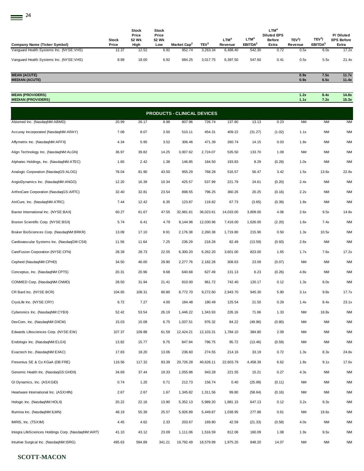$\equiv$  24

| Company Name (Ticker Symbol)            | <b>Stock</b><br>Price | Stock<br>Price<br>52 Wk<br>High | <b>Stock</b><br>Price<br>52 Wk<br>Low | Market Cap <sup>2</sup> | TEV <sup>3</sup> | <b>LTM<sup>4</sup></b><br><b>Revenue</b> | LTM <sup>4</sup><br>EBITDA <sup>5</sup> | LTM <sup>4</sup><br><b>Diluted EPS</b><br><b>Before</b><br>Extra | TEV <sup>3</sup> /<br>Revenue | TEV <sup>3</sup> /<br><b>EBITDA</b> <sup>5</sup> | P/Diluted<br><b>EPS Before</b><br>Extra |
|-----------------------------------------|-----------------------|---------------------------------|---------------------------------------|-------------------------|------------------|------------------------------------------|-----------------------------------------|------------------------------------------------------------------|-------------------------------|--------------------------------------------------|-----------------------------------------|
| Vanguard Health Systems Inc. (NYSE:VHS) | 12.37                 | 12.52                           | 6.92                                  | 952.74                  | 3.263.34         | 6.488.40                                 | 542.30                                  | 0.72                                                             | 0.5x                          | 6.0x                                             | 17.2x                                   |
| Vanquard Health Systems Inc. (NYSE:VHS) | 8.89                  | 18.00                           | 6.92                                  | 684.25                  | 3.017.75         | 6.397.50                                 | 547.60                                  | 0.41                                                             | 0.5x                          | 5.5x                                             | 21.4x                                   |

#### **MEAN (ACUTE) 0.9x 7.5x 11.7x MEDIAN (ACUTE) 0.9x 6.5x 11.4x**

**MEAN (PROVIDERS) 1.2x 8.4x 14.8x MEDIAN (PROVIDERS) 1.1x 7.2x 15.3x**

Abiomed Inc. (NasdaqNM:ABMD) 20.99 26.17 9.98 807.96 726.74 137.80 13.13 0.23 NM NM NM Accuray Incorporated (NasdaqNM:ARAY) 7.08 8.07 3.50 510.11 454.31 409.22 (31.27) (1.02) 1.1x NM NM Affymetrix Inc. (NasdaqNM:AFFX) 4.34 5.95 3.52 306.46 471.39 260.74 14.15 0.03 1.8x NM NM Align Technology Inc. (NasdaqNM:ALGN) 36.97 39.82 14.25 3,007.62 2,724.07 535.50 133.70 1.09 NM NM NM Alphatec Holdings, Inc. (NasdaqNM:ATEC) 1.65 2.42 1.38 146.85 184.50 193.83 8.29 (0.28) 1.0x NM NM Analogic Corporation (NasdaqGS:ALOG) 78.04 81.90 43.50 955.29 768.28 516.57 56.47 3.42 1.5x 13.6x 22.8x AngioDynamics Inc. (NasdaqNM:ANGO) 12.20 16.39 10.34 425.57 537.99 221.79 24.61 (0.20) 2.4x NM NM ArthroCare Corporation (NasdaqGS:ARTC) 32.40 32.81 23.54 898.55 796.25 360.26 20.25 (0.16) 2.2x NM NM AtriCure, Inc. (NasdaqNM:ATRC) 7.44 12.42 6.35 123.87 119.82 67.73 (3.65) (0.39) 1.8x NM NM Baxter International Inc. (NYSE:BAX) 60.27 61.67 47.55 32,981.61 36,023.61 14,033.00 3,809.00 4.06 2.6x 9.5x 14.8x Boston Scientific Corp. (NYSE:BSX) 5.74 6.41 4.79 8,144.96 12,030.96 7,416.00 1,626.00 (2.20) 1.6x 7.4x NM Bruker BioSciences Corp. (NasdaqNM:BRKR) 13.09 17.10 9.91 2,176.38 2,260.38 1,719.80 215.90 0.50 1.3x 10.5x NM Cardiovascular Systems Inc. (NasdaqGM:CSII) 11.56 11.64 7.25 236.29 218.28 82.49 (13.59) (0.93) 2.6x NM NM CareFusion Corporation (NYSE:CFN) 28.39 28.73 22.55 6,300.20 6,262.20 3,601.00 823.00 1.65 1.7x 7.6x 17.2x Cepheid (NasdaqNM:CPHD) 34.50 46.00 29.90 2,277.76 2,182.28 308.63 23.09 (0.07) NM NM NM Conceptus, Inc. (NasdaqNM:CPTS) 20.31 20.96 9.68 640.68 627.49 131.13 6.23 (0.26) 4.8x NM NM CONMED Corp. (NasdaqNM:CNMD) 28.50 31.94 21.41 810.00 961.72 742.40 120.17 0.12 1.3x 8.0x NM CR Bard Inc. (NYSE:BCR) 104.65 108.31 80.80 8,772.70 9,272.60 2,943.70 945.30 5.90 3.1x 9.8x 17.7x CryoLife Inc. (NYSE:CRY) 6.72 7.27 4.00 184.48 180.49 125.54 21.50 0.29 1.4x 8.4x 23.1x Cyberonics Inc. (NasdaqNM:CYBX) 52.42 53.54 26.19 1,446.22 1,343.93 226.16 71.66 1.33 NM 18.8x NM DexCom, Inc. (NasdaqNM:DXCM) 15.03 15.08 6.75 1,037.51 976.32 84.22 (49.96) (0.80) NM NM NM Edwards Lifesciences Corp. (NYSE:EW) 107.37 109.88 61.59 12,424.21 12,103.31 1,784.10 384.80 2.09 NM NM NM Endologix Inc. (NasdaqNM:ELGX) 13.82 15.77 9.75 847.94 796.75 95.72 (13.46) (0.59) NM NM NM Exactech Inc. (NasdaqNM:EXAC) 17.83 18.20 13.06 236.60 274.55 214.16 33.19 0.72 1.3x 8.3x 24.8x Fresenius SE & Co KGaA (DB:FRE) 116.56 117.32 83.39 20,726.28 40,626.11 22,603.79 4,458.39 6.62 1.8x 9.1x 17.6x Genomic Health Inc. (NasdaqGS:GHDX) 34.69 37.44 19.33 1,055.86 943.28 221.55 15.21 0.27 4.3x NM NM GI Dynamics, Inc. (ASX:GID) 6.74 1.20 0.71 212.73 156.74 0.40 (25.99) (0.11) NM NM NM Heartware International Inc. (ASX:HIN) 2.67 2.67 1.67 1,345.82 1,311.56 99.80 (58.64) (0.16) NM NM NM Hologic Inc. (NasdaqNM:HOLX) 20.22 22.16 13.90 5,352.13 5,989.20 1,881.15 647.13 0.12 3.2x 9.3x NM Illumina Inc. (NasdaqNM:ILMN) 48.19 55.39 25.57 5,926.89 5,449.87 1,038.95 277.88 0.61 NM 19.6x NM IMRIS, Inc. (TSX:IM) 4.45 4.62 2.33 203.67 169.80 42.59 (21.33) (0.58) 4.0x NM NM Integra LifeSciences Holdings Corp. (NasdaqNM:IART) 41.10 43.12 23.09 1,111.06 1,516.59 812.06 160.09 1.08 1.9x 9.5x NM **PRODUCTS - CLINICAL DEVICES**

Intuitive Surgical Inc. (NasdaqNM:ISRG) 495.63 594.89 341.21 19,792.49 18,579.99 1,975.20 848.20 14.07 NM NM NM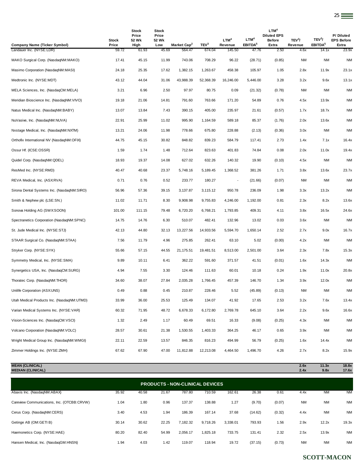|                                                          |                | <b>Stock</b>   | <b>Stock</b>   |                                   |                            |                          |                              | LTM <sup>4</sup>                    |                    |                              |                                |
|----------------------------------------------------------|----------------|----------------|----------------|-----------------------------------|----------------------------|--------------------------|------------------------------|-------------------------------------|--------------------|------------------------------|--------------------------------|
|                                                          | Stock          | Price<br>52 Wk | Price<br>52 Wk |                                   |                            | LTM <sup>4</sup>         | LTM <sup>4</sup>             | <b>Diluted EPS</b><br><b>Before</b> | TEV <sup>3</sup> / | TEV <sup>3</sup> /           | P/Diluted<br><b>EPS Before</b> |
| Company Name (Ticker Symbol)<br>Landauer Inc. (NYSE:LDR) | Price<br>59.72 | High<br>61.93  | Low<br>45.69   | Market Cap <sup>2</sup><br>564.47 | TEV <sup>3</sup><br>674.04 | Revenue<br>145.50        | EBITDA <sup>5</sup><br>47.76 | Extra<br>2.50                       | Revenue<br>4.6x    | EBITDA <sup>5</sup><br>14.1x | Extra<br>23.9x                 |
| MAKO Surgical Corp. (NasdaqNM:MAKO)                      | 17.41          | 45.15          | 11.99          | 743.06                            | 708.29                     | 96.22                    | (28.71)                      | (0.85)                              | <b>NM</b>          | <b>NM</b>                    | <b>NM</b>                      |
| Masimo Corporation (NasdaqNM:MASI)                       | 24.18          | 25.35          | 17.62          | 1,382.15                          | 1,263.67                   | 458.38                   | 105.97                       | 1.05                                | 2.8x               | 11.9x                        | 23.1x                          |
| Medtronic Inc. (NYSE:MDT)                                | 43.12          | 44.04          | 31.06          | 43,988.39                         | 52,368.39                  | 16,246.00                | 5,446.00                     | 3.28                                | 3.2x               | 9.6x                         | 13.1x                          |
| MELA Sciences, Inc. (NasdaqCM:MELA)                      | 3.21           | 6.96           | 2.50           | 97.97                             | 80.75                      | 0.09                     | (21.32)                      | (0.78)                              | <b>NM</b>          | ΝM                           | <b>NM</b>                      |
| Meridian Bioscience Inc. (NasdaqNM:VIVO)                 | 19.18          | 21.06          | 14.81          | 791.60                            | 763.66                     | 171.20                   | 54.89                        | 0.76                                | 4.5x               | 13.9x                        | <b>NM</b>                      |
| Natus Medical Inc. (NasdaqNM:BABY)                       | 13.07          | 13.84          | 7.43           | 390.15                            | 405.00                     | 235.97                   | 21.61                        | (0.57)                              | 1.7x               | 18.7x                        | <b>NM</b>                      |
| NuVasive, Inc. (NasdaqNM:NUVA)                           | 22.91          | 25.99          | 11.02          | 995.90                            | 1,164.59                   | 589.18                   | 85.37                        | (1.76)                              | 2.0x               | 13.6x                        | <b>NM</b>                      |
| Nxstage Medical, Inc. (NasdaqNM:NXTM)                    | 13.21          | 24.06          | 11.98          | 778.66                            | 675.80                     | 228.88                   | (2.13)                       | (0.36)                              | 3.0x               | <b>NM</b>                    | <b>NM</b>                      |
| Orthofix International NV (NasdaqNM:OFIX)                | 44.75          | 45.15          | 30.82          | 848.82                            | 839.23                     | 584.79                   | 117.41                       | 2.73                                | 1.4x               | 7.1x                         | 16.4x                          |
| Ossur Hf. (ICSE:OSSR)                                    | 1.59           | 1.74           | 1.48           | 712.64                            | 823.63                     | 401.83                   | 74.84                        | 0.08                                | 2.0x               | 11.0x                        | 19.4x                          |
| Quidel Corp. (NasdaqNM:QDEL)                             | 18.93          | 19.37          | 14.08          | 627.02                            | 632.26                     | 140.32                   | 19.90                        | (0.10)                              | 4.5x               | NM                           | <b>NM</b>                      |
| ResMed Inc. (NYSE:RMD)                                   | 40.47          | 40.68          | 23.37          | 5,748.16                          | 5,189.45                   | 1,368.52                 | 381.26                       | 1.71                                | 3.8x               | 13.6x                        | 23.7x                          |
| REVA Medical, Inc. (ASX:RVA)                             | 0.71           | 0.76           | 0.52           | 233.77                            | 180.27                     | $\overline{\phantom{a}}$ | (21.66)                      | (0.07)                              | <b>NM</b>          | NM                           | <b>NM</b>                      |
| Sirona Dental Systems Inc. (NasdaqNM:SIRO)               | 56.96          | 57.36          | 39.15          | 3,137.87                          | 3,115.12                   | 950.78                   | 236.09                       | 1.98                                | 3.3x               | 13.2x                        | <b>NM</b>                      |
| Smith & Nephew plc (LSE:SN.)                             | 11.02          | 11.71          | 8.30           | 9,908.98                          | 9,755.83                   | 4,246.00                 | 1,192.00                     | 0.81                                | 2.3x               | 8.2x                         | 13.6x                          |
| Sonova Holding AG (SWX:SOON)                             | 101.00         | 111.15         | 79.48          | 6,720.20                          | 6,768.21                   | 1,793.85                 | 409.31                       | 4.11                                | 3.8x               | 16.5x                        | 24.6x                          |
| Spectranetics Corporation (NasdaqNM:SPNC)                | 14.75          | 14.76          | 6.30           | 510.07                            | 482.41                     | 132.96                   | 13.02                        | 0.03                                | 3.6x               | NM                           | <b>NM</b>                      |
| St. Jude Medical Inc. (NYSE:STJ)                         | 42.13          | 44.80          | 32.13          | 13,227.56                         | 14,933.56                  | 5,594.70                 | 1,650.14                     | 2.52                                | 2.7x               | 9.0x                         | 16.7x                          |
| STAAR Surgical Co. (NasdaqNM:STAA)                       | 7.56           | 11.79          | 4.96           | 275.85                            | 262.41                     | 63.10                    | 5.02                         | (0.00)                              | 4.2x               | <b>NM</b>                    | <b>NM</b>                      |
| Stryker Corp. (NYSE:SYK)                                 | 55.66          | 57.15          | 44.55          | 21,175.51                         | 19,481.51                  | 8,513.00                 | 2,501.00                     | 3.64                                | 2.3x               | 7.8x                         | 15.3x                          |
| Symmetry Medical, Inc. (NYSE:SMA)                        | 9.89           | 10.11          | 6.41           | 362.22                            | 591.60                     | 371.57                   | 41.51                        | (0.01)                              | 1.6x               | 14.3x                        | <b>NM</b>                      |
| Synergetics USA, Inc. (NasdaqCM:SURG)                    | 4.94           | 7.55           | 3.30           | 124.46                            | 111.63                     | 60.01                    | 10.18                        | 0.24                                | 1.9x               | 11.0x                        | 20.8x                          |
| Thoratec Corp. (NasdaqNM:THOR)                           | 34.60          | 38.07          | 27.84          | 2,035.28                          | 1,766.45                   | 457.39                   | 146.70                       | 1.34                                | 3.9x               | 12.0x                        | <b>NM</b>                      |
| Unilife Corporation (ASXUNS)                             | 0.49           | 0.88           | 0.45           | 210.87                            | 228.46                     | 5.52                     | (45.89)                      | (0.13)                              | <b>NM</b>          | NM                           | <b>NM</b>                      |
| Utah Medical Products Inc. (NasdaqNM:UTMD)               | 33.99          | 36.00          | 25.53          | 125.49                            | 134.07                     | 41.92                    | 17.65                        | 2.53                                | 3.2x               | 7.6x                         | 13.4x                          |
| Varian Medical Systems Inc. (NYSE:VAR)                   | 60.32          | 71.95          | 48.72          | 6,678.33                          | 6,172.80                   | 2,769.78                 | 645.10                       | 3.64                                | 2.2x               | 9.6x                         | 16.6x                          |
| Vision-Sciences Inc. (NasdaqCM:VSCI)                     | 1.32           | 2.49           | 1.17           | 60.49                             | 69.51                      | 16.33                    | (9.08)                       | (0.25)                              | 4.3x               | ΝM                           | <b>NM</b>                      |
| Volcano Corporation (NasdaqNM:VOLC)                      | 28.57          | 30.61          | 21.38          | 1,530.55                          | 1,403.33                   | 364.25                   | 46.17                        | 0.65                                | 3.9x               | NM                           | <b>NM</b>                      |
| Wright Medical Group Inc. (NasdaqNM:WMGI)                | 22.11          | 22.59          | 13.57          | 846.35                            | 816.23                     | 494.99                   | 56.79                        | (0.25)                              | 1.6x               | 14.4x                        | <b>NM</b>                      |
| Zimmer Holdings Inc. (NYSE:ZMH)                          | 67.62          | 67.90          | 47.00          | 11,812.88                         | 12,213.08                  | 4,464.50                 | 1,496.70                     | 4.26                                | 2.7x               | 8.2x                         | 15.9x                          |

**MEAN (CLINICAL) 2.6x 11.3x 18.8x MEDIAN (CLINICAL) 2.4x 9.8x 17.6x** Abaxis Inc. (NasdaqNM:ABAX) 35.92 40.58 21.67 787.80 710.59 162.61 26.38 0.61 4.4x NM NM Careview Communications, Inc. (OTCBB:CRVW) 1.04 1.80 0.96 137.37 138.88 1.27 (9.70) (0.07) NM NM NM Cerus Corp. (NasdaqNM:CERS) 3.40 4.53 1.94 186.39 167.14 37.68 (14.62) (0.32) 4.4x NM NM Getinge AB (OM:GETI B) 30.14 30.62 22.25 7,182.32 9,718.26 3,338.01 793.93 1.56 2.9x 12.2x 19.3x Haemonetics Corp. (NYSE:HAE) 80.20 82.40 54.99 2,056.17 1,825.18 733.75 131.41 2.32 2.5x 13.9x NM Hansen Medical, Inc. (NasdaqGM:HNSN) 1.94 4.03 1.42 119.07 118.94 19.72 (37.15) (0.73) NM NM NM **PRODUCTS - NON-CLINICAL DEVICES**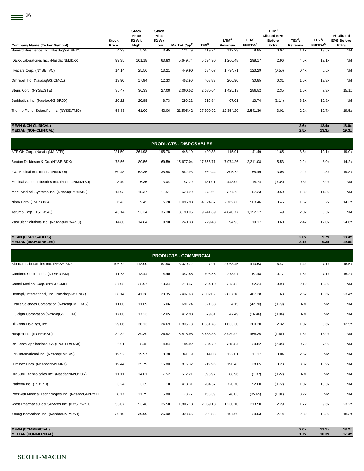|                                           |              | <b>Stock</b><br>Price | <b>Stock</b><br>Price |                         |                  |           |                     | LTM <sup>4</sup><br><b>Diluted EPS</b> |                    |                     | P/Diluted         |
|-------------------------------------------|--------------|-----------------------|-----------------------|-------------------------|------------------|-----------|---------------------|----------------------------------------|--------------------|---------------------|-------------------|
|                                           | <b>Stock</b> | 52 Wk                 | 52 Wk                 |                         |                  | $LTM^4$   | LTM <sup>4</sup>    | <b>Before</b>                          | TEV <sup>3</sup> / | TEV <sup>3</sup> /  | <b>EPS Before</b> |
| Company Name (Ticker Symbol)              | Price        | High                  | Low                   | Market Cap <sup>2</sup> | TEV <sup>3</sup> | Revenue   | EBITDA <sup>5</sup> | Extra                                  | Revenue            | EBITDA <sup>5</sup> | Extra             |
| Harvard Bioscience Inc. (NasdaqGM:HBIO)   | 4.23         | 5.25                  | 3.45                  | 121.79                  | 119.24           | 112.23    | 8.85                | 0.07                                   | 1.1x               | 13.5x               | <b>NM</b>         |
| IDEXX Laboratories Inc. (NasdaqNM:IDXX)   | 99.35        | 101.18                | 63.83                 | 5,649.74                | 5,694.90         | 1,266.48  | 298.17              | 2.96                                   | 4.5x               | 19.1x               | <b>NM</b>         |
|                                           |              |                       |                       |                         |                  |           |                     |                                        |                    |                     |                   |
| Invacare Corp. (NYSE:IVC)                 | 14.14        | 25.50                 | 13.21                 | 449.90                  | 684.07           | 1,794.71  | 123.29              | (0.50)                                 | 0.4x               | 5.5x                | <b>NM</b>         |
| Omnicell Inc. (NasdaqGS:OMCL)             | 13.90        | 17.94                 | 12.33                 | 462.90                  | 408.83           | 266.90    | 30.85               | 0.31                                   | 1.5x               | 13.3x               | <b>NM</b>         |
|                                           |              |                       |                       |                         |                  |           |                     |                                        |                    |                     |                   |
| Steris Corp. (NYSE:STE)                   | 35.47        | 36.33                 | 27.08                 | 2,060.52                | 2,085.04         | 1,425.13  | 286.82              | 2.35                                   | 1.5x               | 7.3x                | 15.1x             |
| SurModics Inc. (NasdaqGS:SRDX)            | 20.22        | 20.99                 | 8.73                  | 296.22                  | 216.84           | 67.01     | 13.74               | (1.14)                                 | 3.2x               | 15.8x               | <b>NM</b>         |
|                                           |              |                       |                       |                         |                  |           |                     |                                        |                    |                     |                   |
| Thermo Fisher Scientific, Inc. (NYSE:TMO) | 58.83        | 61.00                 | 43.06                 | 21,505.42               | 27,300.92        | 12,354.20 | 2,541.30            | 3.01                                   | 2.2x               | 10.7x               | 19.5x             |
|                                           |              |                       |                       |                         |                  |           |                     |                                        |                    |                     |                   |

## **MEAN (NON-CLINICAL) 2.6x 12.4x 18.0x MEDIAN (NON-CLINICAL) 2.5x 13.3x 19.3x**

| <b>PRODUCTS - DISPOSABLES</b>                  |        |        |        |           |           |          |          |        |      |       |           |
|------------------------------------------------|--------|--------|--------|-----------|-----------|----------|----------|--------|------|-------|-----------|
| ATRION Corp. (NasdaqNM:ATRI)                   | 221.50 | 261.98 | 195.78 | 446.10    | 420.33    | 115.91   | 41.49    | 11.65  | 3.6x | 10.1x | 19.0x     |
| Becton Dickinson & Co. (NYSE:BDX)              | 78.56  | 80.56  | 69.59  | 15,677.04 | 17,656.71 | 7,974.26 | 2,211.08 | 5.53   | 2.2x | 8.0x  | 14.2x     |
| ICU Medical Inc. (NasdaqNM:ICUI)               | 60.48  | 62.35  | 35.58  | 862.93    | 669.44    | 305.72   | 68.49    | 3.06   | 2.2x | 9.8x  | 19.8x     |
| Medical Action Industries Inc. (NasdaqNM:MDCI) | 3.49   | 6.36   | 3.04   | 57.20     | 131.01    | 443.09   | 14.74    | (0.05) | 0.3x | 8.9x  | <b>NM</b> |
| Merit Medical Systems Inc. (NasdagNM:MMSI)     | 14.93  | 15.37  | 11.51  | 628.99    | 675.69    | 377.72   | 57.23    | 0.50   | 1.8x | 11.8x | <b>NM</b> |
| Nipro Corp. (TSE:8086)                         | 6.43   | 9.45   | 5.28   | 1,096.98  | 4,124.87  | 2,769.80 | 503.46   | 0.45   | 1.5x | 8.2x  | 14.3x     |
| Terumo Corp. (TSE:4543)                        | 43.14  | 53.34  | 35.38  | 8,190.95  | 9,741.89  | 4,840.77 | 1,152.22 | 1.49   | 2.0x | 8.5x  | <b>NM</b> |
| Vascular Solutions Inc. (NasdagNM:VASC)        | 14.80  | 14.84  | 9.90   | 240.38    | 229.43    | 94.93    | 19.17    | 0.60   | 2.4x | 12.0x | 24.6x     |

## **MEAN (DISPOSABLES) 2.0x 9.7x 18.4x MEDIAN (DISPOSABLES) 2.1x 9.3x 19.0x**

| <b>PRODUCTS - COMMERCIAL</b>                       |        |        |       |          |          |          |         |        |           |           |           |
|----------------------------------------------------|--------|--------|-------|----------|----------|----------|---------|--------|-----------|-----------|-----------|
| Bio-Rad Laboratories Inc. (NYSE:BIO)               | 106.72 | 118.00 | 87.98 | 3,029.72 | 2,927.91 | 2,063.45 | 413.53  | 6.47   | 1.4x      | 7.1x      | 16.5x     |
| Cambrex Corporation. (NYSE:CBM)                    | 11.73  | 13.44  | 4.40  | 347.55   | 406.55   | 273.97   | 57.48   | 0.77   | 1.5x      | 7.1x      | 15.2x     |
| Cantel Medical Corp. (NYSE:CMN)                    | 27.08  | 28.97  | 13.34 | 718.47   | 794.10   | 373.82   | 62.24   | 0.98   | 2.1x      | 12.8x     | <b>NM</b> |
| Dentsply International, Inc. (NasdaqNM:XRAY)       | 38.14  | 41.38  | 28.35 | 5,407.68 | 7,302.02 | 2,837.18 | 467.28  | 1.63   | 2.6x      | 15.6x     | 23.4x     |
| Exact Sciences Corporation (NasdaqCM:EXAS)         | 11.00  | 11.69  | 6.06  | 691.24   | 621.38   | 4.15     | (42.70) | (0.79) | <b>NM</b> | <b>NM</b> | <b>NM</b> |
| Fluidigm Corporation (NasdaqGS:FLDM)               | 17.00  | 17.23  | 12.05 | 412.98   | 379.81   | 47.49    | (16.46) | (0.94) | <b>NM</b> | <b>NM</b> | <b>NM</b> |
| Hill-Rom Holdings, Inc.                            | 29.06  | 36.13  | 24.69 | 1,806.78 | 1,681.78 | 1,633.30 | 300.20  | 2.32   | 1.0x      | 5.6x      | 12.5x     |
| Hospira Inc. (NYSE:HSP)                            | 32.82  | 39.30  | 26.92 | 5,418.98 | 6,488.38 | 3,989.90 | 468.30  | (1.61) | 1.6x      | 13.9x     | <b>NM</b> |
| Ion Beam Applications SA (ENXTBR:IBAB)             | 6.91   | 8.45   | 4.84  | 184.92   | 234.79   | 318.84   | 29.82   | (2.04) | 0.7x      | 7.9x      | <b>NM</b> |
| IRIS International Inc. (NasdaqNM:IRIS)            | 19.52  | 19.97  | 8.38  | 341.19   | 314.03   | 122.01   | 11.17   | 0.04   | 2.6x      | <b>NM</b> | <b>NM</b> |
| Luminex Corp. (NasdaqNM:LMNX)                      | 19.44  | 25.79  | 16.80 | 816.32   | 719.96   | 190.43   | 38.05   | 0.28   | 3.8x      | 18.9x     | <b>NM</b> |
| OraSure Technologies Inc. (NasdaqNM:OSUR)          | 11.11  | 14.01  | 7.52  | 612.21   | 595.97   | 88.96    | (1.37)  | (0.22) | <b>NM</b> | <b>NM</b> | <b>NM</b> |
| Patheon Inc. (TSX:PTI)                             | 3.24   | 3.35   | 1.10  | 418.31   | 704.57   | 720.70   | 52.00   | (0.72) | 1.0x      | 13.5x     | <b>NM</b> |
| Rockwell Medical Technologies Inc. (NasdaqGM:RMTI) | 8.17   | 11.75  | 6.80  | 173.77   | 153.39   | 48.03    | (35.65) | (1.91) | 3.2x      | <b>NM</b> | <b>NM</b> |
| West Pharmaceutical Services Inc. (NYSE:WST)       | 53.07  | 53.48  | 35.50 | 1,806.18 | 2,059.18 | 1,230.10 | 213.50  | 2.29   | 1.7x      | 9.6x      | 23.2x     |
| Young Innovations Inc. (NasdaqNM:YDNT)             | 39.10  | 39.99  | 26.90 | 308.66   | 299.58   | 107.69   | 29.03   | 2.14   | 2.8x      | 10.3x     | 18.3x     |
|                                                    |        |        |       |          |          |          |         |        |           |           |           |

**MEAN (COMMERCIAL) 2.0x 11.1x 18.2x MEDIAN (COMMERCIAL) 1.7x 10.3x 17.4x**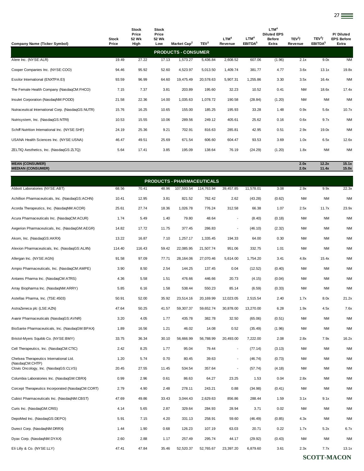|                                                    | <b>Stock</b> | Stock<br>Price<br>52 Wk | <b>Stock</b><br>Price<br>52 Wk |                                   |                  | LTM <sup>4</sup>         | LTM <sup>4</sup>    | LTM <sup>4</sup><br><b>Diluted EPS</b><br><b>Before</b> | TEV <sup>3</sup> / | TEV <sup>3</sup> /  | P/Diluted<br><b>EPS Before</b> |
|----------------------------------------------------|--------------|-------------------------|--------------------------------|-----------------------------------|------------------|--------------------------|---------------------|---------------------------------------------------------|--------------------|---------------------|--------------------------------|
| <b>Company Name (Ticker Symbol)</b>                | Price        | High                    | Low                            | Market Cap <sup>2</sup>           | TEV <sup>3</sup> | Revenue                  | EBITDA <sup>5</sup> | Extra                                                   | Revenue            | EBITDA <sup>5</sup> | Extra                          |
|                                                    |              |                         |                                | <b>PRODUCTS - CONSUMER</b>        |                  |                          |                     |                                                         |                    |                     |                                |
| Alere Inc. (NYSE:ALR)                              | 19.49        | 27.22                   | 17.13                          | 1,573.27                          | 5,436.84         | 2,608.52                 | 607.06              | (1.96)                                                  | 2.1x               | 9.0x                | <b>NM</b>                      |
| Cooper Companies Inc. (NYSE:COO)                   | 94.46        | 95.92                   | 52.60                          | 4,523.97                          | 5,013.50         | 1,409.74                 | 381.77              | 4.77                                                    | 3.6x               | 13.1x               | 19.8x                          |
| Essilor International (ENXTPA:EI)                  | 93.59        | 96.99                   | 64.60                          | 19,475.49                         | 20,578.63        | 5,907.31                 | 1,255.86            | 3.30                                                    | 3.5x               | 16.4x               | <b>NM</b>                      |
| The Female Health Company (NasdaqCM:FHCO)          | 7.15         | 7.37                    | 3.81                           | 203.89                            | 195.60           | 32.23                    | 10.52               | 0.41                                                    | <b>NM</b>          | 18.6x               | 17.4x                          |
| Insulet Corporation (NasdaqNM:PODD)                | 21.58        | 22.36                   | 14.00                          | 1,035.63                          | 1,078.72         | 190.58                   | (28.84)             | (1.20)                                                  | <b>NM</b>          | ΝM                  | <b>NM</b>                      |
| Nutraceutical International Corp. (NasdaqGS:NUTR)  | 15.76        | 16.25                   | 10.65                          | 155.00                            | 185.25           | 195.93                   | 33.28               | 1.48                                                    | 0.9x               | 5.6x                | 10.7x                          |
| Nutrisystem, Inc. (NasdaqGS:NTRI)                  | 10.53        | 15.55                   | 10.06                          | 289.56                            | 249.12           | 405.61                   | 25.62               | 0.16                                                    | 0.6x               | 9.7x                | <b>NM</b>                      |
| Schiff Nutrition International Inc. (NYSE:SHF)     | 24.19        | 25.36                   | 9.21                           | 702.91                            | 816.63           | 285.81                   | 42.95               | 0.51                                                    | 2.9x               | 19.0x               | <b>NM</b>                      |
| USANA Health Sciences Inc. (NYSE:USNA)             | 46.47        | 49.51                   | 25.69                          | 671.54                            | 606.60           | 604.47                   | 93.53               | 3.69                                                    | 1.0x               | 6.5x                | 12.6x                          |
| ZELTIQ Aesthetics, Inc. (NasdaqGS:ZLTQ)            | 5.64         | 17.41                   | 3.85                           | 195.09                            | 138.64           | 76.19                    | (24.29)             | (1.20)                                                  | 1.8x               | ΝM                  | <b>NM</b>                      |
| <b>MEAN (CONSUMER)</b><br><b>MEDIAN (CONSUMER)</b> |              |                         |                                |                                   |                  |                          |                     |                                                         | 2.0x<br>2.0x       | 12.2x<br>11.4x      | 15.1x<br>15.0x                 |
|                                                    |              |                         |                                | <b>PRODUCTS - PHARMACEUTICALS</b> |                  |                          |                     |                                                         |                    |                     |                                |
| Abbott Laboratories (NYSE:ABT)                     | 68.56        | 70.41                   | 48.96                          | 107,593.54                        | 114,763.94       | 39,457.85                | 11,578.01           | 3.08                                                    | 2.9x               | 9.9x                | 22.3x                          |
| Achillion Pharmaceuticals, Inc. (NasdaqGS:ACHN)    | 10.41        | 12.95                   | 3.81                           | 821.52                            | 762.42           | 2.62                     | (43.28)             | (0.62)                                                  | <b>NM</b>          | <b>NM</b>           | <b>NM</b>                      |
| Acorda Therapeutics, Inc. (NasdaqNM:ACOR)          | 25.61        | 27.74                   | 18.36                          | 1,026.78                          | 776.24           | 312.58                   | 66.38               | 1.07                                                    | 2.5x               | 11.7x               | 23.9x                          |
| Acura Pharmaceuticals Inc. (NasdaqCM:ACUR)         | 1.74         | 5.49                    | 1.40                           | 79.80                             | 48.64            | $\overline{\phantom{a}}$ | (8.40)              | (0.18)                                                  | <b>NM</b>          | ΝM                  | <b>NM</b>                      |
| Aegerion Pharmaceuticals, Inc. (NasdaqGM:AEGR)     | 14.82        | 17.72                   | 11.75                          | 377.45                            | 286.83           |                          | (46.10)             | (2.32)                                                  | <b>NM</b>          | <b>NM</b>           | <b>NM</b>                      |
| Akorn, Inc. (NasdaqGS:AKRX)                        | 13.22        | 16.87                   | 7.10                           | 1,257.17                          | 1,335.45         | 194.33                   | 64.00               | 0.30                                                    | <b>NM</b>          | <b>NM</b>           | <b>NM</b>                      |
| Alexion Pharmaceuticals, Inc. (NasdaqGS:ALXN)      | 114.40       | 116.43                  | 59.42                          | 22,085.95                         | 21,507.74        | 951.06                   | 332.75              | 1.01                                                    | <b>NM</b>          | <b>NM</b>           | <b>NM</b>                      |
| Allergan Inc. (NYSE:AGN)                           | 91.58        | 97.09                   | 77.71                          | 28,164.06                         | 27,070.46        | 5,614.00                 | 1,754.20            | 3.41                                                    | 4.8x               | 15.4x               | <b>NM</b>                      |
| Ampio Pharmaceuticals, Inc. (NasdaqCM:AMPE)        | 3.90         | 8.50                    | 2.54                           | 144.25                            | 137.45           | 0.04                     | (12.52)             | (0.40)                                                  | <b>NM</b>          | <b>NM</b>           | <b>NM</b>                      |
| Antares Pharma Inc. (NasdaqCM:ATRS)                | 4.36         | 5.58                    | 1.51                           | 476.66                            | 446.66           | 20.73                    | (4.15)              | (0.04)                                                  | <b>NM</b>          | <b>NM</b>           | <b>NM</b>                      |
| Array Biopharma Inc. (NasdaqNM:ARRY)               | 5.85         | 6.16                    | 1.58                           | 538.44                            | 550.23           | 85.14                    | (6.59)              | (0.33)                                                  | <b>NM</b>          | <b>NM</b>           | <b>NM</b>                      |
| Astellas Pharma, Inc. (TSE:4503)                   | 50.91        | 52.00                   | 35.92                          | 23,514.16                         | 20,169.99        | 12,023.05                | 2,515.54            | 2.40                                                    | 1.7x               | 8.0x                | 21.2x                          |
| AstraZeneca plc (LSE:AZN)                          | 47.64        | 50.25                   | 41.57                          | 59,307.37                         | 59,652.74        | 30,878.00                | 13,270.00           | 6.28                                                    | 1.9x               | 4.5x                | 7.6x                           |
| Avanir Pharmaceuticals (NasdaqGS:AVNR)             | 3.20         | 4.05                    | 1.77                           | 435.78                            | 382.78           | 32.50                    | (65.06)             | (0.51)                                                  | <b>NM</b>          | <b>NM</b>           | <b>NM</b>                      |
| BioSante Pharmaceuticals, Inc. (NasdaqGM:BPAX)     | 1.89         | 16.56                   | 1.21                           | 46.02                             | 14.08            | 0.52                     | (35.49)             | (1.96)                                                  | <b>NM</b>          | NM                  | <b>NM</b>                      |
| Bristol-Myers Squibb Co. (NYSE:BMY)                | 33.75        | 36.34                   | 30.10                          | 56,666.99                         | 56,788.99        | 20,493.00                | 7,222.00            | 2.08                                                    | 2.8x               | 7.9x                | 16.2x                          |

Cell Therapeutics, Inc. (NasdaqCM:CTIC) 2.42 8.25 1.77 95.04 79.44 - (77.14) (3.13) NM NM NM

Clovis Oncology, Inc. (NasdaqGS:CLVS) 20.45 27.55 11.45 534.54 357.64 - (57.74) (4.18) NM NM NM Columbia Laboratories Inc. (NasdaqGM:CBRX) 0.99 2.96 0.61 86.63 64.27 23.25 1.53 0.04 2.8x NM NM Corcept Therapeutics Incorporated (NasdaqCM:CORT) 2.79 4.90 2.48 278.11 243.21 0.88 (34.98) (0.41) NM NM NM Cubist Pharmaceuticals Inc. (NasdaqNM:CBST) 47.69 49.86 33.43 3,044.43 2,629.63 856.86 288.44 1.59 3.1x 9.1x NM Curis Inc. (NasdaqGM:CRIS) 4.14 5.65 2.87 329.64 284.93 28.94 3.71 0.02 NM NM NM DepoMed Inc. (NasdaqGS:DEPO) 5.91 7.15 4.20 331.13 258.91 59.60 (46.49) (0.85) 4.3x NM NM Durect Corp. (NasdaqNM:DRRX) 1.44 1.90 0.68 126.23 107.19 63.03 20.71 0.22 1.7x 5.2x 6.7x Dyax Corp. (NasdaqNM:DYAX) 2.60 2.88 1.17 257.49 295.74 44.17 (29.92) (0.43) NM NM NM Eli Lilly & Co. (NYSE:LLY) 47.41 47.84 35.46 52,520.37 52,765.67 23,397.20 6,879.60 3.61 2.3x 7.7x 13.1x

1.20 5.74 0.70 80.45 39.63 - (46.74) (0.73) NM NM NM

Chelsea Therapeutics International Ltd. (NasdaqCM:CHTP)

27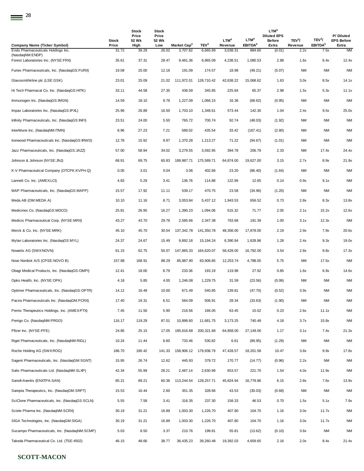| <b>Company Name (Ticker Symbol)</b>                   | Stock<br>Price | Stock<br>Price<br>52 Wk<br>High | Stock<br>Price<br>52 Wk<br>Low | Market Cap <sup>2</sup> | TEV <sup>3</sup> | LTM <sup>4</sup><br>Revenue | LTM <sup>4</sup><br><b>EBITDA</b> <sup>5</sup> | LTM <sup>4</sup><br><b>Diluted EPS</b><br><b>Before</b><br>Extra | TEV <sup>3</sup> /<br>Revenue | TEV <sup>3</sup> /<br>EBITDA <sup>5</sup> | P/Diluted<br><b>EPS Before</b><br>Extra |
|-------------------------------------------------------|----------------|---------------------------------|--------------------------------|-------------------------|------------------|-----------------------------|------------------------------------------------|------------------------------------------------------------------|-------------------------------|-------------------------------------------|-----------------------------------------|
| Endo Pharmaceuticals Holdings Inc.<br>(NasdaqNM:ENDP) | 31.72          | 39.29                           | 26.02                          | 3,707.82                | 6,665.69         | 3,038.31                    | 884.60                                         | (0.01)                                                           | 2.2x                          | 7.5x                                      | <b>NM</b>                               |
| Forest Laboratories Inc. (NYSE:FRX)                   | 35.61          | 37.31                           | 28.47                          | 9,461.36                | 6,965.09         | 4,238.51                    | 1,080.53                                       | 2.88                                                             | 1.6x                          | 6.4x                                      | 12.4x                                   |
| Furiex Pharmaceuticals, Inc. (NasdaqGS:FURX)          | 19.08          | 25.00                           | 12.16                          | 191.09                  | 174.57           | 18.98                       | (49.21)                                        | (5.07)                                                           | <b>NM</b>                     | <b>NM</b>                                 | <b>NM</b>                               |
| Glaxosmithkline plc (LSE:GSK)                         | 23.01          | 25.09                           | 21.02                          | 111,972.01              | 128,710.42       | 42,638.22                   | 15,068.62                                      | 1.63                                                             | 3.0x                          | 8.5x                                      | 14.1x                                   |
| Hi Tech Pharmacal Co. Inc. (NasdaqGS:HITK)            | 33.11          | 44.58                           | 27.35                          | 436.59                  | 345.85           | 225.84                      | 65.37                                          | 2.98                                                             | 1.5x                          | 5.3x                                      | 11.1x                                   |
| Immunogen Inc. (NasdaqGS: IMGN)                       | 14.59          | 18.10                           | 9.76                           | 1,227.09                | 1,066.15         | 16.36                       | (68.62)                                        | (0.95)                                                           | <b>NM</b>                     | <b>NM</b>                                 | <b>NM</b>                               |
| Impax Laboratories Inc. (NasdaqGS:IPXL)               | 25.96          | 26.89                           | 16.50                          | 1,703.10                | 1,348.61         | 573.44                      | 142.30                                         | 1.04                                                             | 2.4x                          | 9.5x                                      | 25.0x                                   |
| Infinity Pharmaceuticals, Inc. (NasdaqGS:INFI)        | 23.51          | 24.00                           | 5.50                           | 765.72                  | 700.74           | 92.74                       | (48.03)                                        | (1.92)                                                           | NM                            | <b>NM</b>                                 | <b>NM</b>                               |
| InterMune Inc. (NasdaqNM:ITMN)                        | 8.96           | 27.23                           | 7.21                           | 589.02                  | 435.54           | 33.42                       | (167.41)                                       | (2.80)                                                           | NM                            | NM                                        | <b>NM</b>                               |
| Ironwood Pharmaceuticals Inc. (NasdaqGS:IRWD)         | 12.78          | 15.92                           | 9.97                           | 1,370.28                | 1,213.27         | 71.22                       | (94.67)                                        | (1.01)                                                           | NM                            | <b>NM</b>                                 | <b>NM</b>                               |
| Jazz Pharmaceuticals, Inc. (NasdaqGS:JAZZ)            | 57.00          | 58.94                           | 34.02                          | 3,279.55                | 3,592.95         | 394.78                      | 206.79                                         | 2.33                                                             | <b>NM</b>                     | 17.4x                                     | 24.4x                                   |
| Johnson & Johnson (NYSE: JNJ)                         | 68.91          | 69.75                           | 60.83                          | 189,987.71              | 175,589.71       | 64,874.00                   | 19,627.00                                      | 3.15                                                             | 2.7x                          | 8.9x                                      | 21.9x                                   |
| K-V Pharmaceutical Company (OTCPK:KVPH.Q)             | 0.05           | 3.01                            | 0.04                           | 3.06                    | 402.66           | 23.20                       | (86.40)                                        | (1.64)                                                           | <b>NM</b>                     | <b>NM</b>                                 | <b>NM</b>                               |
| Lannett Co. Inc. (AMEX:LCI)                           | 4.83           | 5.29                            | 3.41                           | 136.76                  | 114.88           | 122.99                      | 12.65                                          | 0.14                                                             | 0.9x                          | 9.1x                                      | <b>NM</b>                               |
| MAP Pharmaceuticals, Inc. (NasdaqGS:MAPP)             | 15.57          | 17.92                           | 11.11                          | 539.17                  | 470.75           | 23.58                       | (34.96)                                        | (1.20)                                                           | <b>NM</b>                     | NM                                        | <b>NM</b>                               |
| Meda AB (OM:MEDA A)                                   | 10.10          | 11.16                           | 8.71                           | 3,053.84                | 5,437.12         | 1,943.53                    | 656.52                                         | 0.73                                                             | 2.8x                          | 8.3x                                      | 13.8x                                   |
| Medicines Co. (NasdaqGS:MDCO)                         | 25.81          | 26.95                           | 16.27                          | 1,390.23                | 1,094.06         | 515.32                      | 71.77                                          | 2.05                                                             | 2.1x                          | 15.2x                                     | 12.6x                                   |
| Medicis Pharmaceutical Corp. (NYSE:MRX)               | 43.27          | 43.70                           | 29.76                          | 2,585.66                | 2,347.38         | 763.68                      | 191.39                                         | 1.00                                                             | 3.1x                          | 12.3x                                     | <b>NM</b>                               |
| Merck & Co. Inc. (NYSE:MRK)                           | 45.10          | 45.70                           | 30.54                          | 137,342.78              | 141,350.78       | 48,356.00                   | 17,878.00                                      | 2.19                                                             | 2.9x                          | 7.9x                                      | 20.6x                                   |
| Mylan Laboratories Inc. (NasdaqGS:MYL)                | 24.37          | 24.67                           | 15.49                          | 9,892.18                | 15,194.24        | 6,390.94                    | 1,628.96                                       | 1.28                                                             | 2.4x                          | 9.3x                                      | 19.0x                                   |
| Novartis AG (SWX:NOVN)                                | 61.15          | 62.75                           | 50.07                          | 147,865.33              | 164,620.07       | 58,428.00                   | 16,792.00                                      | 3.54                                                             | 2.8x                          | 9.8x                                      | 17.3x                                   |
| Novo Nordisk A/S (CPSE:NOVO B)                        | 157.88         | 168.91                          | 88.29                          | 85,887.90               | 83,906.85        | 12,253.74                   | 4,788.05                                       | 5.75                                                             | NM                            | 17.5x                                     | <b>NM</b>                               |
| Obagi Medical Products, Inc. (NasdaqGS:OMPI)          | 12.41          | 18.00                           | 8.79                           | 233.36                  | 193.19           | 119.98                      | 27.92                                          | 0.85                                                             | 1.6x                          | 6.9x                                      | 14.6x                                   |
| Opko Health, Inc. (NYSE:OPK)                          | 4.18           | 5.85                            | 4.00                           | 1,246.08                | 1,229.75         | 31.59                       | (23.56)                                        | (0.06)                                                           | <b>NM</b>                     | ΝM                                        | <b>NM</b>                               |
| Optimer Pharmaceuticals, Inc. (NasdaqGS:OPTR)         | 14.12          | 16.49                           | 10.00                          | 671.49                  | 540.85           | 139.81                      | (47.70)                                        | (0.52)                                                           | 3.9x                          | NM                                        | <b>NM</b>                               |
| Pacira Pharmaceuticals Inc. (NasdaqGM:PCRX)           | 17.40          | 19.31                           | 6.51                           | 564.09                  | 506.91           | 28.34                       | (33.63)                                        | (1.90)                                                           | <b>NM</b>                     | <b>NM</b>                                 | <b>NM</b>                               |
| Pernix Therapeutics Holdings, Inc. (AMEX:PTX)         | 7.45           | 11.50                           | 5.90                           | 216.56                  | 166.05           | 63.45                       | 15.02                                          | 0.23                                                             | 2.6x                          | 11.1x                                     | <b>NM</b>                               |
| Perrigo Co. (NasdaqNM:PRGO)                           | 116.17         | 119.29                          | 87.01                          | 10,898.60               | 11,681.75        | 3,173.25                    | 740.48                                         | 4.18                                                             | 3.7x                          | 15.8x                                     | <b>NM</b>                               |
| Pfizer Inc. (NYSE:PFE)                                | 24.85          | 25.15                           | 17.05                          | 185,616.68              | 200,321.68       | 64,858.00                   | 27,149.00                                      | 1.17                                                             | 3.1x                          | 7.4x                                      | 21.3x                                   |
| Rigel Pharmaceuticals, Inc. (NasdaqNM:RIGL)           | 10.24          | 11.44                           | 6.60                           | 733.46                  | 530.82           | 6.61                        | (89.95)                                        | (1.29)                                                           | <b>NM</b>                     | NM                                        | <b>NM</b>                               |
| Roche Holding AG (SWX:ROG)                            | 186.70         | 190.42                          | 141.33                         | 158,906.12              | 179,938.79       | 47,428.57                   | 18,201.58                                      | 10.47                                                            | 3.8x                          | 9.9x                                      | 17.8x                                   |
| Sagent Pharmaceuticals, Inc. (NasdaqGM:SGNT)          | 15.95          | 26.74                           | 12.62                          | 445.93                  | 379.72           | 170.77                      | (14.77)                                        | (0.96)                                                           | 2.2x                          | NM                                        | <b>NM</b>                               |
| Salix Pharmaceuticals Ltd. (NasdaqNM:SLXP)            | 42.34          | 55.99                           | 28.21                          | 2,487.14                | 2,630.99         | 653.57                      | 221.70                                         | 1.54                                                             | 4.0x                          | 11.9x                                     | <b>NM</b>                               |
| Sanofi-Aventis (ENXTPA:SAN)                           | 85.21          | 89.21                           | 60.36                          | 113,244.54              | 128,257.71       | 45,824.94                   | 16,778.86                                      | 6.15                                                             | 2.8x                          | 7.6x                                      | 13.9x                                   |
| Sarepta Therapeutics, Inc. (NasdaqGM:SRPT)            | 15.53          | 16.44                           | 2.60                           | 351.35                  | 328.66           | 43.53                       | (30.03)                                        | (0.68)                                                           | <b>NM</b>                     | ΝM                                        | <b>NM</b>                               |
| SciClone Pharmaceuticals, Inc. (NasdaqGS:SCLN)        | 5.55           | 7.58                            | 3.41                           | 316.35                  | 237.30           | 158.33                      | 46.53                                          | 0.70                                                             | 1.5x                          | 5.1x                                      | 7.9x                                    |
| Sciele Pharma Inc. (NasdaqNM:SCRX)                    | 30.19          | 31.21                           | 16.89                          | 1,003.30                | 1,226.70         | 407.80                      | 104.70                                         | 1.16                                                             | 3.0x                          | 11.7x                                     | <b>NM</b>                               |
| SIGA Technologies, Inc. (NasdaqGM:SIGA)               | 30.19          | 31.21                           | 16.89                          | 1,003.30                | 1,226.70         | 407.80                      | 104.70                                         | 1.16                                                             | 3.0x                          | 11.7x                                     | <b>NM</b>                               |
| Sucampo Pharmaceuticals, Inc. (NasdaqNM:SCMP)         | 5.03           | 8.50                            | 3.37                           | 210.76                  | 199.81           | 55.81                       | (13.62)                                        | (0.10)                                                           | 3.6x                          | <b>NM</b>                                 | <b>NM</b>                               |
| Takeda Pharmaceutical Co. Ltd. (TSE:4502)             | 46.15          | 48.66                           | 38.77                          | 36,435.23               | 39,260.48        | 19,392.03                   | 4,659.65                                       | 2.16                                                             | 2.0x                          | 8.4x                                      | 21.4x                                   |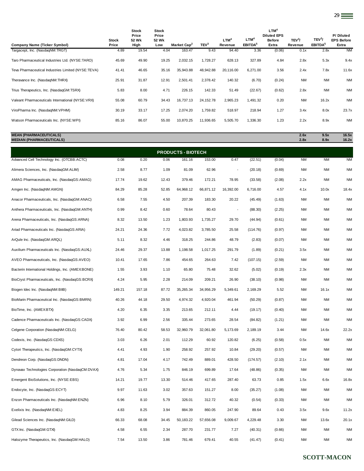| Company Name (Ticker Symbol)                                     | Stock<br>Price | Stock<br>Price<br>52 Wk<br>High | <b>Stock</b><br>Price<br>52 Wk<br>Low | Market Cap <sup>2</sup>   | TEV <sup>3</sup> | LTM <sup>4</sup><br>Revenue | LTM <sup>4</sup><br>EBITDA <sup>5</sup> | LTM <sup>4</sup><br><b>Diluted EPS</b><br><b>Before</b><br>Extra | TEV <sup>3</sup> /<br>Revenue | TEV <sup>3</sup> /<br>EBITDA <sup>5</sup> | P/Diluted<br><b>EPS Before</b><br>Extra |
|------------------------------------------------------------------|----------------|---------------------------------|---------------------------------------|---------------------------|------------------|-----------------------------|-----------------------------------------|------------------------------------------------------------------|-------------------------------|-------------------------------------------|-----------------------------------------|
| Targacept, Inc. (NasdaqNM:TRGT)                                  | 4.89           | 19.54                           | 4.04                                  | 163.47                    | 9.43             | 94.40                       | 3.36                                    | (0.06)                                                           | 0.1x                          | 2.8x                                      | <b>NM</b>                               |
| Taro Pharmaceutical Industries Ltd. (NYSE:TARO)                  | 45.69          | 49.90                           | 19.25                                 | 2,032.15                  | 1,728.27         | 628.13                      | 327.89                                  | 4.84                                                             | 2.8x                          | 5.3x                                      | 9.4x                                    |
| Teva Pharmaceutical Industries Limited (NYSE:TEVA)               | 41.41          | 46.65                           | 35.16                                 | 35,943.88                 | 48,942.88        | 20.116.00                   | 6,271.00                                | 3.56                                                             | 2.4x                          | 7.8x                                      | 11.6x                                   |
| Theravance Inc. (NasdaqNM:THRX)                                  | 25.91          | 31.87                           | 12.91                                 | 2,501.41                  | 2,378.42         | 140.32                      | (6.70)                                  | (0.24)                                                           | <b>NM</b>                     | <b>NM</b>                                 | <b>NM</b>                               |
| Trius Therapeutics, Inc. (NasdaqGM:TSRX)                         | 5.83           | 8.00                            | 4.71                                  | 226.15                    | 142.33           | 51.49                       | (22.67)                                 | (0.62)                                                           | 2.8x                          | NM                                        | <b>NM</b>                               |
| Valeant Pharmaceuticals International (NYSE:VRX)                 | 55.08          | 60.79                           | 34.43                                 | 16,737.13                 | 24, 152. 78      | 2,965.23                    | 1,491.32                                | 0.20                                                             | <b>NM</b>                     | 16.2x                                     | <b>NM</b>                               |
| ViroPharma Inc. (NasdaqNM:VPHM)                                  | 30.19          | 33.17                           | 17.25                                 | 2,074.20                  | 1,759.82         | 518.97                      | 218.94                                  | 1.27                                                             | 3.4x                          | 8.0x                                      | 23.7x                                   |
| Watson Pharmaceuticals Inc. (NYSE:WPI)                           | 85.16          | 86.07                           | 55.00                                 | 10,870.25                 | 11,936.65        | 5,505.70                    | 1,336.30                                | 1.23                                                             | 2.2x                          | 8.9x                                      | <b>NM</b>                               |
| <b>MEAN (PHARMACEUTICALS)</b><br><b>MEDIAN (PHARMACEUTICALS)</b> |                |                                 |                                       |                           |                  |                             |                                         |                                                                  | 2.6x<br>2.8x                  | 9.5x<br>8.9x                              | 16.5x<br>16.2x                          |
|                                                                  |                |                                 |                                       | <b>PRODUCTS - BIOTECH</b> |                  |                             |                                         |                                                                  |                               |                                           |                                         |
| Advanced Cell Technology Inc. (OTCBB:ACTC)                       | 0.08           | 0.20                            | 0.06                                  | 161.16                    | 153.00           | 0.47                        | (22.51)                                 | (0.04)                                                           | <b>NM</b>                     | <b>NM</b>                                 | <b>NM</b>                               |
| Alimera Sciences, Inc. (NasdaqGM:ALIM)                           | 2.58           | 8.77                            | 1.09                                  | 81.09                     | 62.96            |                             | (20.18)                                 | (0.69)                                                           | <b>NM</b>                     | <b>NM</b>                                 | <b>NM</b>                               |
| AMAG Pharmaceuticals, Inc. (NasdaqGS:AMAG)                       | 17.74          | 19.62                           | 12.43                                 | 379.46                    | 172.21           | 78.95                       | (33.58)                                 | (2.08)                                                           | 2.2x                          | <b>NM</b>                                 | <b>NM</b>                               |
| Amgen Inc. (NasdaqNM:AMGN)                                       | 84.29          | 85.28                           | 52.85                                 | 64,968.12                 | 66,871.12        | 16,392.00                   | 6,716.00                                | 4.57                                                             | 4.1x                          | 10.0x                                     | 18.4x                                   |
| Anacor Pharmaceuticals, Inc. (NasdaqGM:ANAC)                     | 6.58           | 7.55                            | 4.50                                  | 207.39                    | 183.30           | 20.22                       | (45.49)                                 | (1.63)                                                           | <b>NM</b>                     | <b>NM</b>                                 | <b>NM</b>                               |
| Anthera Pharmaceuticals, Inc. (NasdaqGM:ANTH)                    | 0.99           | 8.42                            | 0.60                                  | 78.64                     | 80.43            | $\overline{\phantom{a}}$    | (88.30)                                 | (2.25)                                                           | NM                            | <b>NM</b>                                 | <b>NM</b>                               |
| Arena Pharmaceuticals, Inc. (NasdaqGS:ARNA)                      | 8.32           | 13.50                           | 1.23                                  | 1,803.93                  | 1,735.27         | 29.70                       | (44.94)                                 | (0.61)                                                           | NM                            | NM                                        | <b>NM</b>                               |
| Ariad Pharmaceuticals Inc. (NasdaqGS:ARIA)                       | 24.21          | 24.36                           | 7.72                                  | 4,023.82                  | 3,785.50         | 25.58                       | (114.76)                                | (0.97)                                                           | <b>NM</b>                     | <b>NM</b>                                 | <b>NM</b>                               |
| ArQule Inc. (NasdaqGM:ARQL)                                      | 5.11           | 8.32                            | 4.46                                  | 318.25                    | 244.86           | 48.79                       | (2.83)                                  | (0.07)                                                           | <b>NM</b>                     | NM                                        | <b>NM</b>                               |
| Auxilium Pharmaceuticals Inc. (NasdaqGS:AUXL)                    | 24.46          | 29.37                           | 13.88                                 | 1,198.58                  | 1,017.25         | 291.79                      | (1.89)                                  | (0.21)                                                           | 3.5x                          | <b>NM</b>                                 | <b>NM</b>                               |
| AVEO Pharmaceuticals, Inc. (NasdaqGS:AVEO)                       | 10.41          | 17.65                           | 7.86                                  | 454.65                    | 264.63           | 7.42                        | (107.15)                                | (2.59)                                                           | <b>NM</b>                     | <b>NM</b>                                 | <b>NM</b>                               |
| Bacterin International Holdings, Inc. (AMEXBONE)                 | 1.55           | 3.93                            | 1.10                                  | 65.80                     | 75.48            | 32.62                       | (5.02)                                  | (0.19)                                                           | 2.3x                          | NM                                        | <b>NM</b>                               |
| BioCryst Pharmaceuticals, Inc. (NasdaqGS:BCRX)                   | 4.24           | 5.95                            | 2.28                                  | 214.09                    | 209.21           | 26.90                       | (38.10)                                 | (0.98)                                                           | <b>NM</b>                     | NM                                        | <b>NM</b>                               |
| Biogen Idec Inc. (NasdaqNM:BIIB)                                 | 149.21         | 157.18                          | 87.72                                 | 35,265.34                 | 34,956.29        | 5,349.61                    | 2,169.29                                | 5.52                                                             | ΝM                            | 16.1x                                     | <b>NM</b>                               |
| BioMarin Pharmaceutical Inc. (NasdaqGS:BMRN)                     | 40.26          | 44.18                           | 29.50                                 | 4,974.32                  | 4,920.04         | 461.94                      | (50.29)                                 | (0.87)                                                           | NM                            | NM                                        | <b>NM</b>                               |
| BioTime, Inc. (AMEX:BTX)                                         | 4.20           | 6.35                            | 3.35                                  | 213.65                    | 212.11           | 4.44                        | (19.17)                                 | (0.40)                                                           | NM                            | NM                                        | <b>NM</b>                               |
| Cadence Pharmaceuticals Inc. (NasdaqGS:CADX)                     | 3.92           | 6.99                            | 2.56                                  | 335.44                    | 273.65           | 28.54                       | (84.82)                                 | (1.21)                                                           | <b>NM</b>                     | NM                                        | <b>NM</b>                               |
| Celgene Corporation (NasdaqNM:CELG)                              | 76.40          | 80.42                           | 58.53                                 | 32,960.79                 | 32,061.80        | 5,173.69                    | 2,189.19                                | 3.44                                                             | <b>NM</b>                     | 14.6x                                     | 22.2x                                   |
| Codexis, Inc. (NasdaqGS:CDXS)                                    | 3.03           | 6.26                            | 2.01                                  | 112.29                    | 60.92            | 120.82                      | (6.25)                                  | (0.58)                                                           | 0.5x                          | NM                                        | <b>NM</b>                               |
| Cytori Therapeutics, Inc. (NasdaqGM:CYTX)                        | 4.41           | 4.93                            | 1.90                                  | 258.92                    | 257.92           | 10.84                       | (29.20)                                 | (0.57)                                                           | <b>NM</b>                     | NM                                        | <b>NM</b>                               |
| Dendreon Corp. (NasdaqGS:DNDN)                                   | 4.81           | 17.04                           | 4.17                                  | 742.49                    | 889.01           | 428.50                      | (174.57)                                | (2.10)                                                           | 2.1x                          | NM                                        | <b>NM</b>                               |
| Dynavax Technologies Corporation (NasdaqCM:DVAX)                 | 4.76           | 5.34                            | 1.75                                  | 846.19                    | 699.89           | 17.64                       | (48.86)                                 | (0.35)                                                           | <b>NM</b>                     | NM                                        | <b>NM</b>                               |
| Emergent BioSolutions, Inc. (NYSE:EBS)                           | 14.21          | 19.77                           | 13.30                                 | 514.46                    | 417.65           | 287.40                      | 63.73                                   | 0.85                                                             | 1.5x                          | 6.6x                                      | 16.8x                                   |
| Endocyte, Inc. (NasdaqGS:ECYT)                                   | 9.97           | 11.63                           | 3.02                                  | 357.63                    | 151.27           | 8.00                        | (35.27)                                 | (1.08)                                                           | <b>NM</b>                     | NM                                        | <b>NM</b>                               |
| Enzon Pharmaceuticals Inc. (NasdaqNM:ENZN)                       | 6.96           | 8.10                            | 5.79                                  | 326.01                    | 312.72           | 40.32                       | (0.54)                                  | (0.33)                                                           | <b>NM</b>                     | <b>NM</b>                                 | <b>NM</b>                               |
| Exelixis Inc. (NasdaqNM:EXEL)                                    | 4.83           | 8.25                            | 3.94                                  | 884.39                    | 860.05           | 247.90                      | 89.64                                   | 0.43                                                             | 3.5x                          | 9.6x                                      | 11.2x                                   |
| Gilead Sciences Inc. (NasdaqNM:GILD)                             | 66.33          | 68.08                           | 34.45                                 | 50,183.22                 | 57,656.08        | 9,009.67                    | 4,229.48                                | 3.30                                                             | <b>NM</b>                     | 13.6x                                     | 20.1x                                   |
| GTX Inc. (NasdaqGM:GTXI)                                         | 4.58           | 6.55                            | 2.34                                  | 287.70                    | 231.77           | 7.27                        | (40.31)                                 | (0.66)                                                           | <b>NM</b>                     | <b>NM</b>                                 | <b>NM</b>                               |
| Halozyme Therapeutics, Inc. (NasdaqGM:HALO)                      | 7.54           | 13.50                           | 3.86                                  | 781.46                    | 679.41           | 40.55                       | (41.47)                                 | (0.41)                                                           | <b>NM</b>                     | <b>NM</b>                                 | <b>NM</b>                               |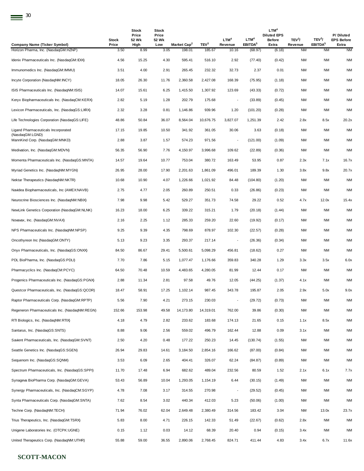| Company Name (Ticker Symbol)                           | Stock<br>Price | Stock<br>Price<br>52 Wk<br>High | Stock<br>Price<br>52 Wk<br>Low | Market Cap <sup>2</sup> | TEV <sup>3</sup> | LTM <sup>4</sup><br>Revenue | LTM <sup>4</sup><br>EBITDA <sup>5</sup> | LTM <sup>4</sup><br><b>Diluted EPS</b><br><b>Before</b><br>Extra | TEV <sup>3</sup> /<br>Revenue | TEV <sup>3</sup> /<br>EBITDA <sup>5</sup> | P/Diluted<br><b>EPS Before</b><br>Extra |
|--------------------------------------------------------|----------------|---------------------------------|--------------------------------|-------------------------|------------------|-----------------------------|-----------------------------------------|------------------------------------------------------------------|-------------------------------|-------------------------------------------|-----------------------------------------|
| Horizon Pharma, Inc. (NasdaqGM:HZNP)                   | 3.50           | 8.99                            | 3.05                           | 198.01                  | 185.67           | 10.16                       | (68.97)                                 | (6.18)                                                           | <b>NM</b>                     | <b>NM</b>                                 | <b>NM</b>                               |
| Idenix Pharmaceuticals Inc. (NasdaqGM:IDIX)            | 4.56           | 15.25                           | 4.30                           | 595.41                  | 516.10           | 2.92                        | (77.40)                                 | (0.42)                                                           | <b>NM</b>                     | <b>NM</b>                                 | <b>NM</b>                               |
| Immunomedics Inc. (NasdaqGM:IMMU)                      | 3.51           | 4.00                            | 2.91                           | 265.45                  | 232.32           | 32.73                       | 2.37                                    | 0.01                                                             | <b>NM</b>                     | <b>NM</b>                                 | <b>NM</b>                               |
| Incyte Corporation (NasdaqNM: INCY)                    | 18.05          | 26.30                           | 11.76                          | 2,360.58                | 2,427.08         | 168.39                      | (75.95)                                 | (1.18)                                                           | <b>NM</b>                     | NM                                        | <b>NM</b>                               |
| ISIS Pharmaceuticals Inc. (NasdaqNM:ISIS)              | 14.07          | 15.61                           | 6.25                           | 1,415.50                | 1,307.92         | 123.69                      | (43.33)                                 | (0.72)                                                           | <b>NM</b>                     | NM                                        | <b>NM</b>                               |
| Keryx Biopharmaceuticals Inc. (NasdaqCM:KERX)          | 2.82           | 5.19                            | 1.28                           | 202.79                  | 175.68           | $\overline{\phantom{a}}$    | (33.89)                                 | (0.45)                                                           | <b>NM</b>                     | NM                                        | <b>NM</b>                               |
| Lexicon Pharmaceuticals, Inc. (NasdaqGS:LXRX)          | 2.32           | 3.28                            | 0.81                           | 1,146.86                | 939.96           | 1.20                        | (101.20)                                | (0.28)                                                           | <b>NM</b>                     | ΝM                                        | <b>NM</b>                               |
| Life Technologies Corporation (NasdaqGS:LIFE)          | 48.86          | 50.84                           | 36.07                          | 8,564.04                | 10,676.75        | 3,827.07                    | 1,251.39                                | 2.42                                                             | 2.8x                          | 8.5x                                      | 20.2x                                   |
| Ligand Pharmaceuticals Incorporated<br>(NasdaqGM:LGND) | 17.15          | 19.85                           | 10.50                          | 341.92                  | 361.05           | 30.06                       | 3.63                                    | (0.18)                                                           | <b>NM</b>                     | ΝM                                        | <b>NM</b>                               |
| MannKind Corp. (NasdaqGM:MNKD)                         | 2.88           | 3.87                            | 1.57                           | 574.23                  | 971.56           | $\overline{\phantom{a}}$    | (121.00)                                | (1.09)                                                           | <b>NM</b>                     | NM                                        | <b>NM</b>                               |
| Medivation, Inc. (NasdaqGM:MDVN)                       | 56.35          | 56.90                           | 7.76                           | 4,150.97                | 3,996.68         | 109.62                      | (22.89)                                 | (0.36)                                                           | <b>NM</b>                     | NM                                        | <b>NM</b>                               |
| Momenta Pharmaceuticals Inc. (NasdaqGS:MNTA)           | 14.57          | 19.64                           | 10.77                          | 753.04                  | 380.72           | 163.49                      | 53.95                                   | 0.87                                                             | 2.3x                          | 7.1x                                      | 16.7x                                   |
| Myriad Genetics Inc. (NasdaqNM:MYGN)                   | 26.95          | 28.00                           | 17.90                          | 2,201.63                | 1.861.09         | 496.01                      | 189.39                                  | 1.30                                                             | 3.8x                          | 9.8x                                      | 20.7x                                   |
| Nektar Therapeutics (NasdaqNM:NKTR)                    | 10.68          | 10.90                           | 4.07                           | 1,226.66                | 1,021.92         | 84.48                       | (104.80)                                | (1.20)                                                           | <b>NM</b>                     | NM                                        | <b>NM</b>                               |
| Navidea Biopharmaceuticals, Inc (AMEX:NAVB)            | 2.75           | 4.77                            | 2.05                           | 260.89                  | 250.51           | 0.33                        | (26.86)                                 | (0.23)                                                           | <b>NM</b>                     | <b>NM</b>                                 | <b>NM</b>                               |
| Neurocrine Biosciences Inc. (NasdaqNM:NBIX)            | 7.98           | 9.98                            | 5.42                           | 529.27                  | 351.73           | 74.58                       | 29.22                                   | 0.52                                                             | 4.7x                          | 12.0x                                     | 15.4x                                   |
| NewLink Genetics Corporation (NasdaqGM:NLNK)           | 16.23          | 18.00                           | 6.25                           | 339.22                  | 315.21           | 1.79                        | (20.18)                                 | (1.44)                                                           | <b>NM</b>                     | <b>NM</b>                                 | <b>NM</b>                               |
| Novavax, Inc. (NasdaqGM:NVAX)                          | 2.16           | 2.25                            | 1.12                           | 285.33                  | 259.20           | 22.60                       | (19.92)                                 | (0.17)                                                           | NM                            | ΝM                                        | <b>NM</b>                               |
| NPS Pharmaceuticals Inc. (NasdaqNM:NPSP)               | 9.25           | 9.39                            | 4.35                           | 798.69                  | 878.97           | 102.30                      | (22.57)                                 | (0.28)                                                           | <b>NM</b>                     | NM                                        | <b>NM</b>                               |
| Oncothyreon Inc (NasdaqGM:ONTY)                        | 5.13           | 9.23                            | 3.35                           | 293.37                  | 217.14           | $\overline{\phantom{a}}$    | (26.36)                                 | (0.34)                                                           | <b>NM</b>                     | NM                                        | <b>NM</b>                               |
| Onyx Pharmaceuticals, Inc. (NasdaqGS:ONXX)             | 84.50          | 86.67                           | 29.41                          | 5,500.61                | 5,098.29         | 456.81                      | (18.62)                                 | 0.27                                                             | <b>NM</b>                     | NM                                        | <b>NM</b>                               |
| PDL BioPharma, Inc. (NasdaqGS:PDLI)                    | 7.70           | 7.86                            | 5.15                           | 1,077.47                | 1.176.66         | 359.83                      | 340.28                                  | 1.29                                                             | 3.3x                          | 3.5x                                      | 6.0x                                    |
| Pharmacyclics Inc. (NasdaqCM:PCYC)                     | 64.50          | 70.48                           | 10.59                          | 4,483.65                | 4,280.05         | 81.99                       | 12.44                                   | 0.17                                                             | <b>NM</b>                     | <b>NM</b>                                 | <b>NM</b>                               |
| Progenics Pharmaceuticals Inc. (NasdaqGS:PGNX)         | 2.88           | 11.34                           | 2.81                           | 97.58                   | 49.76            | 12.05                       | (44.25)                                 | (1.37)                                                           | 4.1x                          | ΝM                                        | <b>NM</b>                               |
| Questcor Pharmaceuticals, Inc. (NasdaqGS:QCOR)         | 18.47          | 58.91                           | 17.25                          | 1,102.14                | 987.45           | 343.78                      | 195.87                                  | 2.05                                                             | 2.9x                          | 5.0x                                      | 9.0x                                    |
| Raptor Pharmaceuticals Corp. (NasdaqGM:RPTP)           | 5.56           | 7.90                            | 4.21                           | 273.15                  | 230.03           |                             | (29.72)                                 | (0.73)                                                           | <b>NM</b>                     | NM                                        | <b>NM</b>                               |
| Regeneron Pharmaceuticals Inc. (NasdagNM:REGN)         | 152.66         | 153.98                          | 49.58                          | 14,173.80               | 14,319.01        | 762.00                      | 39.86                                   | (0.30)                                                           | <b>NM</b>                     | NM                                        | <b>NM</b>                               |
| RTI Biologics, Inc. (NasdaqNM:RTIX)                    | 4.18           | 4.79                            | 2.82                           | 233.62                  | 183.68           | 174.13                      | 21.65                                   | 0.15                                                             | 1.1x                          | 8.5x                                      | <b>NM</b>                               |
| Santarus, Inc. (NasdaqGS:SNTS)                         | 8.88           | 9.06                            | 2.56                           | 559.02                  | 496.79           | 162.44                      | 12.88                                   | 0.09                                                             | 3.1x                          | <b>NM</b>                                 | <b>NM</b>                               |
| Savient Pharmaceuticals, Inc. (NasdaqGM:SVNT)          | 2.50           | 4.20                            | 0.48                           | 177.22                  | 250.23           | 14.45                       | (130.74)                                | (1.55)                                                           | <b>NM</b>                     | NM                                        | <b>NM</b>                               |
| Seattle Genetics Inc. (NasdaqGS:SGEN)                  | 26.94          | 29.83                           | 14.61                          | 3,184.50                | 2,854.16         | 166.62                      | (87.00)                                 | (0.84)                                                           | NM                            | NM                                        | <b>NM</b>                               |
| Sequenom Inc. (NasdaqGS:SQNM)                          | 3.53           | 6.09                            | 2.65                           | 404.41                  | 326.07           | 62.24                       | (84.87)                                 | (0.89)                                                           | NM                            | ΝM                                        | <b>NM</b>                               |
| Spectrum Pharmaceuticals, Inc. (NasdaqGS:SPPI)         | 11.70          | 17.48                           | 6.94                           | 682.62                  | 489.04           | 232.56                      | 80.59                                   | 1.52                                                             | 2.1x                          | 6.1x                                      | 7.7x                                    |
| Synageva BioPharma Corp. (NasdaqGM:GEVA)               | 53.43          | 56.89                           | 10.04                          | 1,293.05                | 1,154.19         | 6.44                        | (30.15)                                 | (1.49)                                                           | <b>NM</b>                     | <b>NM</b>                                 | <b>NM</b>                               |
| Synergy Pharmaceuticals, Inc. (NasdaqCM:SGYP)          | 4.78           | 7.08                            | 3.17                           | 314.55                  | 270.98           | $\overline{\phantom{a}}$    | (29.52)                                 | (0.45)                                                           | NM                            | NM                                        | <b>NM</b>                               |
| Synta Pharmaceuticals Corp. (NasdaqGM:SNTA)            | 7.62           | 8.54                            | 3.02                           | 440.34                  | 412.03           | 5.23                        | (50.06)                                 | (1.00)                                                           | NM                            | NM                                        | <b>NM</b>                               |
| Techne Corp. (NasdaqNM:TECH)                           | 71.94          | 76.02                           | 62.04                          | 2,649.48                | 2,380.49         | 314.56                      | 183.42                                  | 3.04                                                             | NM                            | 13.0x                                     | 23.7x                                   |
| Trius Therapeutics, Inc. (NasdaqGM:TSRX)               | 5.83           | 8.00                            | 4.71                           | 226.15                  | 142.33           | 51.49                       | (22.67)                                 | (0.62)                                                           | 2.8x                          | <b>NM</b>                                 | <b>NM</b>                               |
| Unigene Laboratories Inc. (OTCPK:UGNE)                 | 0.15           | 1.12                            | 0.03                           | 14.12                   | 68.39            | 20.40                       | 0.94                                    | (0.15)                                                           | 3.4x                          | NM                                        | <b>NM</b>                               |
| United Therapeutics Corp. (NasdaqNM:UTHR)              | 55.88          | 59.00                           | 36.55                          | 2,890.06                | 2,768.45         | 824.71                      | 411.44                                  | 4.83                                                             | 3.4x                          | 6.7x                                      | 11.6x                                   |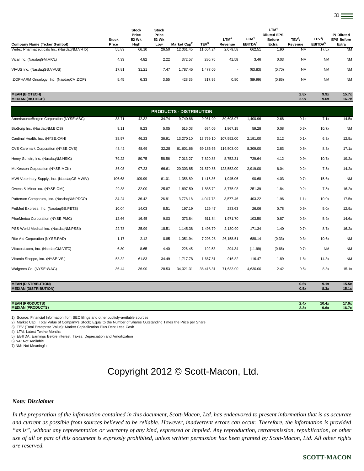| Company Name (Ticker Symbol)                | <b>Stock</b><br>Price | <b>Stock</b><br>Price<br>52 Wk<br>High | <b>Stock</b><br>Price<br>52 Wk<br>Low | Market Cap <sup>2</sup> | TEV <sup>3</sup> | LTM <sup>4</sup><br>Revenue | LTM <sup>4</sup><br>EBITDA <sup>5</sup> | $LTM^4$<br><b>Diluted EPS</b><br><b>Before</b><br>Extra | TEV <sup>3</sup> /<br>Revenue | TEV <sup>3</sup><br>EBITDA <sup>5</sup> | P/Diluted<br><b>EPS Before</b><br>Extra |
|---------------------------------------------|-----------------------|----------------------------------------|---------------------------------------|-------------------------|------------------|-----------------------------|-----------------------------------------|---------------------------------------------------------|-------------------------------|-----------------------------------------|-----------------------------------------|
| Vertex Pharmaceuticals Inc. (NasdaqNM:VRTX) | 55.89                 | 66.10                                  | 26.50                                 | 12,061.45               | 11,604.24        | 2.079.58                    | 662.51                                  | 1.90                                                    | <b>NM</b>                     | 17.5x                                   | <b>NM</b>                               |
| Vical Inc. (NasdaqGM:VICL)                  | 4.33                  | 4.82                                   | 2.22                                  | 372.57                  | 280.76           | 41.58                       | 3.46                                    | 0.03                                                    | <b>NM</b>                     | <b>NM</b>                               | <b>NM</b>                               |
| VIVUS Inc. (NasdaqGS:VVUS)                  | 17.81                 | 31.21                                  | 7.47                                  | 1.787.45                | 1.477.06         | $\overline{\phantom{a}}$    | (63.83)                                 | (0.70)                                                  | <b>NM</b>                     | <b>NM</b>                               | <b>NM</b>                               |
| ZIOPHARM Oncology, Inc. (NasdagCM:ZIOP)     | 5.45                  | 6.33                                   | 3.55                                  | 428.35                  | 317.95           | 0.80                        | (89.99)                                 | (0.86)                                                  | <b>NM</b>                     | <b>NM</b>                               | <b>NM</b>                               |

#### **MEAN (BIOTECH) 2.8x 9.9x 15.7x MEDIAN (BIOTECH) 2.9x 9.6x 16.7x**

AmerisourceBergen Corporation (NYSE:ABC) 38.71 42.32 34.74 9,740.86 9,961.09 80,608.97 1,400.96 2.66 0.1x 7.1x 14.5x BioScrip Inc. (NasdaqNM:BIOS) 9.11 9.23 5.05 515.03 634.05 1,867.15 59.28 0.08 0.3x 10.7x NM Cardinal Health, Inc. (NYSE:CAH) 38.97 46.23 36.91 13,270.10 13,769.10 107,552.00 2,191.00 3.12 0.1x 6.3x 12.5x CVS Caremark Corporation (NYSE:CVS) 48.42 48.69 32.28 61,601.66 69,186.66 116,503.00 8,309.00 2.83 0.6x 8.3x 17.1x Henry Schein, Inc. (NasdaqNM:HSIC) 79.22 80.75 58.56 7,013.27 7,820.88 8,752.31 729.64 4.12 0.9x 10.7x 19.2x McKesson Corporation (NYSE:MCK) 86.03 97.23 66.61 20,303.85 21,870.85 123,552.00 2,919.00 6.04 0.2x 7.5x 14.2x MWI Veterinary Supply, Inc. (NasdaqGS:MWIV) 106.68 109.99 61.01 1,358.89 1,415.36 1,945.06 90.68 4.03 0.7x 15.6x NM Owens & Minor Inc. (NYSE:OMI) 29.88 32.00 25.87 1,897.50 1,885.72 8,775.98 251.39 1.84 0.2x 7.5x 16.2x Patterson Companies, Inc. (NasdaqNM:PDCO) 34.24 36.42 26.81 3,778.18 4,047.73 3,577.46 403.22 1.96 1.1x 10.0x 17.5x PetMed Express, Inc. (NasdaqGS:PETS) 10.04 14.03 8.51 197.19 129.47 233.63 26.06 0.78 0.6x 5.0x 12.9x PharMerica Corporation (NYSE:PMC) 12.66 16.45 9.03 373.84 611.84 1,971.70 103.50 0.87 0.3x 5.9x 14.6x PSS World Medical Inc. (NasdaqNM:PSSI) 22.78 25.99 18.51 1,145.38 1,498.79 2,130.90 171.34 1.40 0.7x 8.7x 16.2x Rite Aid Corporation (NYSE:RAD) 1.17 2.12 0.85 1,051.94 7,293.28 26,158.51 688.14 (0.33) 0.3x 10.6x NM Vitacost.com, Inc. (NasdaqGM:VITC) 6.80 8.65 4.40 226.45 192.53 294.34 (11.99) (0.66) 0.7x NM NM Vitamin Shoppe, Inc. (NYSE:VSI) 68.32 61.83 34.49 1,717.78 1,667.81 916.82 116.47 1.89 1.8x 14.3x NM Walgreen Co. (NYSE:WAG) 36.41 36.90 28.53 34,321.31 38,416.31 71,633.00 4,630.00 2.42 0.5x 8.3x 15.1x **MEAN (DISTRIBUTION) 0.6x 9.1x 15.5x PRODUCTS - DISTRIBUTION**

**MEDIAN (DISTRIBUTION) 0.5x 8.3x 15.1x**

| <b>MEAN (PRODUCTS)</b>      | 2.4x | 10.4x | 17.0x |
|-----------------------------|------|-------|-------|
| <b>MEDIAN</b><br>(PRODUCTS) | 2.3x | 9.6x  | 16.7x |
|                             |      |       |       |

1) Source: Financial Information from SEC filings and other publicly-available sources

2) Market Cap: Total Value of Company's Stock; Equal to the Number of Shares Outstanding Times the Price per Share

3) TEV (Total Enterprise Value): Market Capitalization Plus Debt Less Cash

4) LTM: Latest Twelve Months

5) EBITDA: Earnings Before Interest, Taxes, Depreciation and Amortization

6) NA: Not Available

7) NM: Not Meaningful

# Copyright 2012 © Scott-Macon, Ltd.

#### *Note: Disclaimer*

*In the preparation of the information contained in this document, Scott-Macon, Ltd. has endeavored to present information that is as accurate and current as possible from sources believed to be reliable. However, inadvertent errors can occur. Therefore, the information is provided "as is", without any representation or warranty of any kind, expressed or implied. Any reproduction, retransmission, republication, or other use of all or part of this document is expressly prohibited, unless written permission has been granted by Scott-Macon, Ltd. All other rights are reserved.*